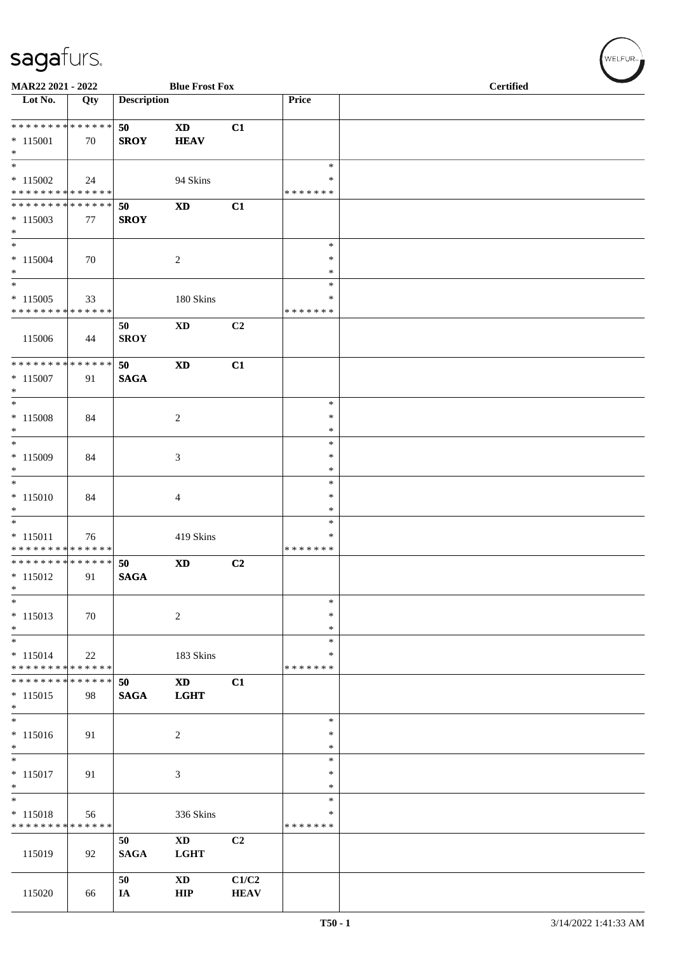| MAR22 2021 - 2022                                                         |     |                    | <b>Blue Frost Fox</b>                |                      |                                   | <b>Certified</b> |
|---------------------------------------------------------------------------|-----|--------------------|--------------------------------------|----------------------|-----------------------------------|------------------|
| Lot No.                                                                   | Qty | <b>Description</b> |                                      |                      | Price                             |                  |
| * * * * * * * * * * * * * *<br>$* 115001$<br>$*$                          | 70  | 50<br><b>SROY</b>  | <b>XD</b><br><b>HEAV</b>             | C1                   |                                   |                  |
| $\overline{\phantom{0}}$<br>$*115002$<br>* * * * * * * * * * * * * *      | 24  |                    | 94 Skins                             |                      | $\ast$<br>$\ast$<br>* * * * * * * |                  |
| ******** <mark>******</mark><br>$*115003$<br>$*$                          | 77  | 50<br><b>SROY</b>  | $\boldsymbol{\mathrm{XD}}$           | C1                   |                                   |                  |
| $\overline{\phantom{0}}$<br>$* 115004$<br>$*$<br>$\overline{\phantom{0}}$ | 70  |                    | 2                                    |                      | $\ast$<br>$\ast$<br>$\ast$        |                  |
| $*115005$<br>* * * * * * * * * * * * * *                                  | 33  |                    | 180 Skins                            |                      | $\ast$<br>∗<br>* * * * * * *      |                  |
| 115006                                                                    | 44  | 50<br><b>SROY</b>  | $\mathbf{X}\mathbf{D}$               | C <sub>2</sub>       |                                   |                  |
| ******** <mark>******</mark><br>$* 115007$<br>$*$                         | 91  | 50<br><b>SAGA</b>  | <b>XD</b>                            | C1                   |                                   |                  |
| $\overline{\phantom{0}}$<br>$* 115008$<br>$*$                             | 84  |                    | $\overline{2}$                       |                      | $\ast$<br>*<br>$\ast$             |                  |
| $*$<br>$* 115009$<br>$*$                                                  | 84  |                    | 3                                    |                      | $\ast$<br>$\ast$<br>$\ast$        |                  |
| $*$<br>$* 115010$<br>$*$<br>$\overline{\phantom{0}}$                      | 84  |                    | $\overline{4}$                       |                      | $\ast$<br>$\ast$<br>$\ast$        |                  |
| $* 115011$<br>* * * * * * * * <mark>* * * * * * *</mark>                  | 76  |                    | 419 Skins                            |                      | $\ast$<br>∗<br>* * * * * * *      |                  |
| ************** 50<br>$*115012$<br>$\ast$                                  | 91  | <b>SAGA</b>        | <b>XD</b>                            | C2                   |                                   |                  |
| $\ast$<br>$* 115013$<br>$*$                                               | 70  |                    | $\sqrt{2}$                           |                      | $\ast$<br>∗<br>$\ast$             |                  |
| $\overline{\phantom{a}^*}$<br>$* 115014$<br>* * * * * * * * * * * * * *   | 22  |                    | 183 Skins                            |                      | $\ast$<br>∗<br>* * * * * * *      |                  |
| **************<br>$* 115015$<br>$*$                                       | 98  | 50<br><b>SAGA</b>  | <b>XD</b><br><b>LGHT</b>             | C1                   |                                   |                  |
| $\ast$<br>$* 115016$<br>$*$                                               | 91  |                    | $\boldsymbol{2}$                     |                      | $\ast$<br>$\ast$<br>$\ast$        |                  |
| $\overline{\phantom{0}}$<br>$* 115017$<br>$\ast$                          | 91  |                    | 3                                    |                      | $\ast$<br>∗<br>∗                  |                  |
| $\overline{\phantom{a}^*}$<br>$* 115018$<br>* * * * * * * * * * * * * *   | 56  |                    | 336 Skins                            |                      | $\ast$<br>*<br>* * * * * * *      |                  |
| 115019                                                                    | 92  | 50<br><b>SAGA</b>  | <b>XD</b><br><b>LGHT</b>             | C2                   |                                   |                  |
| 115020                                                                    | 66  | 50<br>IA           | $\mathbf{X}\mathbf{D}$<br><b>HIP</b> | C1/C2<br><b>HEAV</b> |                                   |                  |

 $(w$ ELFUR<sub>m</sub>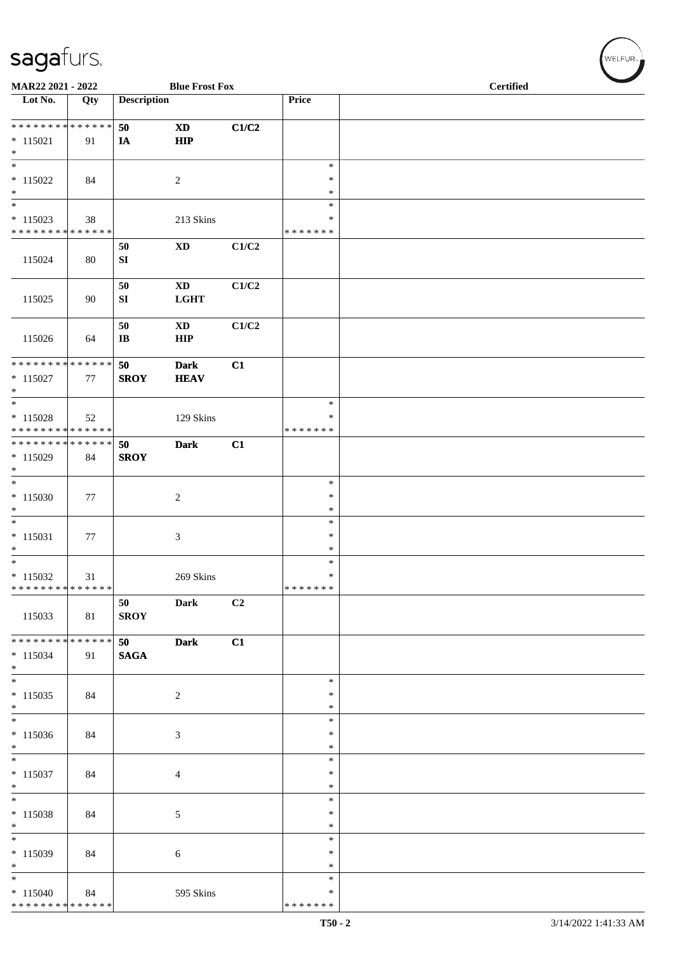| MAR22 2021 - 2022                                                       |     |                              | <b>Blue Frost Fox</b>                |       |                                   | <b>Certified</b> |  |  |  |
|-------------------------------------------------------------------------|-----|------------------------------|--------------------------------------|-------|-----------------------------------|------------------|--|--|--|
| Lot No.                                                                 | Qty | <b>Description</b>           |                                      |       | Price                             |                  |  |  |  |
| ******** <mark>******</mark><br>$* 115021$<br>$\ast$                    | 91  | 50<br>IA                     | $\mathbf{X}\mathbf{D}$<br><b>HIP</b> | C1/C2 |                                   |                  |  |  |  |
| $\overline{\phantom{a}^*}$<br>$* 115022$<br>$\ast$                      | 84  |                              | $\overline{c}$                       |       | $\ast$<br>$\ast$<br>$\ast$        |                  |  |  |  |
| $\ast$<br>$* 115023$<br>******** <mark>******</mark>                    | 38  |                              | 213 Skins                            |       | $\ast$<br>$\ast$<br>* * * * * * * |                  |  |  |  |
| 115024                                                                  | 80  | 50<br>${\bf S}{\bf I}$       | $\mathbf{X}\mathbf{D}$               | C1/C2 |                                   |                  |  |  |  |
| 115025                                                                  | 90  | 50<br>SI                     | $\mathbf{X}\mathbf{D}$<br>LGHT       | C1/C2 |                                   |                  |  |  |  |
| 115026                                                                  | 64  | 50<br>$\mathbf{I}\mathbf{B}$ | $\mathbf{X}\mathbf{D}$<br><b>HIP</b> | C1/C2 |                                   |                  |  |  |  |
| * * * * * * * * * * * * * *<br>$*115027$<br>$\ast$                      | 77  | 50<br><b>SROY</b>            | <b>Dark</b><br><b>HEAV</b>           | C1    |                                   |                  |  |  |  |
| $_{\ast}$<br>$* 115028$<br>* * * * * * * * <mark>* * * * * * *</mark>   | 52  |                              | 129 Skins                            |       | $\ast$<br>$\ast$<br>* * * * * * * |                  |  |  |  |
| **************<br>$*115029$<br>$*$                                      | 84  | 50<br><b>SROY</b>            | <b>Dark</b>                          | C1    |                                   |                  |  |  |  |
| $\overline{\phantom{0}}$<br>$*115030$<br>$\ast$                         | 77  |                              | $\sqrt{2}$                           |       | $\ast$<br>$\ast$<br>$\ast$        |                  |  |  |  |
| $\overline{\phantom{a}^*}$<br>$* 115031$<br>$\ast$                      | 77  |                              | 3                                    |       | $\ast$<br>$\ast$<br>$\ast$        |                  |  |  |  |
| $\overline{\phantom{0}}$<br>$*115032$<br>* * * * * * * * * * * * * *    | 31  |                              | 269 Skins                            |       | $\ast$<br>$\ast$<br>*******       |                  |  |  |  |
| 115033                                                                  | 81  | 50<br><b>SROY</b>            | <b>Dark</b>                          | C2    |                                   |                  |  |  |  |
| ******** <mark>******</mark><br>$* 115034$<br>$*$                       | 91  | 50<br><b>SAGA</b>            | <b>Dark</b>                          | C1    |                                   |                  |  |  |  |
| $*$<br>$* 115035$<br>$*$                                                | 84  |                              | $\overline{c}$                       |       | $\ast$<br>$\ast$<br>$\ast$        |                  |  |  |  |
| $\overline{\phantom{a}^*}$<br>$*115036$<br>$*$                          | 84  |                              | 3                                    |       | $\ast$<br>$\ast$<br>$\ast$        |                  |  |  |  |
| $\overline{\phantom{0}}$<br>$* 115037$<br>$\ast$                        | 84  |                              | $\overline{4}$                       |       | $\ast$<br>$\ast$<br>$\ast$        |                  |  |  |  |
| $\ast$<br>$* 115038$<br>$\ast$                                          | 84  |                              | $\mathfrak{S}$                       |       | $\ast$<br>$\ast$<br>$\ast$        |                  |  |  |  |
| $\frac{1}{*}$<br>$*115039$<br>$\ast$                                    | 84  |                              | 6                                    |       | $\ast$<br>$\ast$<br>$\ast$        |                  |  |  |  |
| $\overline{\phantom{a}^*}$<br>$*115040$<br>******** <mark>******</mark> | 84  |                              | 595 Skins                            |       | $\ast$<br>$\ast$<br>* * * * * * * |                  |  |  |  |

 $w$ ELFUR-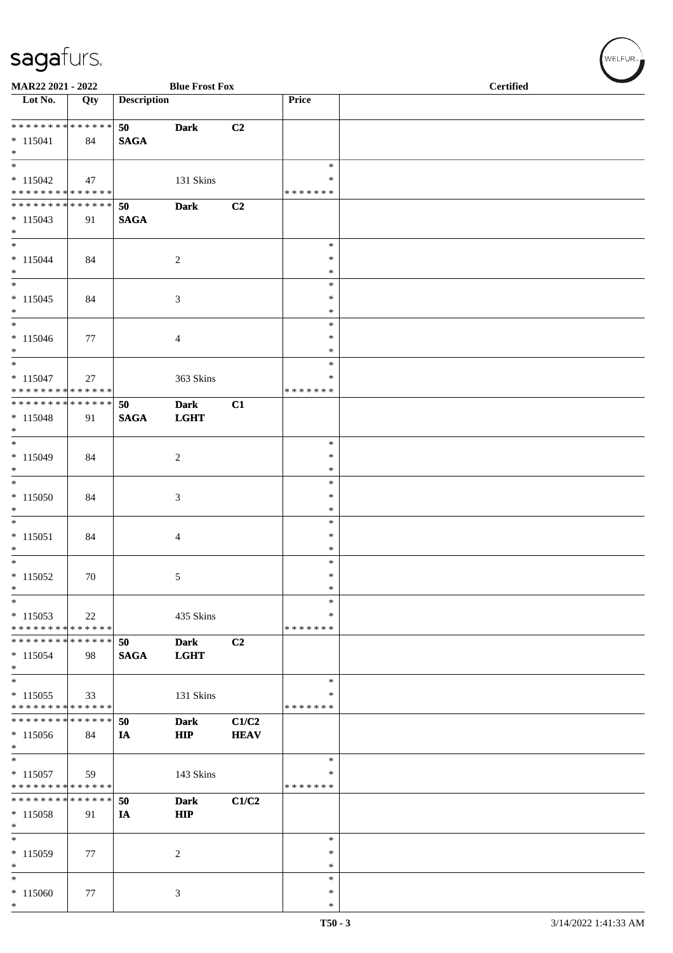| MAR22 2021 - 2022                                                         |     |                    | <b>Blue Frost Fox</b>      |                      |                                 | <b>Certified</b> |
|---------------------------------------------------------------------------|-----|--------------------|----------------------------|----------------------|---------------------------------|------------------|
| Lot No.                                                                   | Qty | <b>Description</b> |                            |                      | Price                           |                  |
| * * * * * * * * * * * * * *<br>$* 115041$<br>$*$                          | 84  | 50<br><b>SAGA</b>  | <b>Dark</b>                | C2                   |                                 |                  |
| $* 115042$<br>* * * * * * * * * * * * * *                                 | 47  |                    | 131 Skins                  |                      | $\ast$<br>∗<br>* * * * * * *    |                  |
| * * * * * * * * * * * * * *<br>$*115043$<br>$*$                           | 91  | 50<br><b>SAGA</b>  | <b>Dark</b>                | C2                   |                                 |                  |
| $\ast$<br>$* 115044$<br>$*$                                               | 84  |                    | $\sqrt{2}$                 |                      | $\ast$<br>$\ast$<br>$\ast$      |                  |
| $\ast$<br>$* 115045$<br>$*$<br>$\overline{\ast}$                          | 84  |                    | $\mathfrak{Z}$             |                      | $\ast$<br>$\ast$<br>*           |                  |
| $* 115046$<br>$*$<br>$*$                                                  | 77  |                    | $\overline{4}$             |                      | $\ast$<br>∗<br>$\ast$<br>$\ast$ |                  |
| $* 115047$<br>* * * * * * * * * * * * * *<br>* * * * * * * * * * * * * *  | 27  |                    | 363 Skins                  |                      | *<br>* * * * * * *              |                  |
| $* 115048$<br>$*$<br>$\overline{\phantom{0}}$                             | 91  | 50<br><b>SAGA</b>  | <b>Dark</b><br><b>LGHT</b> | C1                   | $\ast$                          |                  |
| $* 115049$<br>$*$<br>$*$                                                  | 84  |                    | $\sqrt{2}$                 |                      | $\ast$<br>$\ast$<br>$\ast$      |                  |
| $* 115050$<br>$*$<br>$*$                                                  | 84  |                    | 3                          |                      | $\ast$<br>$\ast$<br>$\ast$      |                  |
| $* 115051$<br>$\ast$<br>$\overline{\phantom{0}}$                          | 84  |                    | $\overline{4}$             |                      | $\ast$<br>*<br>$\ast$           |                  |
| $* 115052$<br>$\ast$<br>$\ast$                                            | 70  |                    | 5 <sub>5</sub>             |                      | $\ast$<br>$\ast$<br>∗           |                  |
| $*115053$<br>* * * * * * * * * * * * * *<br>* * * * * * * * * * * * * * * | 22  | 50                 | 435 Skins                  | C2                   | ∗<br>* * * * * * *              |                  |
| $*115054$<br>$*$<br>$\ast$                                                | 98  | <b>SAGA</b>        | <b>Dark</b><br><b>LGHT</b> |                      | $\ast$                          |                  |
| $*115055$<br>* * * * * * * * * * * * * *<br>* * * * * * * * * * * * * *   | 33  |                    | 131 Skins                  |                      | ∗<br>* * * * * * *              |                  |
| $*115056$<br>$*$<br>$*$                                                   | 84  | 50<br>IA           | <b>Dark</b><br><b>HIP</b>  | C1/C2<br><b>HEAV</b> | $\ast$                          |                  |
| $* 115057$<br>* * * * * * * * * * * * * *                                 | 59  |                    | 143 Skins                  |                      | ∗<br>* * * * * * *              |                  |
| * * * * * * * * * * * * * *<br>$* 115058$<br>$\ast$                       | 91  | 50<br>IA           | <b>Dark</b><br><b>HIP</b>  | C1/C2                |                                 |                  |
| $\ast$<br>* 115059<br>$\ast$                                              | 77  |                    | 2                          |                      | $\ast$<br>∗<br>$\ast$           |                  |
| $\ast$<br>* 115060<br>$*$                                                 | 77  |                    | 3                          |                      | $\ast$<br>*<br>$\ast$           |                  |

 $w$ ELFUR<sub>m</sub>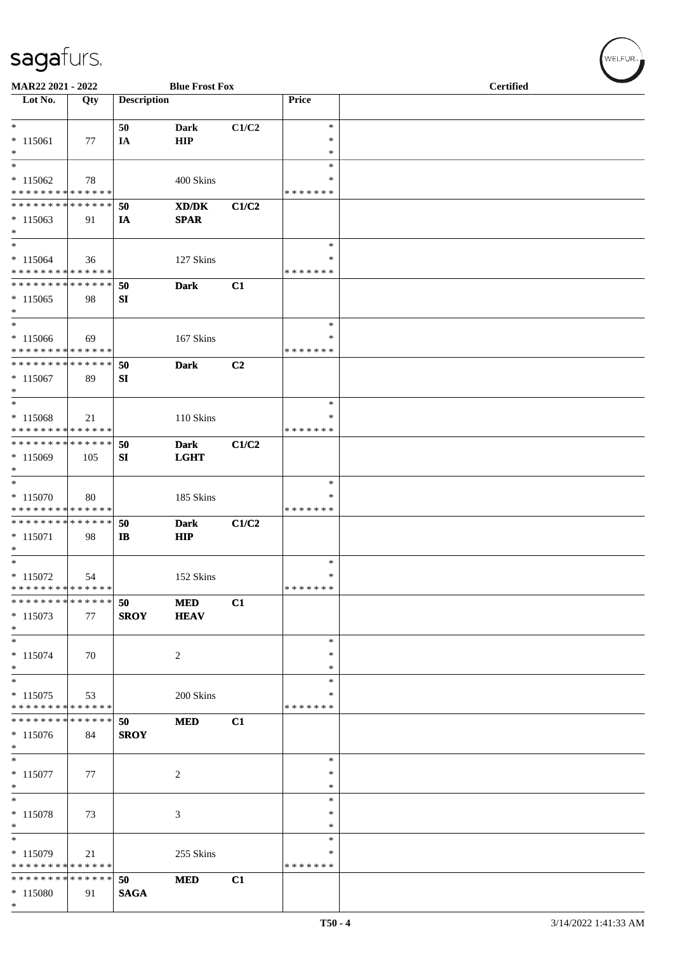| MAR22 2021 - 2022                                    |                   |                    | <b>Blue Frost Fox</b>                                                                                               |       |                                   | <b>Certified</b> |  |  |
|------------------------------------------------------|-------------------|--------------------|---------------------------------------------------------------------------------------------------------------------|-------|-----------------------------------|------------------|--|--|
| Lot No.                                              | Qty               | <b>Description</b> |                                                                                                                     |       | Price                             |                  |  |  |
| $*$<br>$* 115061$<br>$*$                             | 77                | 50<br>IA           | Dark<br>HIP                                                                                                         | C1/C2 | $\ast$<br>$\ast$<br>$\ast$        |                  |  |  |
| $\ast$<br>$* 115062$<br>* * * * * * * * * * * * * *  | 78                |                    | 400 Skins                                                                                                           |       | $\ast$<br>*<br>* * * * * * *      |                  |  |  |
| * * * * * * * * * * * * * *<br>$*115063$<br>$*$      | 91                | 50<br>IA           | $\boldsymbol{\text{X}}\boldsymbol{\text{D}}\boldsymbol{/}\boldsymbol{\text{D}}\boldsymbol{\text{K}}$<br><b>SPAR</b> | C1/C2 |                                   |                  |  |  |
| $*$<br>$*115064$<br>* * * * * * * * * * * * * *      | 36                |                    | 127 Skins                                                                                                           |       | $\ast$<br>∗<br>* * * * * * *      |                  |  |  |
| * * * * * * * * * * * * * *<br>$*115065$<br>$*$      | 98                | 50<br>SI           | <b>Dark</b>                                                                                                         | C1    |                                   |                  |  |  |
| $\ast$<br>$*115066$<br>* * * * * * * * * * * * * *   | 69                |                    | 167 Skins                                                                                                           |       | $\ast$<br>*<br>* * * * * * *      |                  |  |  |
| * * * * * * * * * * * * * * *<br>$* 115067$<br>$*$   | 89                | 50<br>SI           | <b>Dark</b>                                                                                                         | C2    |                                   |                  |  |  |
| $\ast$<br>$* 115068$<br>* * * * * * * * * * * * * *  | 21                |                    | 110 Skins                                                                                                           |       | $\ast$<br>$\ast$<br>* * * * * * * |                  |  |  |
| * * * * * * * * * * * * * *<br>$*115069$<br>$\ast$   | 105               | 50<br>SI           | <b>Dark</b><br><b>LGHT</b>                                                                                          | C1/C2 |                                   |                  |  |  |
| $*$<br>$* 115070$<br>* * * * * * * * * * * * * *     | 80                |                    | 185 Skins                                                                                                           |       | $\ast$<br>*<br>* * * * * * *      |                  |  |  |
| * * * * * * * * * * * * * *<br>$*115071$<br>$*$      | 98                | 50<br>$\mathbf{I}$ | <b>Dark</b><br>HIP                                                                                                  | C1/C2 |                                   |                  |  |  |
| $*$<br>$* 115072$<br>* * * * * * * * * * * * * *     | 54                |                    | 152 Skins                                                                                                           |       | $\ast$<br>$\ast$<br>*******       |                  |  |  |
| * * * * * * * *<br>$*115073$<br>$*$                  | * * * * * *<br>77 | 50<br><b>SROY</b>  | <b>MED</b><br><b>HEAV</b>                                                                                           | C1    |                                   |                  |  |  |
| $*$<br>$* 115074$<br>$*$                             | 70                |                    | 2                                                                                                                   |       | $\ast$<br>$\ast$<br>$\ast$        |                  |  |  |
| $\ast$<br>$* 115075$<br>* * * * * * * * * * * * * *  | 53                |                    | 200 Skins                                                                                                           |       | ∗<br>∗<br>* * * * * * *           |                  |  |  |
| * * * * * * * * * * * * * * *<br>$*115076$<br>$\ast$ | 84                | 50<br><b>SROY</b>  | <b>MED</b>                                                                                                          | C1    |                                   |                  |  |  |
| $\overline{\ast}$<br>$* 115077$<br>$*$               | 77                |                    | 2                                                                                                                   |       | $\ast$<br>$\ast$<br>*             |                  |  |  |
| $*$<br>$* 115078$<br>$*$                             | 73                |                    | 3                                                                                                                   |       | ∗<br>∗<br>$\ast$                  |                  |  |  |
| $*$<br>$* 115079$<br>* * * * * * * * * * * * * *     | 21                |                    | 255 Skins                                                                                                           |       | *<br>*<br>* * * * * * *           |                  |  |  |
| * * * * * * * * * * * * * *<br>* 115080<br>$*$       | 91                | 50<br><b>SAGA</b>  | <b>MED</b>                                                                                                          | C1    |                                   |                  |  |  |

WELFUR<sub>"</sub>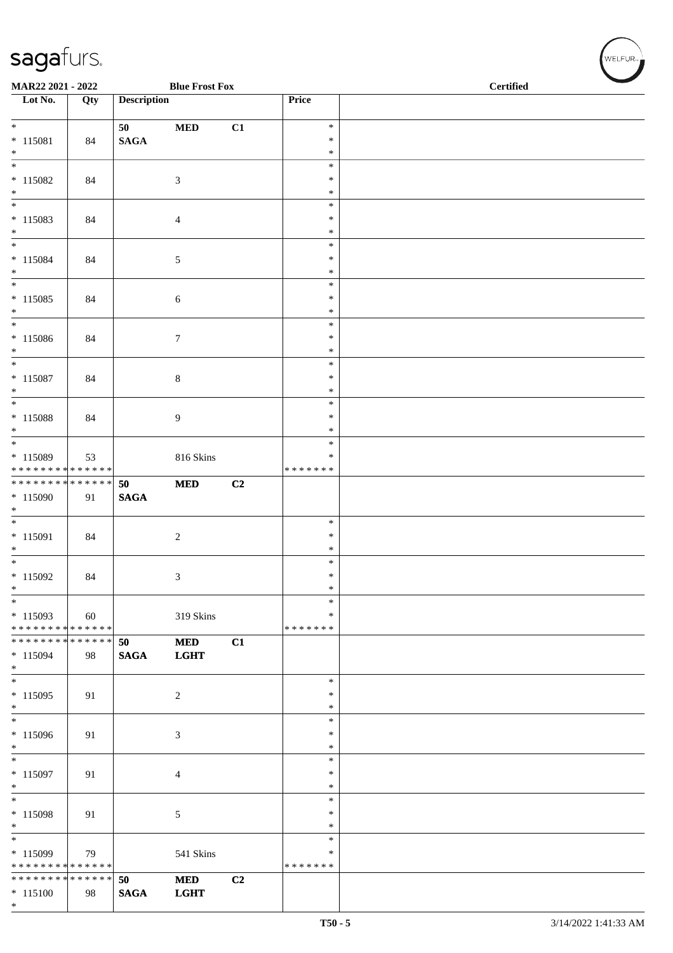| MAR22 2021 - 2022                                              |     |                    | <b>Blue Frost Fox</b> |    |                  | <b>Certified</b> |  |  |
|----------------------------------------------------------------|-----|--------------------|-----------------------|----|------------------|------------------|--|--|
| $\overline{\phantom{1}}$ Lot No.                               | Qty | <b>Description</b> |                       |    | Price            |                  |  |  |
| $*$                                                            |     | 50                 | $\bf MED$             | C1 | $\ast$           |                  |  |  |
| $* 115081$<br>$*$                                              | 84  | $\mathbf{SAGA}$    |                       |    | $\ast$<br>$\ast$ |                  |  |  |
|                                                                |     |                    |                       |    | $\ast$           |                  |  |  |
| $* 115082$                                                     | 84  |                    | $\mathfrak{Z}$        |    | $\ast$           |                  |  |  |
| $*$                                                            |     |                    |                       |    | $\ast$<br>$\ast$ |                  |  |  |
| $* 115083$                                                     | 84  |                    | $\overline{4}$        |    | $\ast$           |                  |  |  |
| $*$                                                            |     |                    |                       |    | $\ast$           |                  |  |  |
| $*$                                                            |     |                    |                       |    | $\ast$<br>$\ast$ |                  |  |  |
| $* 115084$<br>$*$                                              | 84  |                    | $\sqrt{5}$            |    | $\ast$           |                  |  |  |
| $*$                                                            |     |                    |                       |    | $\ast$           |                  |  |  |
| $* 115085$                                                     | 84  |                    | $\sqrt{6}$            |    | $\ast$<br>$\ast$ |                  |  |  |
| $\ast$<br>$*$                                                  |     |                    |                       |    | $\ast$           |                  |  |  |
| $* 115086$                                                     | 84  |                    | $\tau$                |    | $\ast$           |                  |  |  |
| $*$<br>$*$                                                     |     |                    |                       |    | $\ast$<br>$\ast$ |                  |  |  |
| $* 115087$                                                     | 84  |                    | $8\,$                 |    | $\ast$           |                  |  |  |
| $*$                                                            |     |                    |                       |    | $\ast$           |                  |  |  |
|                                                                |     |                    |                       |    | $\ast$           |                  |  |  |
| $* 115088$<br>$\ast$                                           | 84  |                    | 9                     |    | $\ast$<br>$\ast$ |                  |  |  |
| $\overline{\phantom{0}}$                                       |     |                    |                       |    | $\ast$           |                  |  |  |
| * 115089<br>* * * * * * * * * * * * * *                        | 53  |                    | 816 Skins             |    | $\ast$           |                  |  |  |
| **************                                                 |     | 50                 | $\bf MED$             | C2 | * * * * * * *    |                  |  |  |
| $*115090$                                                      | 91  | <b>SAGA</b>        |                       |    |                  |                  |  |  |
| $\ast$                                                         |     |                    |                       |    |                  |                  |  |  |
| $*$<br>$* 115091$                                              | 84  |                    | $\overline{c}$        |    | $\ast$<br>$\ast$ |                  |  |  |
| $*$                                                            |     |                    |                       |    | $\ast$           |                  |  |  |
| $*$                                                            |     |                    |                       |    | $\ast$           |                  |  |  |
| $* 115092$<br>$*$                                              | 84  |                    | 3                     |    | $\ast$<br>$\ast$ |                  |  |  |
| $\ast$                                                         |     |                    |                       |    | $\ast$           |                  |  |  |
| $*115093$                                                      | 60  |                    | 319 Skins             |    | $\ast$           |                  |  |  |
| * * * * * * * * * * * * * * *<br>* * * * * * * * * * * * * * * |     | 50                 | <b>MED</b>            | C1 | * * * * * * *    |                  |  |  |
| $*115094$                                                      | 98  | <b>SAGA</b>        | <b>LGHT</b>           |    |                  |                  |  |  |
| $*$<br>$*$                                                     |     |                    |                       |    |                  |                  |  |  |
| $*115095$                                                      | 91  |                    | 2                     |    | $\ast$<br>$\ast$ |                  |  |  |
| $*$                                                            |     |                    |                       |    | $\ast$           |                  |  |  |
|                                                                |     |                    |                       |    | $\ast$           |                  |  |  |
| $*115096$<br>$*$                                               | 91  |                    | 3                     |    | $\ast$<br>$\ast$ |                  |  |  |
| $\overline{\phantom{0}}$                                       |     |                    |                       |    | $\ast$           |                  |  |  |
| $* 115097$                                                     | 91  |                    | $\overline{4}$        |    | $\ast$           |                  |  |  |
| $*$<br>$*$                                                     |     |                    |                       |    | $\ast$<br>$\ast$ |                  |  |  |
| $* 115098$                                                     | 91  |                    | 5                     |    | $\ast$           |                  |  |  |
| $*$                                                            |     |                    |                       |    | ∗                |                  |  |  |
| $*$<br>$*115099$                                               | 79  |                    | 541 Skins             |    | $\ast$<br>∗      |                  |  |  |
| * * * * * * * * <mark>* * * * * * *</mark>                     |     |                    |                       |    | * * * * * * *    |                  |  |  |
| * * * * * * * * * * * * * * *                                  |     | 50                 | <b>MED</b>            | C2 |                  |                  |  |  |
| $* 115100$<br>$*$                                              | 98  | <b>SAGA</b>        | <b>LGHT</b>           |    |                  |                  |  |  |

WELFUR<sub>"</sub>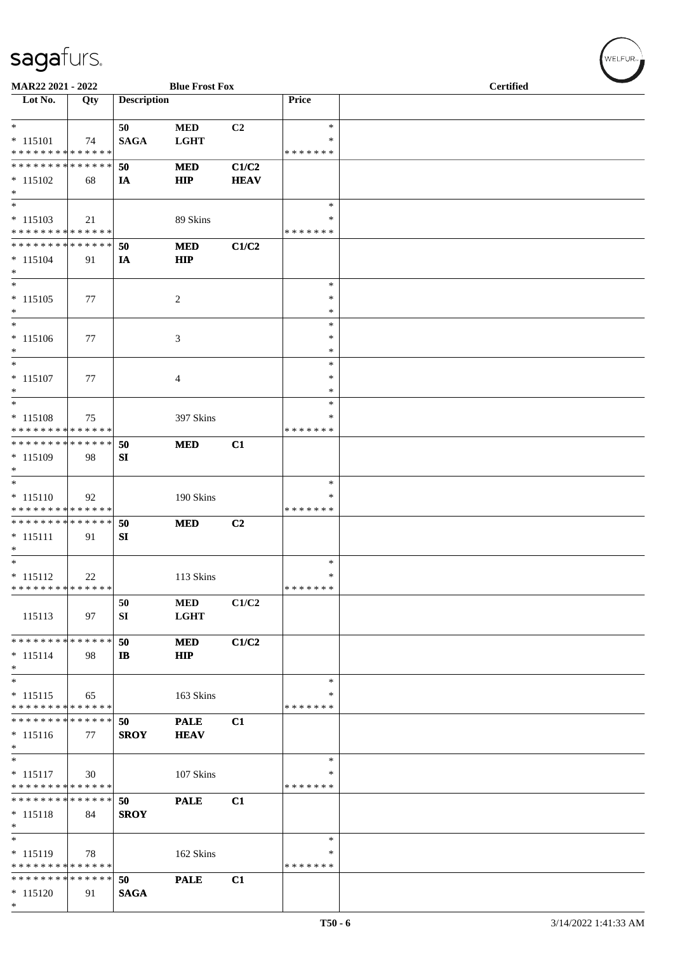| MAR22 2021 - 2022                                          |     |                    | <b>Blue Frost Fox</b> |             |                    | <b>Certified</b> |
|------------------------------------------------------------|-----|--------------------|-----------------------|-------------|--------------------|------------------|
| Lot No.                                                    | Qty | <b>Description</b> |                       |             | Price              |                  |
| $*$                                                        |     | 50                 | <b>MED</b>            | C2          | $\ast$             |                  |
| $* 115101$                                                 | 74  | <b>SAGA</b>        | <b>LGHT</b>           |             | *                  |                  |
| * * * * * * * * * * * * * *                                |     |                    |                       |             | * * * * * * *      |                  |
| * * * * * * * * * * * * * *                                |     | 50                 | <b>MED</b>            | C1/C2       |                    |                  |
| $*115102$                                                  | 68  | IA                 | <b>HIP</b>            | <b>HEAV</b> |                    |                  |
| $*$                                                        |     |                    |                       |             |                    |                  |
| $\ast$                                                     |     |                    |                       |             | $\ast$<br>∗        |                  |
| $* 115103$<br>* * * * * * * * * * * * * *                  | 21  |                    | 89 Skins              |             | * * * * * * *      |                  |
| * * * * * * * * * * * * * *                                |     | 50                 | <b>MED</b>            | C1/C2       |                    |                  |
| $* 115104$                                                 | 91  | IA                 | <b>HIP</b>            |             |                    |                  |
| $\ast$                                                     |     |                    |                       |             |                    |                  |
| $\ast$                                                     |     |                    |                       |             | $\ast$             |                  |
| $* 115105$                                                 | 77  |                    | 2                     |             | $\ast$             |                  |
| $\ast$<br>$\ast$                                           |     |                    |                       |             | $\ast$<br>$\ast$   |                  |
| $* 115106$                                                 | 77  |                    | 3                     |             | *                  |                  |
| $*$                                                        |     |                    |                       |             | $\ast$             |                  |
| $\ast$                                                     |     |                    |                       |             | $\ast$             |                  |
| $* 115107$                                                 | 77  |                    | 4                     |             | $\ast$             |                  |
| $*$                                                        |     |                    |                       |             | $\ast$             |                  |
| $*$                                                        |     |                    |                       |             | $\ast$             |                  |
| $* 115108$<br>* * * * * * * * * * * * * *                  | 75  |                    | 397 Skins             |             | *<br>* * * * * * * |                  |
| * * * * * * * * * * * * * *                                |     | 50                 | <b>MED</b>            | C1          |                    |                  |
| $* 115109$                                                 | 98  | SI                 |                       |             |                    |                  |
| $\ast$                                                     |     |                    |                       |             |                    |                  |
| $\ast$                                                     |     |                    |                       |             | $\ast$             |                  |
| $* 115110$                                                 | 92  |                    | 190 Skins             |             | *                  |                  |
| * * * * * * * * * * * * * *<br>* * * * * * * * * * * * * * |     |                    |                       |             | * * * * * * *      |                  |
| $* 115111$                                                 | 91  | 50<br>SI           | <b>MED</b>            | C2          |                    |                  |
| $\ast$                                                     |     |                    |                       |             |                    |                  |
| $\overline{\phantom{0}}$                                   |     |                    |                       |             | $\ast$             |                  |
| $* 115112$                                                 | 22  |                    | 113 Skins             |             | $\ast$             |                  |
| * * * * * * * * * * * * * *                                |     |                    |                       |             | * * * * * * *      |                  |
|                                                            |     | 50                 | $\bf MED$             | C1/C2       |                    |                  |
| 115113                                                     | 97  | SI                 | <b>LGHT</b>           |             |                    |                  |
| * * * * * * * * * * * * * *                                |     | 50                 | <b>MED</b>            | C1/C2       |                    |                  |
| $* 115114$                                                 | 98  | IB                 | <b>HIP</b>            |             |                    |                  |
| $*$                                                        |     |                    |                       |             |                    |                  |
| $*$                                                        |     |                    |                       |             | $\ast$             |                  |
| $* 115115$<br>* * * * * * * * * * * * * *                  | 65  |                    | 163 Skins             |             | ∗<br>* * * * * * * |                  |
| * * * * * * * * * * * * * *                                |     | 50                 | <b>PALE</b>           | C1          |                    |                  |
| $* 115116$                                                 | 77  | <b>SROY</b>        | <b>HEAV</b>           |             |                    |                  |
| $\ast$                                                     |     |                    |                       |             |                    |                  |
| $\ast$                                                     |     |                    |                       |             | ∗                  |                  |
| $* 115117$                                                 | 30  |                    | 107 Skins             |             | *                  |                  |
| * * * * * * * * * * * * * *<br>* * * * * * * * * * * * * * |     |                    |                       |             | * * * * * * *      |                  |
| $* 115118$                                                 | 84  | 50<br><b>SROY</b>  | <b>PALE</b>           | C1          |                    |                  |
| $*$                                                        |     |                    |                       |             |                    |                  |
| $\ast$                                                     |     |                    |                       |             | $\ast$             |                  |
| $* 115119$                                                 | 78  |                    | 162 Skins             |             | ∗                  |                  |
| * * * * * * * * * * * * * *                                |     |                    |                       |             | * * * * * * *      |                  |
| * * * * * * * * * * * * * *                                |     | 50                 | <b>PALE</b>           | C1          |                    |                  |
| $* 115120$<br>$*$                                          | 91  | <b>SAGA</b>        |                       |             |                    |                  |
|                                                            |     |                    |                       |             |                    |                  |

 $w$ ELFUR-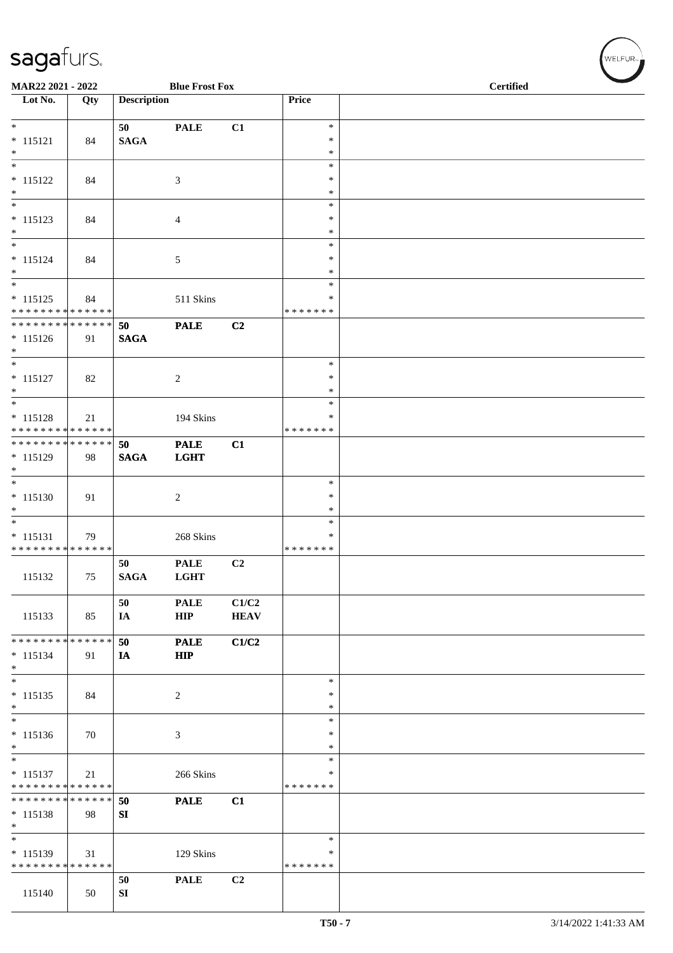| MAR22 2021 - 2022                                          |     |                    | <b>Blue Frost Fox</b>      |                      |                  | <b>Certified</b> |  |  |
|------------------------------------------------------------|-----|--------------------|----------------------------|----------------------|------------------|------------------|--|--|
| $\overline{\phantom{1}}$ Lot No.                           | Qty | <b>Description</b> |                            |                      | Price            |                  |  |  |
| $\ast$                                                     |     | 50                 | <b>PALE</b>                | C1                   | $\ast$           |                  |  |  |
| $* 115121$                                                 | 84  | <b>SAGA</b>        |                            |                      | $\ast$           |                  |  |  |
| $*$<br>$\overline{\phantom{0}}$                            |     |                    |                            |                      | $\ast$           |                  |  |  |
| $* 115122$                                                 | 84  |                    | 3                          |                      | $\ast$<br>∗      |                  |  |  |
| $*$                                                        |     |                    |                            |                      | $\ast$           |                  |  |  |
| $\overline{\ast}$                                          |     |                    |                            |                      | $\ast$           |                  |  |  |
| $* 115123$                                                 | 84  |                    | 4                          |                      | $\ast$           |                  |  |  |
| $*$<br>$\overline{\phantom{0}}$                            |     |                    |                            |                      | $\ast$<br>$\ast$ |                  |  |  |
| $* 115124$                                                 | 84  |                    | $\sqrt{5}$                 |                      | $\ast$           |                  |  |  |
| $*$                                                        |     |                    |                            |                      | $\ast$           |                  |  |  |
| $*$                                                        |     |                    |                            |                      | $\ast$           |                  |  |  |
| $* 115125$                                                 | 84  |                    | 511 Skins                  |                      | *                |                  |  |  |
| * * * * * * * * * * * * * *<br>* * * * * * * * * * * * * * |     | 50                 | <b>PALE</b>                | C2                   | * * * * * * *    |                  |  |  |
| $* 115126$                                                 | 91  | <b>SAGA</b>        |                            |                      |                  |                  |  |  |
| $*$                                                        |     |                    |                            |                      |                  |                  |  |  |
| $\overline{\phantom{0}}$                                   |     |                    |                            |                      | $\ast$           |                  |  |  |
| $* 115127$<br>$\ast$                                       | 82  |                    | $\overline{c}$             |                      | $\ast$<br>$\ast$ |                  |  |  |
|                                                            |     |                    |                            |                      | $\ast$           |                  |  |  |
| $* 115128$                                                 | 21  |                    | 194 Skins                  |                      | $\ast$           |                  |  |  |
| * * * * * * * * * * * * * *                                |     |                    |                            |                      | * * * * * * *    |                  |  |  |
| * * * * * * * * * * * * * *                                |     | 50                 | <b>PALE</b>                | C1                   |                  |                  |  |  |
| * 115129<br>$\ast$                                         | 98  | <b>SAGA</b>        | <b>LGHT</b>                |                      |                  |                  |  |  |
| $\overline{\phantom{0}}$                                   |     |                    |                            |                      | $\ast$           |                  |  |  |
| $* 115130$                                                 | 91  |                    | $\boldsymbol{2}$           |                      | $\ast$           |                  |  |  |
| $\ast$                                                     |     |                    |                            |                      | $\ast$           |                  |  |  |
| $\overline{\ast}$                                          |     |                    |                            |                      | $\ast$<br>$\ast$ |                  |  |  |
| $* 115131$<br>* * * * * * * * * * * * * *                  | 79  |                    | 268 Skins                  |                      | * * * * * * *    |                  |  |  |
|                                                            |     | 50                 | <b>PALE</b>                | C2                   |                  |                  |  |  |
| 115132                                                     | 75  | <b>SAGA</b>        | <b>LGHT</b>                |                      |                  |                  |  |  |
|                                                            |     |                    |                            |                      |                  |                  |  |  |
| 115133                                                     | 85  | 50<br>IA           | <b>PALE</b><br>${\bf HIP}$ | C1/C2<br><b>HEAV</b> |                  |                  |  |  |
|                                                            |     |                    |                            |                      |                  |                  |  |  |
| * * * * * * * * * * * * * *                                |     | 50                 | <b>PALE</b>                | C1/C2                |                  |                  |  |  |
| $* 115134$                                                 | 91  | IA                 | <b>HIP</b>                 |                      |                  |                  |  |  |
| $\ast$<br>$\ast$                                           |     |                    |                            |                      | $\ast$           |                  |  |  |
| $* 115135$                                                 | 84  |                    | 2                          |                      | $\ast$           |                  |  |  |
| $\ast$                                                     |     |                    |                            |                      | $\ast$           |                  |  |  |
| $\overline{\phantom{a}^*}$                                 |     |                    |                            |                      | $\ast$           |                  |  |  |
| $* 115136$                                                 | 70  |                    | 3                          |                      | ∗                |                  |  |  |
| $*$<br>$*$                                                 |     |                    |                            |                      | $\ast$<br>$\ast$ |                  |  |  |
| $* 115137$                                                 | 21  |                    | 266 Skins                  |                      | *                |                  |  |  |
| * * * * * * * * * * * * * *                                |     |                    |                            |                      | * * * * * * *    |                  |  |  |
| * * * * * * * * * * * * * *                                |     | 50                 | <b>PALE</b>                | C1                   |                  |                  |  |  |
| $* 115138$<br>$*$                                          | 98  | SI                 |                            |                      |                  |                  |  |  |
| $\ast$                                                     |     |                    |                            |                      | $\ast$           |                  |  |  |
| $* 115139$                                                 | 31  |                    | 129 Skins                  |                      | ∗                |                  |  |  |
| * * * * * * * * * * * * * *                                |     |                    |                            |                      | * * * * * * *    |                  |  |  |
|                                                            |     | 50                 | <b>PALE</b>                | C <sub>2</sub>       |                  |                  |  |  |
| 115140                                                     | 50  | SI                 |                            |                      |                  |                  |  |  |

WELFUR<sub>R</sub>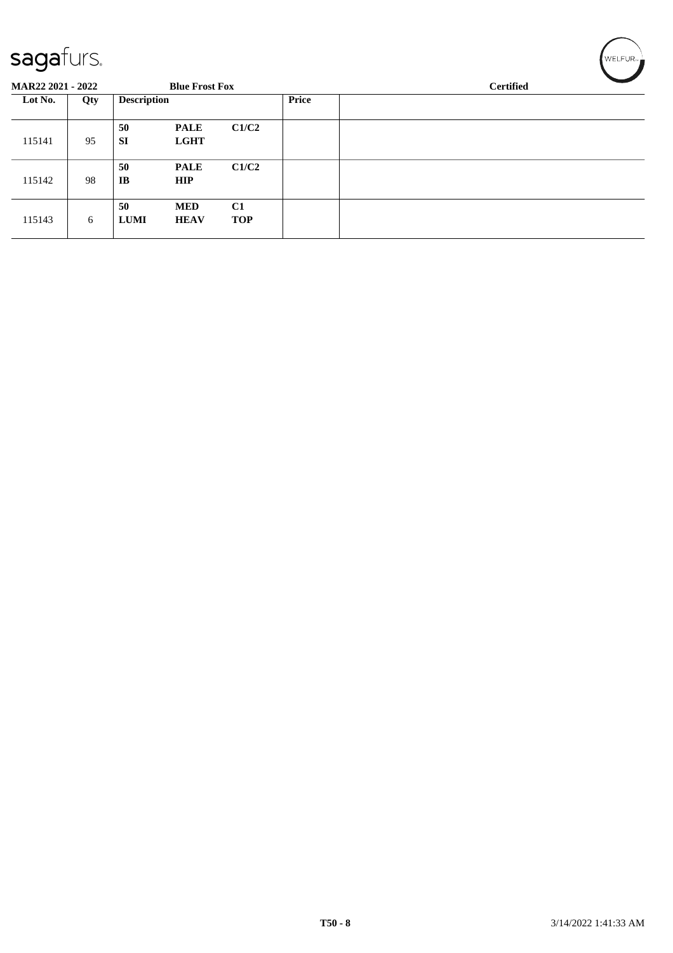#### $\epsilon$ anafurc

| sayarurs.                |     |                    |                            |                  |       |                  | ∣WELFUR <sub>™∎</sub> |  |  |
|--------------------------|-----|--------------------|----------------------------|------------------|-------|------------------|-----------------------|--|--|
| <b>MAR22 2021 - 2022</b> |     |                    | <b>Blue Frost Fox</b>      |                  |       | <b>Certified</b> |                       |  |  |
| Lot No.                  | Qty | <b>Description</b> |                            |                  | Price |                  |                       |  |  |
| 115141                   | 95  | 50<br><b>SI</b>    | <b>PALE</b><br><b>LGHT</b> | C1/C2            |       |                  |                       |  |  |
| 115142                   | 98  | 50<br><b>IB</b>    | <b>PALE</b><br><b>HIP</b>  | C1/C2            |       |                  |                       |  |  |
| 115143                   | 6   | 50<br><b>LUMI</b>  | <b>MED</b><br><b>HEAV</b>  | C1<br><b>TOP</b> |       |                  |                       |  |  |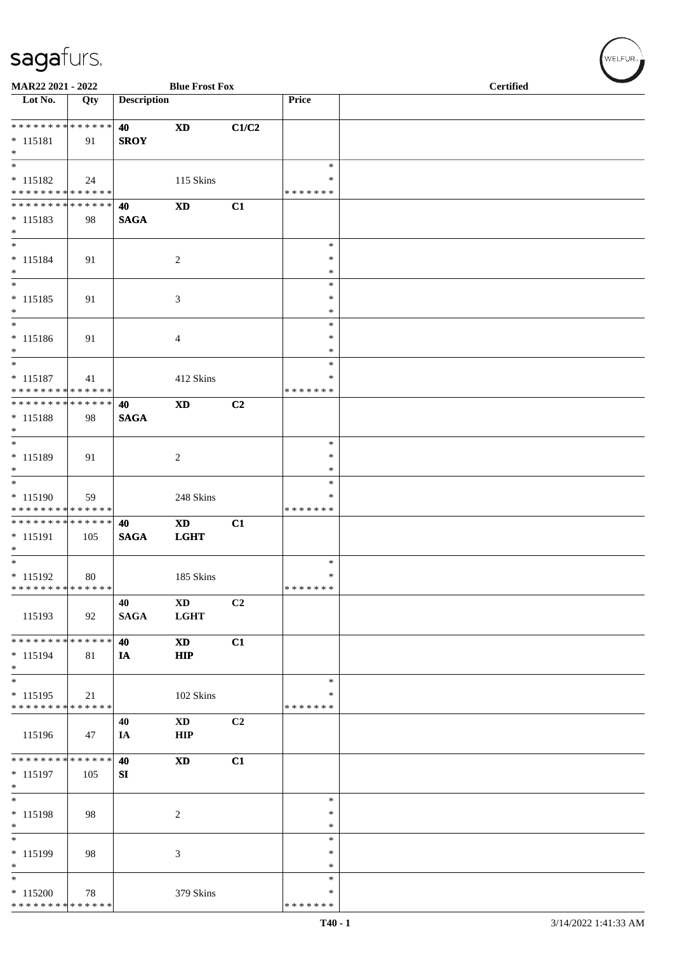| MAR22 2021 - 2022                             |     |                    | <b>Blue Frost Fox</b>      |                |                         | <b>Certified</b> |  |  |  |
|-----------------------------------------------|-----|--------------------|----------------------------|----------------|-------------------------|------------------|--|--|--|
| $\overline{\phantom{1}}$ Lot No.              | Qty | <b>Description</b> |                            |                | Price                   |                  |  |  |  |
| **************                                |     | 40                 | $\boldsymbol{\mathrm{XD}}$ | C1/C2          |                         |                  |  |  |  |
| $* 115181$<br>$*$                             | 91  | <b>SROY</b>        |                            |                |                         |                  |  |  |  |
| $\ast$                                        |     |                    |                            |                | $\ast$                  |                  |  |  |  |
| $* 115182$<br>******** <mark>******</mark>    | 24  |                    | 115 Skins                  |                | $\ast$<br>* * * * * * * |                  |  |  |  |
| * * * * * * * * * * * * * *                   |     | 40                 | $\boldsymbol{\mathrm{XD}}$ | C1             |                         |                  |  |  |  |
| $* 115183$<br>$\ast$                          | 98  | <b>SAGA</b>        |                            |                |                         |                  |  |  |  |
| $\ast$                                        |     |                    |                            |                | $\ast$<br>$\ast$        |                  |  |  |  |
| $* 115184$<br>$\ast$                          | 91  |                    | $\sqrt{2}$                 |                | $\ast$                  |                  |  |  |  |
| $\ast$<br>$* 115185$                          | 91  |                    | 3                          |                | $\ast$<br>$\ast$        |                  |  |  |  |
| $\ast$<br>$_{\ast}^{-}$                       |     |                    |                            |                | $\ast$                  |                  |  |  |  |
|                                               |     |                    |                            |                | $\ast$<br>$\ast$        |                  |  |  |  |
| $* 115186$<br>$*$                             | 91  |                    | $\overline{4}$             |                | $\ast$                  |                  |  |  |  |
| $\overline{\ast}$                             |     |                    |                            |                | $\ast$                  |                  |  |  |  |
| $* 115187$<br>* * * * * * * * * * * * * *     | 41  |                    | 412 Skins                  |                | $\ast$<br>* * * * * * * |                  |  |  |  |
| **************                                |     | 40                 | <b>XD</b>                  | C2             |                         |                  |  |  |  |
| $* 115188$<br>$*$                             | 98  | <b>SAGA</b>        |                            |                |                         |                  |  |  |  |
| $\overline{\phantom{0}}$                      |     |                    |                            |                | $\ast$                  |                  |  |  |  |
| $* 115189$<br>$\ast$                          | 91  |                    | $\overline{c}$             |                | $\ast$<br>$\ast$        |                  |  |  |  |
| $\overline{\ast}$                             |     |                    |                            |                | $\ast$                  |                  |  |  |  |
| $* 115190$                                    | 59  |                    | 248 Skins                  |                | $\ast$                  |                  |  |  |  |
| * * * * * * * * * * * * * *<br>************** |     |                    |                            |                | * * * * * * *           |                  |  |  |  |
| $* 115191$<br>$\ast$                          | 105 | 40<br><b>SAGA</b>  | <b>XD</b><br><b>LGHT</b>   | C1             |                         |                  |  |  |  |
| $\overline{\phantom{0}}$                      |     |                    |                            |                | $\ast$                  |                  |  |  |  |
| $* 115192$<br>* * * * * * * * * * * * * *     | 80  |                    | 185 Skins                  |                | $\ast$<br>* * * * * * * |                  |  |  |  |
|                                               |     | 40                 | $\boldsymbol{\mathrm{XD}}$ | C <sub>2</sub> |                         |                  |  |  |  |
| 115193                                        | 92  | <b>SAGA</b>        | <b>LGHT</b>                |                |                         |                  |  |  |  |
| * * * * * * * * * * * * * *                   |     | 40                 | <b>XD</b>                  | C1             |                         |                  |  |  |  |
| $* 115194$<br>$*$                             | 81  | IA                 | <b>HIP</b>                 |                |                         |                  |  |  |  |
| $\overline{\phantom{a}^*}$                    |     |                    |                            |                | $\ast$                  |                  |  |  |  |
| $* 115195$<br>* * * * * * * * * * * * * *     | 21  |                    | 102 Skins                  |                | ∗<br>* * * * * * *      |                  |  |  |  |
|                                               |     | 40                 | <b>XD</b>                  | C2             |                         |                  |  |  |  |
| 115196                                        | 47  | IA                 | <b>HIP</b>                 |                |                         |                  |  |  |  |
| * * * * * * * * * * * * * *                   |     | 40                 | <b>XD</b>                  | C1             |                         |                  |  |  |  |
| $* 115197$<br>$\ast$                          | 105 | SI                 |                            |                |                         |                  |  |  |  |
| $\overline{\phantom{0}}$                      |     |                    |                            |                | $\ast$                  |                  |  |  |  |
| * 115198<br>$\ast$                            | 98  |                    | $\sqrt{2}$                 |                | $\ast$<br>$\ast$        |                  |  |  |  |
| $_{\ast}^{-}$                                 |     |                    |                            |                | $\ast$                  |                  |  |  |  |
| $* 115199$<br>$\ast$                          | 98  |                    | $\mathfrak{Z}$             |                | $\ast$<br>$\ast$        |                  |  |  |  |
| $\ast$                                        |     |                    |                            |                | $\ast$                  |                  |  |  |  |
| $*115200$                                     | 78  |                    | 379 Skins                  |                | $\ast$                  |                  |  |  |  |
| **************                                |     |                    |                            |                | * * * * * * *           |                  |  |  |  |

 $(\forall ELFUR_{\approx})$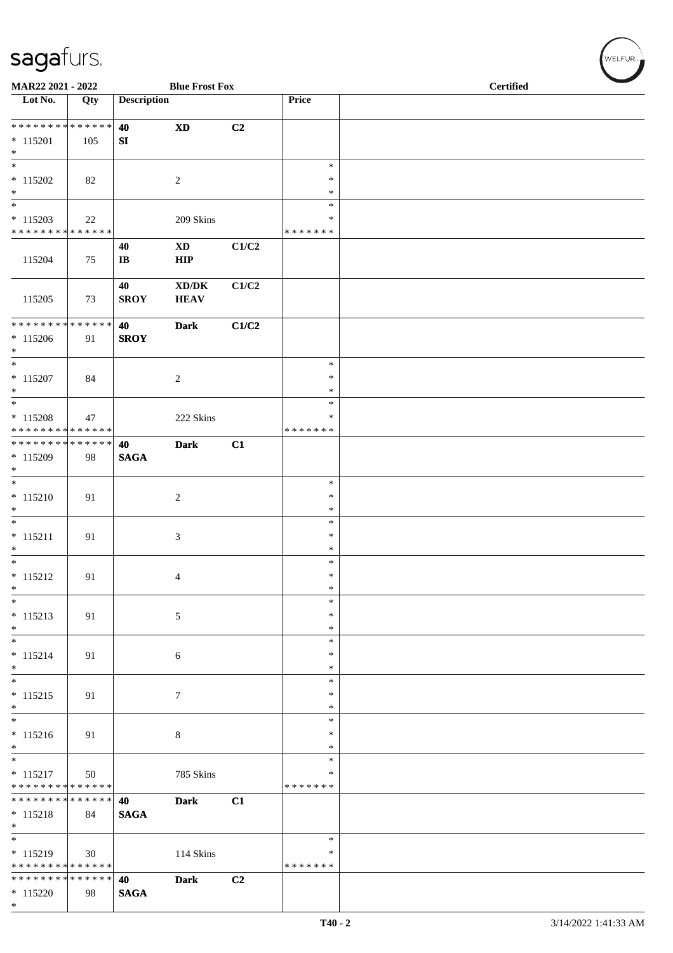\*

| MAR22 2021 - 2022                                                     |     |                              | <b>Blue Frost Fox</b>                                      |       |                            | <b>Certified</b> |  |  |
|-----------------------------------------------------------------------|-----|------------------------------|------------------------------------------------------------|-------|----------------------------|------------------|--|--|
| Lot No.                                                               | Qty | <b>Description</b>           |                                                            |       | Price                      |                  |  |  |
| **************                                                        |     | 40                           | $\mathbf{X}\mathbf{D}$                                     | C2    |                            |                  |  |  |
| $*115201$<br>$\ast$                                                   | 105 | SI                           |                                                            |       |                            |                  |  |  |
| $\overline{\phantom{0}}$<br>$* 115202$                                | 82  |                              | $\overline{c}$                                             |       | $\ast$<br>$\ast$           |                  |  |  |
| $\ast$                                                                |     |                              |                                                            |       | $\ast$                     |                  |  |  |
| $\overline{\phantom{0}}$<br>$* 115203$                                | 22  |                              | 209 Skins                                                  |       | $\ast$<br>$\ast$           |                  |  |  |
| * * * * * * * * * * * * * *                                           |     |                              |                                                            |       | * * * * * * *              |                  |  |  |
| 115204                                                                | 75  | 40<br>$\mathbf{I}\mathbf{B}$ | $\mathbf{X}\mathbf{D}$<br>${\bf HIP}$                      | C1/C2 |                            |                  |  |  |
| 115205                                                                | 73  | 40<br><b>SROY</b>            | $\mathbf{X}\mathbf{D}/\mathbf{D}\mathbf{K}$<br><b>HEAV</b> | C1/C2 |                            |                  |  |  |
| ******** <mark>******</mark><br>$*115206$                             | 91  | 40<br><b>SROY</b>            | <b>Dark</b>                                                | C1/C2 |                            |                  |  |  |
| $\ast$<br>$\overline{\phantom{a}^*}$                                  |     |                              |                                                            |       | $\ast$                     |                  |  |  |
| $* 115207$<br>$*$                                                     | 84  |                              | $\sqrt{2}$                                                 |       | $\ast$<br>$\ast$           |                  |  |  |
| $_{\ast}$                                                             |     |                              |                                                            |       | $\ast$                     |                  |  |  |
| $* 115208$<br>* * * * * * * * * * * * * *                             | 47  |                              | 222 Skins                                                  |       | ∗<br>* * * * * * *         |                  |  |  |
| **************                                                        |     | 40                           | <b>Dark</b>                                                | C1    |                            |                  |  |  |
| $*115209$<br>$*$                                                      | 98  | $\mathbf{SAGA}$              |                                                            |       |                            |                  |  |  |
| $\overline{\phantom{a}^*}$<br>$* 115210$<br>$\ast$                    | 91  |                              | $\overline{c}$                                             |       | $\ast$<br>$\ast$<br>$\ast$ |                  |  |  |
| $\ast$<br>$* 115211$                                                  | 91  |                              | 3                                                          |       | $\ast$<br>$\ast$           |                  |  |  |
| $\ast$<br>$\overline{\phantom{0}}$                                    |     |                              |                                                            |       | $\ast$<br>$\ast$           |                  |  |  |
| $* 115212$<br>$\ast$                                                  | 91  |                              | $\overline{4}$                                             |       | $\ast$<br>$\ast$           |                  |  |  |
| $\overline{\phantom{0}}$<br>$* 115213$                                | 91  |                              | $\sqrt{5}$                                                 |       | $\ast$<br>$\ast$           |                  |  |  |
| $\ast$<br>$\overline{\phantom{0}}$                                    |     |                              |                                                            |       | $\ast$<br>$\ast$           |                  |  |  |
| $* 115214$<br>$*$                                                     | 91  |                              | 6                                                          |       | $\ast$<br>$\ast$           |                  |  |  |
| $\overline{\phantom{a}^*}$                                            |     |                              |                                                            |       | $\ast$                     |                  |  |  |
| $* 115215$<br>$\ast$                                                  | 91  |                              | $\tau$                                                     |       | $\ast$<br>$\ast$           |                  |  |  |
| $_{\ast}^{-}$<br>$* 115216$                                           | 91  |                              |                                                            |       | $\ast$<br>$\ast$           |                  |  |  |
| $*$                                                                   |     |                              | 8                                                          |       | $\ast$                     |                  |  |  |
| $\overline{\phantom{0}}$<br>$* 115217$<br>* * * * * * * * * * * * * * | 50  |                              | 785 Skins                                                  |       | ∗<br>∗<br>* * * * * * *    |                  |  |  |
| * * * * * * * * * * * * * *                                           |     | 40                           | <b>Dark</b>                                                | C1    |                            |                  |  |  |
| $* 115218$<br>$\ast$                                                  | 84  | <b>SAGA</b>                  |                                                            |       |                            |                  |  |  |
| $\overline{\phantom{0}}$                                              |     |                              |                                                            |       | $\ast$                     |                  |  |  |
| $* 115219$<br>* * * * * * * * * * * * * *                             | 30  |                              | 114 Skins                                                  |       | $\ast$<br>* * * * * * *    |                  |  |  |
| * * * * * * * * * * * * * *                                           |     | 40                           | <b>Dark</b>                                                | C2    |                            |                  |  |  |
| $*115220$                                                             | 98  | <b>SAGA</b>                  |                                                            |       |                            |                  |  |  |

 $w$ ELFUR<sub>m</sub>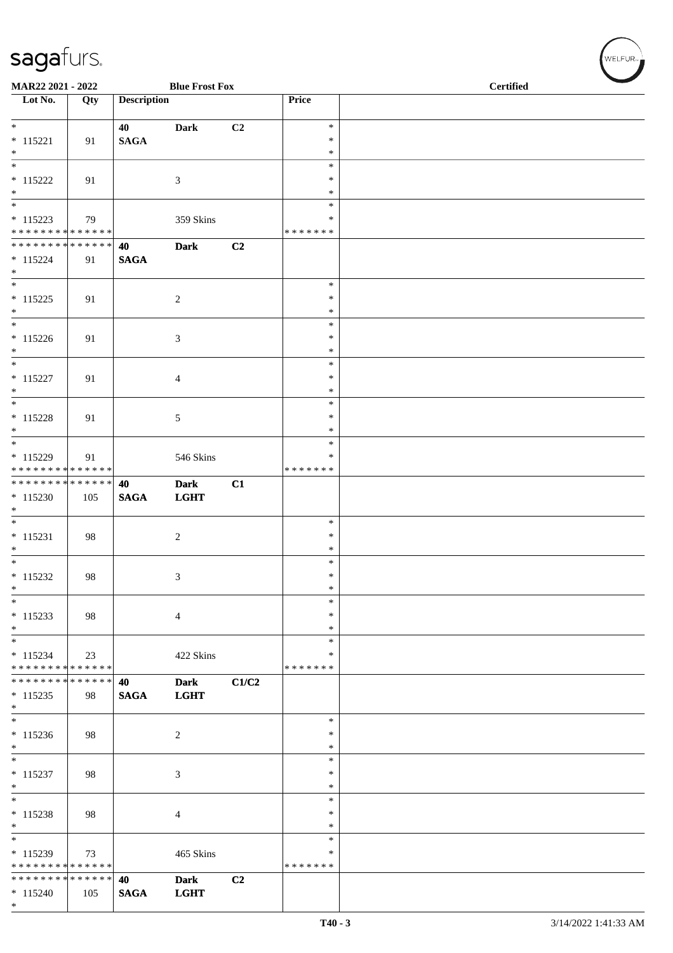| MAR22 2021 - 2022                           |     |                       | <b>Blue Frost Fox</b>      |                |                    | <b>Certified</b> |  |  |
|---------------------------------------------|-----|-----------------------|----------------------------|----------------|--------------------|------------------|--|--|
| $\overline{\phantom{1}}$ Lot No.            | Qty | <b>Description</b>    |                            |                | Price              |                  |  |  |
| $*$                                         |     |                       |                            |                | $\ast$             |                  |  |  |
| $* 115221$                                  | 91  | 40<br>$\mathbf{SAGA}$ | <b>Dark</b>                | C <sub>2</sub> | $\ast$             |                  |  |  |
| $*$                                         |     |                       |                            |                | $\ast$             |                  |  |  |
| $\overline{\phantom{a}^*}$                  |     |                       |                            |                | $\ast$             |                  |  |  |
| $* 115222$<br>$*$                           | 91  |                       | 3                          |                | $\ast$<br>$\ast$   |                  |  |  |
|                                             |     |                       |                            |                | $\ast$             |                  |  |  |
| $* 115223$                                  | 79  |                       | 359 Skins                  |                | ∗                  |                  |  |  |
| ******** <mark>******</mark>                |     |                       |                            |                | * * * * * * *      |                  |  |  |
| * * * * * * * * * * * * * * *<br>$* 115224$ | 91  | 40<br><b>SAGA</b>     | <b>Dark</b>                | C2             |                    |                  |  |  |
| $*$                                         |     |                       |                            |                |                    |                  |  |  |
| $\overline{\phantom{0}}$                    |     |                       |                            |                | $\ast$             |                  |  |  |
| $* 115225$<br>$*$                           | 91  |                       | $\sqrt{2}$                 |                | ∗<br>$\ast$        |                  |  |  |
| $*$                                         |     |                       |                            |                | $\ast$             |                  |  |  |
| $* 115226$                                  | 91  |                       | $\mathfrak{Z}$             |                | $\ast$             |                  |  |  |
| $*$<br>$*$                                  |     |                       |                            |                | $\ast$             |                  |  |  |
| $* 115227$                                  | 91  |                       | $\overline{4}$             |                | $\ast$<br>$\ast$   |                  |  |  |
| $*$                                         |     |                       |                            |                | $\ast$             |                  |  |  |
| $\overline{\phantom{a}^*}$                  |     |                       |                            |                | $\ast$             |                  |  |  |
| $* 115228$<br>$*$                           | 91  |                       | 5                          |                | ∗<br>$\ast$        |                  |  |  |
|                                             |     |                       |                            |                | $\ast$             |                  |  |  |
| $* 115229$                                  | 91  |                       | 546 Skins                  |                | ∗                  |                  |  |  |
| * * * * * * * * * * * * * *                 |     |                       |                            |                | * * * * * * *      |                  |  |  |
| ******** <mark>******</mark><br>$*115230$   | 105 | 40<br><b>SAGA</b>     | <b>Dark</b><br><b>LGHT</b> | C1             |                    |                  |  |  |
| $*$                                         |     |                       |                            |                |                    |                  |  |  |
|                                             |     |                       |                            |                | $\ast$             |                  |  |  |
| $* 115231$<br>$*$                           | 98  |                       | $\overline{c}$             |                | $\ast$<br>$\ast$   |                  |  |  |
| $*$                                         |     |                       |                            |                | $\ast$             |                  |  |  |
| $* 115232$                                  | 98  |                       | $\mathfrak{Z}$             |                | $\ast$             |                  |  |  |
| $\ast$                                      |     |                       |                            |                | $\ast$             |                  |  |  |
| $\ast$<br>$* 115233$                        | 98  |                       | $\overline{4}$             |                | $\ast$<br>$\ast$   |                  |  |  |
| $\ast$                                      |     |                       |                            |                | $\ast$             |                  |  |  |
| $\overline{\phantom{0}}$                    |     |                       |                            |                | $\ast$             |                  |  |  |
| $* 115234$<br>* * * * * * * * * * * * * *   | 23  |                       | 422 Skins                  |                | ∗<br>* * * * * * * |                  |  |  |
| * * * * * * * * * * * * * *                 |     | 40                    | <b>Dark</b>                | C1/C2          |                    |                  |  |  |
| $* 115235$                                  | 98  | <b>SAGA</b>           | <b>LGHT</b>                |                |                    |                  |  |  |
| $\ast$                                      |     |                       |                            |                |                    |                  |  |  |
| $*$<br>$* 115236$                           | 98  |                       | $\sqrt{2}$                 |                | $\ast$<br>$\ast$   |                  |  |  |
| $\ast$                                      |     |                       |                            |                | $\ast$             |                  |  |  |
| $\overline{\phantom{0}}$                    |     |                       |                            |                | $\ast$             |                  |  |  |
| $* 115237$                                  | 98  |                       | $\mathfrak{Z}$             |                | ∗                  |                  |  |  |
| $\ast$<br>$\overline{\phantom{a}^*}$        |     |                       |                            |                | ∗<br>$\ast$        |                  |  |  |
| $* 115238$                                  | 98  |                       | $\overline{4}$             |                | $\ast$             |                  |  |  |
| $\ast$                                      |     |                       |                            |                | ∗                  |                  |  |  |
| $\ast$<br>$* 115239$                        | 73  |                       | 465 Skins                  |                | $\ast$<br>$\ast$   |                  |  |  |
| * * * * * * * * * * * * * *                 |     |                       |                            |                | * * * * * * *      |                  |  |  |
| ******** <mark>******</mark>                |     | 40                    | <b>Dark</b>                | C2             |                    |                  |  |  |
| $* 115240$<br>$*$                           | 105 | <b>SAGA</b>           | <b>LGHT</b>                |                |                    |                  |  |  |
|                                             |     |                       |                            |                |                    |                  |  |  |

WELFUR<sub>"</sub>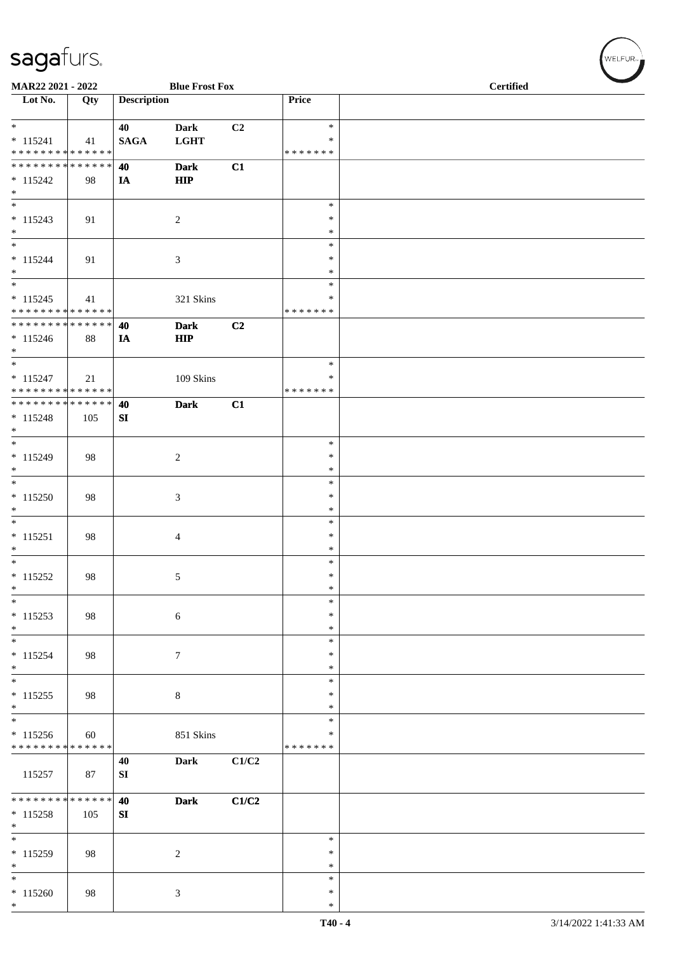| MAR22 2021 - 2022                                                       |     |                    | <b>Blue Frost Fox</b>      |       |                                   | <b>Certified</b> |  |  |
|-------------------------------------------------------------------------|-----|--------------------|----------------------------|-------|-----------------------------------|------------------|--|--|
| $\overline{\phantom{1}}$ Lot No.                                        | Qty | <b>Description</b> |                            |       | Price                             |                  |  |  |
| $*$<br>$* 115241$                                                       | 41  | 40<br><b>SAGA</b>  | <b>Dark</b><br><b>LGHT</b> | C2    | $\ast$<br>$\ast$                  |                  |  |  |
| * * * * * * * * * * * * * *<br>******** <mark>******</mark>             |     |                    |                            |       | * * * * * * *                     |                  |  |  |
| $* 115242$<br>$*$                                                       | 98  | 40<br>IA           | <b>Dark</b><br>HIP         | C1    |                                   |                  |  |  |
| $\ast$<br>$* 115243$                                                    | 91  |                    | $\overline{2}$             |       | $\ast$<br>$\ast$                  |                  |  |  |
| $\ast$<br>$_{\ast}$                                                     |     |                    |                            |       | $\ast$<br>$\ast$                  |                  |  |  |
| $* 115244$<br>$\ast$<br>$\overline{\phantom{a}^*}$                      | 91  |                    | 3                          |       | $\ast$<br>$\ast$                  |                  |  |  |
| $* 115245$<br>* * * * * * * * * * * * * *                               | 41  |                    | 321 Skins                  |       | $\ast$<br>$\ast$<br>* * * * * * * |                  |  |  |
| **************<br>$* 115246$<br>$*$                                     | 88  | 40<br>IA           | <b>Dark</b><br>HIP         | C2    |                                   |                  |  |  |
| $\overline{\phantom{0}}$<br>$* 115247$<br>* * * * * * * * * * * * * *   | 21  |                    | 109 Skins                  |       | $\ast$<br>∗<br>* * * * * * *      |                  |  |  |
| ******** <mark>******</mark><br>$* 115248$<br>$*$                       | 105 | 40<br>SI           | <b>Dark</b>                | C1    |                                   |                  |  |  |
| $\ast$<br>$* 115249$<br>$\ast$                                          | 98  |                    | $\sqrt{2}$                 |       | $\ast$<br>$\ast$<br>$\ast$        |                  |  |  |
| $\overline{\phantom{a}^*}$<br>$* 115250$<br>$\ast$                      | 98  |                    | 3                          |       | $\ast$<br>$\ast$<br>$\ast$        |                  |  |  |
| $\overline{\phantom{a}^*}$<br>$* 115251$<br>$\ast$                      | 98  |                    | $\overline{4}$             |       | $\ast$<br>$\ast$<br>$\ast$        |                  |  |  |
| $\overline{\ast}$<br>$* 115252$<br>$\ast$                               | 98  |                    | $\sqrt{5}$                 |       | $\ast$<br>$\ast$<br>$\ast$        |                  |  |  |
| $\ast$<br>$* 115253$<br>$\ast$                                          | 98  |                    | $\sqrt{6}$                 |       | $\ast$<br>$\ast$<br>$\ast$        |                  |  |  |
| $\overline{\phantom{0}}$<br>$* 115254$<br>$\ast$                        | 98  |                    | $\boldsymbol{7}$           |       | $\ast$<br>$\ast$<br>$\ast$        |                  |  |  |
| $\overline{\phantom{0}}$<br>$* 115255$<br>$\ast$                        | 98  |                    | $\,8\,$                    |       | $\ast$<br>$\ast$<br>$\ast$        |                  |  |  |
| $\overline{\phantom{a}^*}$<br>$* 115256$<br>* * * * * * * * * * * * * * | 60  |                    | 851 Skins                  |       | $\ast$<br>$\ast$<br>* * * * * * * |                  |  |  |
| 115257                                                                  | 87  | 40<br>${\bf SI}$   | <b>Dark</b>                | C1/C2 |                                   |                  |  |  |
| * * * * * * * * * * * * * *<br>$* 115258$<br>$\ast$                     | 105 | 40<br>SI           | <b>Dark</b>                | C1/C2 |                                   |                  |  |  |
| $\overline{\phantom{a}^*}$<br>$* 115259$<br>$\ast$                      | 98  |                    | $\sqrt{2}$                 |       | $\ast$<br>$\ast$<br>$\ast$        |                  |  |  |
| $\overline{\phantom{a}^*}$<br>$* 115260$<br>$\ast$                      | 98  |                    | $\mathfrak{Z}$             |       | $\ast$<br>$\ast$<br>$\ast$        |                  |  |  |

 $(w$ ELFUR<sub><sup>n</sub></sub></sub></sup>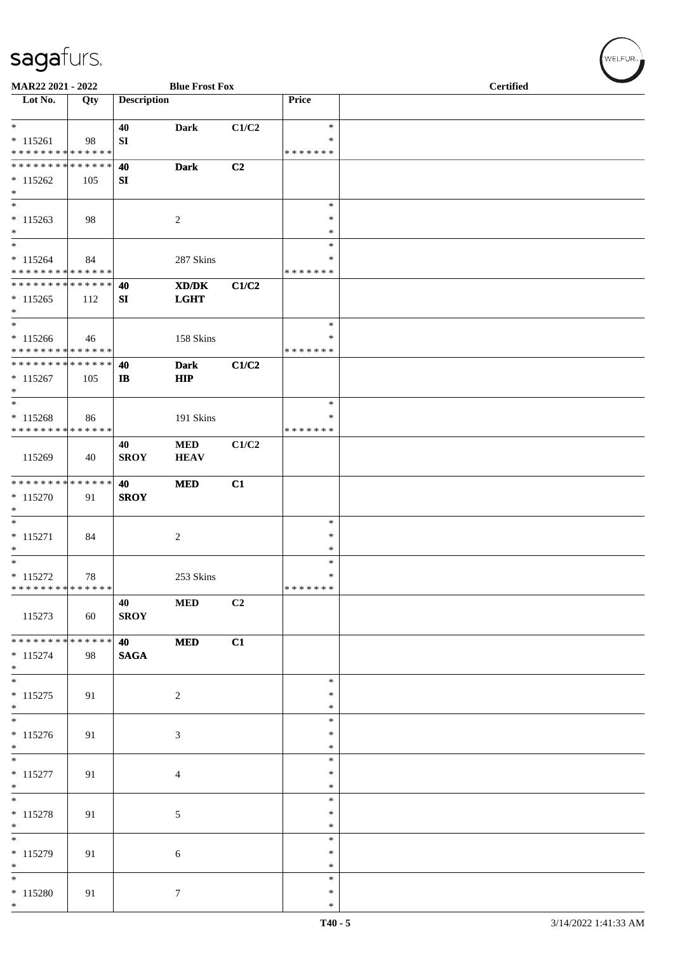| MAR22 2021 - 2022                                                       |     |                    | <b>Blue Frost Fox</b>     |                |                                   | <b>Certified</b> |  |
|-------------------------------------------------------------------------|-----|--------------------|---------------------------|----------------|-----------------------------------|------------------|--|
| $\overline{\phantom{1}}$ Lot No.                                        | Qty | <b>Description</b> |                           |                | Price                             |                  |  |
| $\ast$<br>$* 115261$<br>* * * * * * * * * * * * * *                     | 98  | 40<br>SI           | <b>Dark</b>               | C1/C2          | $\ast$<br>$\ast$<br>* * * * * * * |                  |  |
| ******** <mark>******</mark><br>$* 115262$<br>$\ast$                    | 105 | 40<br>SI           | <b>Dark</b>               | C <sub>2</sub> |                                   |                  |  |
| $\ast$<br>$* 115263$<br>$\ast$                                          | 98  |                    | $\overline{c}$            |                | $\ast$<br>$\ast$<br>$\ast$        |                  |  |
| $\ast$<br>$* 115264$<br>* * * * * * * * * * * * * *                     | 84  |                    | 287 Skins                 |                | $\ast$<br>∗<br>* * * * * * *      |                  |  |
| * * * * * * * * * * * * * *<br>$* 115265$<br>$\ast$                     | 112 | 40<br>SI           | XD/DK<br><b>LGHT</b>      | C1/C2          |                                   |                  |  |
| $\overline{\phantom{1}}$<br>$*115266$<br>* * * * * * * * * * * * * *    | 46  |                    | 158 Skins                 |                | $\ast$<br>∗<br>* * * * * * *      |                  |  |
| **************<br>$* 115267$<br>$\ast$                                  | 105 | 40<br>$\mathbf{I}$ | <b>Dark</b><br><b>HIP</b> | C1/C2          |                                   |                  |  |
| $\ast$<br>$* 115268$<br>* * * * * * * * * * * * * *                     | 86  |                    | 191 Skins                 |                | $\ast$<br>$\ast$<br>* * * * * * * |                  |  |
| 115269                                                                  | 40  | 40<br><b>SROY</b>  | $\bf MED$<br><b>HEAV</b>  | C1/C2          |                                   |                  |  |
| **************<br>$* 115270$<br>$\ast$                                  | 91  | 40<br><b>SROY</b>  | <b>MED</b>                | C1             |                                   |                  |  |
| $\ast$<br>$* 115271$<br>$\ast$                                          | 84  |                    | $\sqrt{2}$                |                | $\ast$<br>$\ast$<br>$\ast$        |                  |  |
| $\overline{\phantom{a}^*}$<br>$* 115272$<br>* * * * * * * * * * * * * * | 78  |                    | 253 Skins                 |                | $\ast$<br>$\ast$<br>*******       |                  |  |
| 115273                                                                  | 60  | 40<br><b>SROY</b>  | $\bf MED$                 | C2             |                                   |                  |  |
| * * * * * * * * * * * * * *<br>$* 115274$<br>$*$                        | 98  | 40<br><b>SAGA</b>  | <b>MED</b>                | C1             |                                   |                  |  |
| $\overline{\phantom{0}}$<br>$* 115275$<br>$*$                           | 91  |                    | $\overline{c}$            |                | $\ast$<br>∗<br>$\ast$             |                  |  |
| $\overline{\phantom{a}^*}$<br>$* 115276$<br>$*$                         | 91  |                    | 3                         |                | $\ast$<br>$\ast$<br>$\ast$        |                  |  |
| $*$<br>$* 115277$<br>$\ast$                                             | 91  |                    | $\overline{4}$            |                | $\ast$<br>$\ast$<br>$\ast$        |                  |  |
| $\frac{1}{*}$<br>$* 115278$<br>$\ast$                                   | 91  |                    | $\sqrt{5}$                |                | $\ast$<br>∗<br>$\ast$             |                  |  |
| $\overline{\phantom{0}}$<br>$* 115279$<br>$*$                           | 91  |                    | $6\,$                     |                | $\ast$<br>$\ast$<br>$\ast$        |                  |  |
| $*$<br>$*115280$<br>$*$                                                 | 91  |                    | $\tau$                    |                | $\ast$<br>$\ast$<br>$\ast$        |                  |  |

WELFUR<sub><sup>N</sub></sub></sub></sup>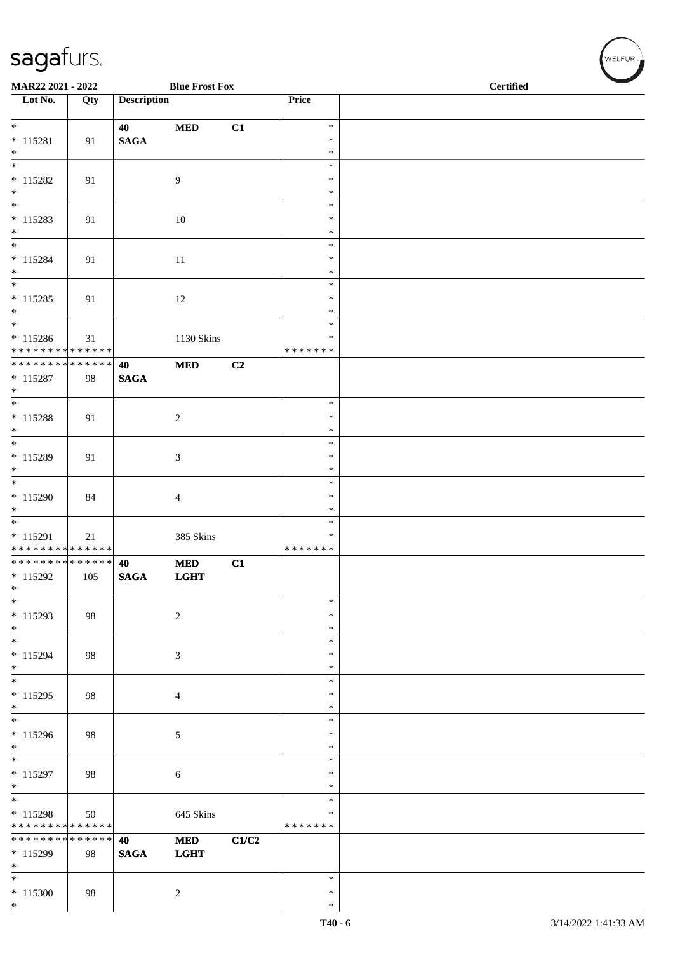| MAR22 2021 - 2022                                            |     |                    | <b>Blue Frost Fox</b> |       |                         | <b>Certified</b> |
|--------------------------------------------------------------|-----|--------------------|-----------------------|-------|-------------------------|------------------|
| Lot No.                                                      | Qty | <b>Description</b> |                       |       | Price                   |                  |
| $*$                                                          |     | 40                 | $\bf MED$             | C1    | $\ast$                  |                  |
| $* 115281$                                                   | 91  | $\mathbf{SAGA}$    |                       |       | $\ast$                  |                  |
| $*$                                                          |     |                    |                       |       | $\ast$<br>$\ast$        |                  |
| $* 115282$                                                   | 91  |                    | 9                     |       | $\ast$                  |                  |
| $*$                                                          |     |                    |                       |       | $\ast$                  |                  |
| $\overline{\phantom{0}}$                                     |     |                    |                       |       | $\ast$                  |                  |
| $* 115283$<br>$*$                                            | 91  |                    | 10                    |       | $\ast$<br>$\ast$        |                  |
| $*$                                                          |     |                    |                       |       | $\ast$                  |                  |
| $* 115284$                                                   | 91  |                    | 11                    |       | $\ast$                  |                  |
| $*$<br>$\overline{\ast}$                                     |     |                    |                       |       | $\ast$                  |                  |
| $* 115285$                                                   | 91  |                    | 12                    |       | $\ast$<br>$\ast$        |                  |
| $*$                                                          |     |                    |                       |       | $\ast$                  |                  |
| $\overline{\phantom{0}}$                                     |     |                    |                       |       | $\ast$                  |                  |
| $* 115286$                                                   | 31  |                    | 1130 Skins            |       | $\ast$                  |                  |
| * * * * * * * * * * * * * *<br>* * * * * * * * * * * * * * * |     | 40                 | <b>MED</b>            | C2    | * * * * * * *           |                  |
| $* 115287$                                                   | 98  | <b>SAGA</b>        |                       |       |                         |                  |
| $*$                                                          |     |                    |                       |       |                         |                  |
|                                                              |     |                    |                       |       | $\ast$                  |                  |
| * 115288<br>$\ast$                                           | 91  |                    | $\overline{c}$        |       | $\ast$<br>$\ast$        |                  |
|                                                              |     |                    |                       |       | $\ast$                  |                  |
| * 115289                                                     | 91  |                    | 3                     |       | $\ast$                  |                  |
| $*$<br>$\overline{\phantom{0}}$                              |     |                    |                       |       | $\ast$<br>$\ast$        |                  |
| $*115290$                                                    | 84  |                    | 4                     |       | $\ast$                  |                  |
| $*$                                                          |     |                    |                       |       | $\ast$                  |                  |
|                                                              |     |                    |                       |       | $\ast$                  |                  |
| $* 115291$<br>******** <mark>******</mark>                   | 21  |                    | 385 Skins             |       | $\ast$<br>* * * * * * * |                  |
| * * * * * * * * * * * * * * *                                |     | 40                 | <b>MED</b>            | C1    |                         |                  |
| $* 115292$                                                   | 105 | <b>SAGA</b>        | <b>LGHT</b>           |       |                         |                  |
| $\ast$                                                       |     |                    |                       |       |                         |                  |
| $\ast$<br>$* 115293$                                         | 98  |                    | $\overline{c}$        |       | $\ast$<br>$\ast$        |                  |
| $*$                                                          |     |                    |                       |       | $\ast$                  |                  |
| $*$                                                          |     |                    |                       |       | $\ast$                  |                  |
| $* 115294$                                                   | 98  |                    | 3                     |       | $\ast$                  |                  |
| $*$<br>$\overline{\ast}$                                     |     |                    |                       |       | $\ast$<br>$\ast$        |                  |
| $* 115295$                                                   | 98  |                    | 4                     |       | $\ast$                  |                  |
| $*$                                                          |     |                    |                       |       | $\ast$                  |                  |
| $* 115296$                                                   |     |                    |                       |       | $\ast$<br>∗             |                  |
| $*$                                                          | 98  |                    | $\sqrt{5}$            |       | $\ast$                  |                  |
| $\overline{\ast}$                                            |     |                    |                       |       | $\ast$                  |                  |
| $* 115297$                                                   | 98  |                    | $\sqrt{6}$            |       | $\ast$                  |                  |
| $*$<br>$*$                                                   |     |                    |                       |       | $\ast$<br>$\ast$        |                  |
| $* 115298$                                                   | 50  |                    | 645 Skins             |       | $\ast$                  |                  |
| * * * * * * * * * * * * * * *                                |     |                    |                       |       | * * * * * * *           |                  |
| * * * * * * * * * * * * * *                                  |     | 40                 | <b>MED</b>            | C1/C2 |                         |                  |
| * 115299<br>$*$                                              | 98  | <b>SAGA</b>        | <b>LGHT</b>           |       |                         |                  |
| $*$                                                          |     |                    |                       |       | $\ast$                  |                  |
| $* 115300$                                                   | 98  |                    | $\overline{c}$        |       | $\ast$                  |                  |
| $*$                                                          |     |                    |                       |       | $\ast$                  |                  |

WELFUR<sub><sup>N</sup></sub>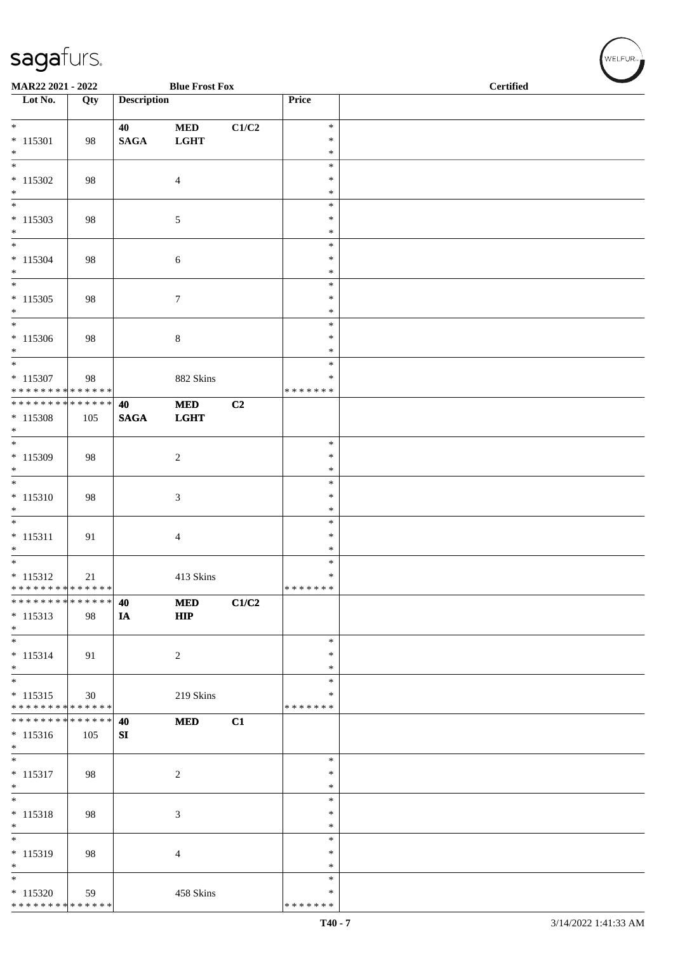| MAR22 2021 - 2022                    |     |                    | <b>Blue Frost Fox</b> |                           |                  | <b>Certified</b> |  |
|--------------------------------------|-----|--------------------|-----------------------|---------------------------|------------------|------------------|--|
| $\overline{\phantom{1}}$ Lot No.     | Qty | <b>Description</b> |                       |                           | Price            |                  |  |
|                                      |     |                    |                       |                           |                  |                  |  |
| $\ast$                               |     | 40                 | $\bf MED$             | $\mathbf{C1}/\mathbf{C2}$ | $\ast$           |                  |  |
| $* 115301$                           | 98  | <b>SAGA</b>        | <b>LGHT</b>           |                           | $\ast$           |                  |  |
| $\ast$                               |     |                    |                       |                           | $\ast$           |                  |  |
| $\ast$                               |     |                    |                       |                           | $\ast$<br>$\ast$ |                  |  |
| $* 115302$<br>$\ast$                 | 98  |                    | $\overline{4}$        |                           | $\ast$           |                  |  |
| $\ast$                               |     |                    |                       |                           | $\ast$           |                  |  |
| $* 115303$                           | 98  |                    | $\sqrt{5}$            |                           | $\ast$           |                  |  |
| $\ast$                               |     |                    |                       |                           | $\ast$           |                  |  |
| $_{\ast}$                            |     |                    |                       |                           | $\ast$           |                  |  |
| $* 115304$                           | 98  |                    | 6                     |                           | $\ast$           |                  |  |
| $\ast$<br>$\overline{\phantom{a}^*}$ |     |                    |                       |                           | $\ast$           |                  |  |
|                                      |     |                    |                       |                           | $\ast$           |                  |  |
| $*115305$                            | 98  |                    | $\boldsymbol{7}$      |                           | $\ast$<br>$\ast$ |                  |  |
| $*$<br>$*$                           |     |                    |                       |                           | $\ast$           |                  |  |
| $*115306$                            | 98  |                    | $\,8\,$               |                           | $\ast$           |                  |  |
| $\ast$                               |     |                    |                       |                           | $\ast$           |                  |  |
| $\ast$                               |     |                    |                       |                           | $\ast$           |                  |  |
| $* 115307$                           | 98  |                    | 882 Skins             |                           | $\ast$           |                  |  |
| * * * * * * * * * * * * * *          |     |                    |                       |                           | * * * * * * *    |                  |  |
| **************                       |     | 40                 | $\bf MED$             | C2                        |                  |                  |  |
| $* 115308$                           | 105 | <b>SAGA</b>        | <b>LGHT</b>           |                           |                  |                  |  |
| $\ast$<br>$\ast$                     |     |                    |                       |                           | $\ast$           |                  |  |
| $* 115309$                           | 98  |                    | $\sqrt{2}$            |                           | $\ast$           |                  |  |
| $\ast$                               |     |                    |                       |                           | $\ast$           |                  |  |
| $\overline{\ast}$                    |     |                    |                       |                           | $\ast$           |                  |  |
| $* 115310$                           | 98  |                    | $\sqrt{3}$            |                           | $\ast$           |                  |  |
| $\ast$                               |     |                    |                       |                           | $\ast$           |                  |  |
| $\overline{\phantom{0}}$             |     |                    |                       |                           | $\ast$           |                  |  |
| $* 115311$                           | 91  |                    | $\overline{4}$        |                           | $\ast$           |                  |  |
| $\ast$<br>$\ast$                     |     |                    |                       |                           | $\ast$           |                  |  |
| $* 115312$                           | 21  |                    | 413 Skins             |                           | $\ast$<br>$\ast$ |                  |  |
| * * * * * * * * * * * * * * *        |     |                    |                       |                           | *******          |                  |  |
| **************                       |     | 40                 | $\bf MED$             | C1/C2                     |                  |                  |  |
| $* 115313$                           | 98  | IA                 | HIP                   |                           |                  |                  |  |
| $\ast$                               |     |                    |                       |                           |                  |                  |  |
| $\overline{\phantom{0}}$             |     |                    |                       |                           | $\ast$           |                  |  |
| $* 115314$                           | 91  |                    | $\overline{c}$        |                           | ∗                |                  |  |
| $*$                                  |     |                    |                       |                           | $\ast$           |                  |  |
| $\ast$<br>$* 115315$                 |     |                    | 219 Skins             |                           | $\ast$<br>$\ast$ |                  |  |
| * * * * * * * * * * * * * *          | 30  |                    |                       |                           | * * * * * * *    |                  |  |
| * * * * * * * * * * * * * *          |     | 40                 | <b>MED</b>            | C1                        |                  |                  |  |
| $* 115316$                           | 105 | SI                 |                       |                           |                  |                  |  |
| $\ast$                               |     |                    |                       |                           |                  |                  |  |
| $\overline{\phantom{0}}$             |     |                    |                       |                           | $\ast$           |                  |  |
| $* 115317$                           | 98  |                    | $\overline{c}$        |                           | $\ast$           |                  |  |
| $\ast$                               |     |                    |                       |                           | $\ast$           |                  |  |
| $\overline{\ }$                      |     |                    |                       |                           | $\ast$           |                  |  |
| $* 115318$<br>$\ast$                 | 98  |                    | $\mathfrak{Z}$        |                           | $\ast$<br>$\ast$ |                  |  |
| $\overline{\phantom{0}}$             |     |                    |                       |                           | $\ast$           |                  |  |
| $* 115319$                           | 98  |                    | $\overline{4}$        |                           | $\ast$           |                  |  |
| $\ast$                               |     |                    |                       |                           | $\ast$           |                  |  |
| $_{\ast}$                            |     |                    |                       |                           | $\ast$           |                  |  |
| $* 115320$                           | 59  |                    | 458 Skins             |                           | ∗                |                  |  |
| ******** <mark>******</mark>         |     |                    |                       |                           | * * * * * * *    |                  |  |

WELFUR<sub>T</sub>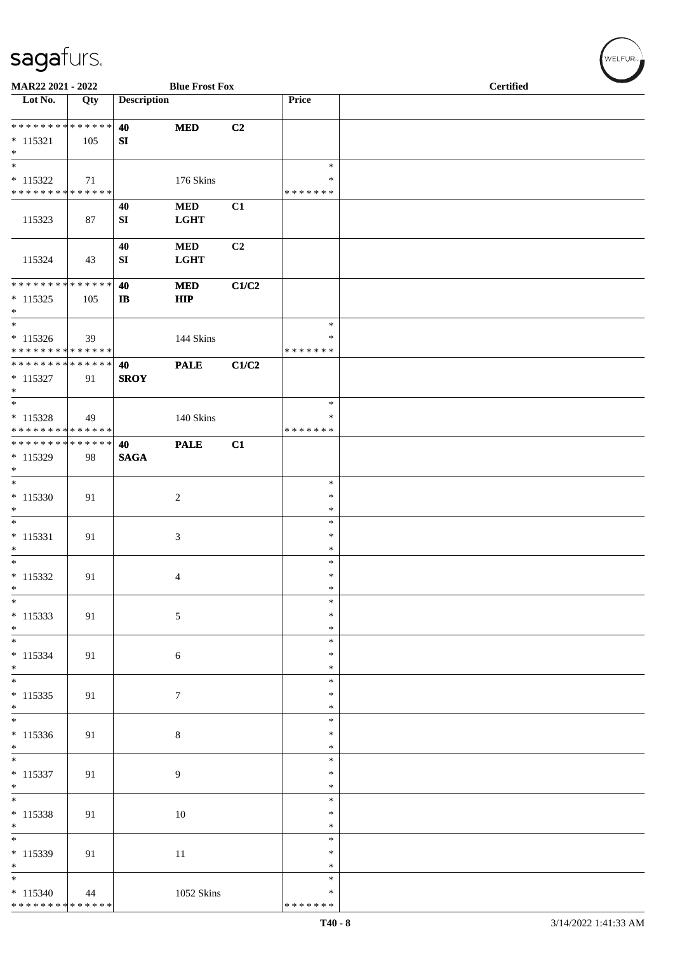| MAR22 2021 - 2022                         |     |                    | <b>Blue Frost Fox</b>    |       |                    | <b>Certified</b> |
|-------------------------------------------|-----|--------------------|--------------------------|-------|--------------------|------------------|
| Lot No.                                   | Qty | <b>Description</b> |                          |       | Price              |                  |
| **************                            |     | 40                 | $\bf MED$                | C2    |                    |                  |
| $* 115321$<br>$\ast$                      | 105 | SI                 |                          |       |                    |                  |
| $\ast$                                    |     |                    |                          |       | $\ast$             |                  |
| $* 115322$                                | 71  |                    | 176 Skins                |       | $\ast$             |                  |
| * * * * * * * * * * * * * *               |     |                    |                          |       | * * * * * * *      |                  |
| 115323                                    | 87  | 40<br>SI           | $\bf MED$<br><b>LGHT</b> | C1    |                    |                  |
| 115324                                    | 43  | 40<br>SI           | $\bf MED$<br>LGHT        | C2    |                    |                  |
| **************                            |     | 40                 | <b>MED</b>               | C1/C2 |                    |                  |
| $* 115325$<br>$\ast$                      | 105 | $\mathbf{I}$       | ${\bf HIP}$              |       |                    |                  |
| $_{\ast}^{-}$                             |     |                    |                          |       | $\ast$             |                  |
| $* 115326$<br>* * * * * * * * * * * * * * | 39  |                    | 144 Skins                |       | *<br>* * * * * * * |                  |
| **************                            |     | 40                 | <b>PALE</b>              | C1/C2 |                    |                  |
| $* 115327$                                | 91  | <b>SROY</b>        |                          |       |                    |                  |
| $\ast$                                    |     |                    |                          |       |                    |                  |
| $\ast$                                    |     |                    |                          |       | $\ast$             |                  |
| $* 115328$<br>* * * * * * * * * * * * * * | 49  |                    | 140 Skins                |       | ∗<br>* * * * * * * |                  |
| **************                            |     | 40                 | <b>PALE</b>              | C1    |                    |                  |
| $* 115329$                                | 98  | <b>SAGA</b>        |                          |       |                    |                  |
| $\ast$                                    |     |                    |                          |       |                    |                  |
| $\ast$                                    |     |                    |                          |       | $\ast$<br>$\ast$   |                  |
| $* 115330$<br>$\ast$                      | 91  |                    | $\sqrt{2}$               |       | $\ast$             |                  |
| $\overline{\phantom{a}^*}$                |     |                    |                          |       | $\ast$             |                  |
| $* 115331$                                | 91  |                    | 3                        |       | $\ast$             |                  |
| $\ast$<br>$*$                             |     |                    |                          |       | $\ast$             |                  |
| $* 115332$                                | 91  |                    | 4                        |       | $\ast$<br>$\ast$   |                  |
| $\ast$                                    |     |                    |                          |       | $\ast$             |                  |
| $\overline{\phantom{a}^*}$                |     |                    |                          |       | $\ast$             |                  |
| $* 115333$                                | 91  |                    | $\sqrt{5}$               |       | $\ast$             |                  |
| $*$<br>$\overline{\phantom{0}}$           |     |                    |                          |       | $\ast$<br>$\ast$   |                  |
| $* 115334$                                | 91  |                    | $\sqrt{6}$               |       | $\ast$             |                  |
| $*$                                       |     |                    |                          |       | $\ast$             |                  |
|                                           |     |                    |                          |       | $\ast$             |                  |
| $* 115335$<br>$*$                         | 91  |                    | $\boldsymbol{7}$         |       | $\ast$<br>$\ast$   |                  |
| $\overline{\phantom{a}^*}$                |     |                    |                          |       | $\ast$             |                  |
| $* 115336$                                | 91  |                    | 8                        |       | $\ast$             |                  |
| $\ast$                                    |     |                    |                          |       | $\ast$             |                  |
| $\overline{\phantom{0}}$                  |     |                    |                          |       | $\ast$             |                  |
| $* 115337$<br>$\ast$                      | 91  |                    | 9                        |       | $\ast$<br>$\ast$   |                  |
| $\overline{\phantom{0}}$                  |     |                    |                          |       | $\ast$             |                  |
| $* 115338$                                | 91  |                    | 10                       |       | $\ast$             |                  |
| $*$                                       |     |                    |                          |       | $\ast$             |                  |
| $\overline{\phantom{a}^*}$                |     |                    |                          |       | $\ast$             |                  |
| $* 115339$<br>$\ast$                      | 91  |                    | 11                       |       | $\ast$<br>$\ast$   |                  |
| $\overline{\ast}$                         |     |                    |                          |       | $\ast$             |                  |
| $*115340$                                 | 44  |                    | 1052 Skins               |       | $\ast$             |                  |
| ******** <mark>******</mark>              |     |                    |                          |       | * * * * * * *      |                  |

 $(\forall ELFUR_{\approx})$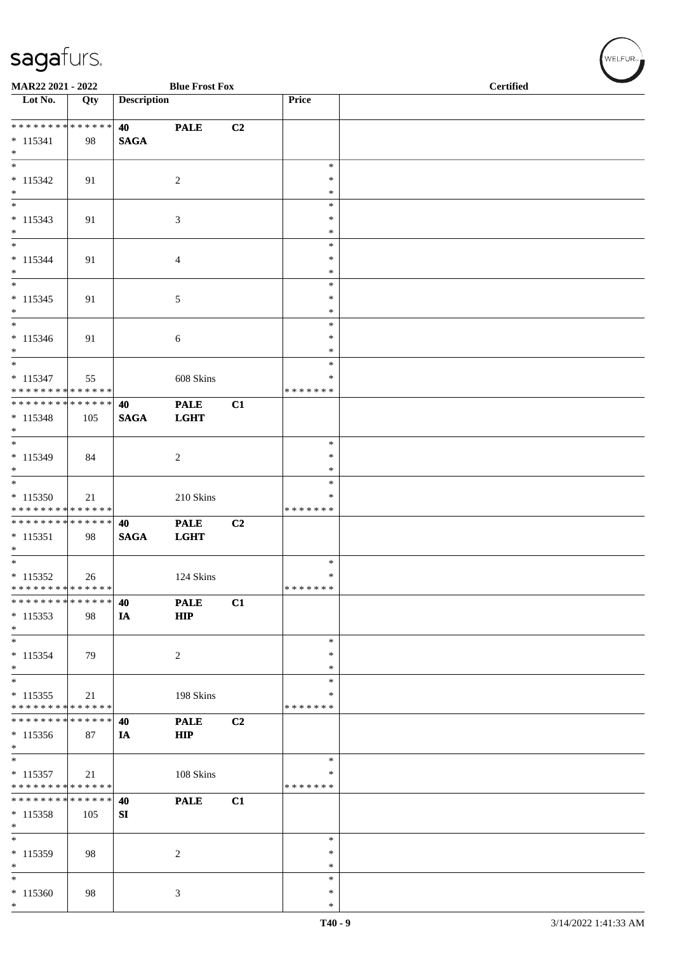| MAR22 2021 - 2022                                  |     |                    | <b>Blue Frost Fox</b>      |    |                    | <b>Certified</b> |  |
|----------------------------------------------------|-----|--------------------|----------------------------|----|--------------------|------------------|--|
| Lot No.                                            | Qty | <b>Description</b> |                            |    | Price              |                  |  |
| * * * * * * * * * * * * * *                        |     | 40                 | <b>PALE</b>                | C2 |                    |                  |  |
| $* 115341$<br>$*$                                  | 98  | <b>SAGA</b>        |                            |    |                    |                  |  |
| $\overline{\phantom{0}}$                           |     |                    |                            |    | $\ast$             |                  |  |
| $* 115342$<br>$*$                                  | 91  |                    | $\sqrt{2}$                 |    | $\ast$<br>$\ast$   |                  |  |
| $*$<br>$* 115343$                                  | 91  |                    | 3                          |    | $\ast$<br>$\ast$   |                  |  |
| $*$<br>$\ast$                                      |     |                    |                            |    | $\ast$<br>$\ast$   |                  |  |
| $* 115344$                                         | 91  |                    | $\overline{4}$             |    | *                  |                  |  |
| $*$<br>$\overline{\phantom{0}}$                    |     |                    |                            |    | $\ast$<br>$\ast$   |                  |  |
| $* 115345$<br>$*$                                  | 91  |                    | 5                          |    | $\ast$<br>$\ast$   |                  |  |
| $*$                                                |     |                    |                            |    | $\ast$             |                  |  |
| $* 115346$<br>$*$                                  | 91  |                    | 6                          |    | $\ast$<br>$\ast$   |                  |  |
| $\overline{\phantom{0}}$<br>$* 115347$             |     |                    | 608 Skins                  |    | $\ast$<br>∗        |                  |  |
| * * * * * * * * * * * * * *                        | 55  |                    |                            |    | * * * * * * *      |                  |  |
| * * * * * * * * * * * * * * *<br>$* 115348$<br>$*$ | 105 | 40<br><b>SAGA</b>  | <b>PALE</b><br><b>LGHT</b> | C1 |                    |                  |  |
| $*$                                                |     |                    |                            |    | $\ast$             |                  |  |
| $* 115349$<br>$*$                                  | 84  |                    | $\overline{2}$             |    | $\ast$<br>$\ast$   |                  |  |
| $\ast$<br>$* 115350$                               |     |                    |                            |    | $\ast$<br>∗        |                  |  |
| * * * * * * * * * * * * * *                        | 21  |                    | 210 Skins                  |    | * * * * * * *      |                  |  |
| * * * * * * * * * * * * * *<br>$* 115351$<br>$*$   | 98  | 40<br><b>SAGA</b>  | <b>PALE</b><br><b>LGHT</b> | C2 |                    |                  |  |
| $*$<br>$* 115352$                                  |     |                    | 124 Skins                  |    | $\ast$<br>$\ast$   |                  |  |
| * * * * * * * * * * * * * *                        | 26  |                    |                            |    | * * * * * * *      |                  |  |
| * * * * * * * * * * * * * *<br>$*115353$<br>$*$    | 98  | 40<br>IA           | <b>PALE</b><br><b>HIP</b>  | C1 |                    |                  |  |
| $\overline{\phantom{a}^*}$<br>$* 115354$           | 79  |                    | $\sqrt{2}$                 |    | $\ast$<br>$\ast$   |                  |  |
| $*$<br>$*$                                         |     |                    |                            |    | $\ast$<br>$\ast$   |                  |  |
| $* 115355$<br>* * * * * * * * * * * * * *          | 21  |                    | 198 Skins                  |    | *<br>* * * * * * * |                  |  |
| * * * * * * * * * * * * * *                        |     | 40                 | <b>PALE</b>                | C2 |                    |                  |  |
| $*115356$<br>$*$                                   | 87  | IA                 | <b>HIP</b>                 |    |                    |                  |  |
| $\ast$<br>$* 115357$                               | 21  |                    | 108 Skins                  |    | $\ast$<br>∗        |                  |  |
| * * * * * * * * * * * * * *                        |     |                    |                            |    | * * * * * * *      |                  |  |
| **************<br>$*115358$<br>$\ast$              | 105 | 40<br>SI           | <b>PALE</b>                | C1 |                    |                  |  |
| $\ast$                                             |     |                    |                            |    | $\ast$             |                  |  |
| $* 115359$<br>$*$                                  | 98  |                    | $\overline{c}$             |    | $\ast$<br>*        |                  |  |
| $*$<br>$*115360$                                   | 98  |                    | 3                          |    | $\ast$<br>$\ast$   |                  |  |
| $*$                                                |     |                    |                            |    | $\ast$             |                  |  |

 $(\forall ELEUR_{\text{max}})$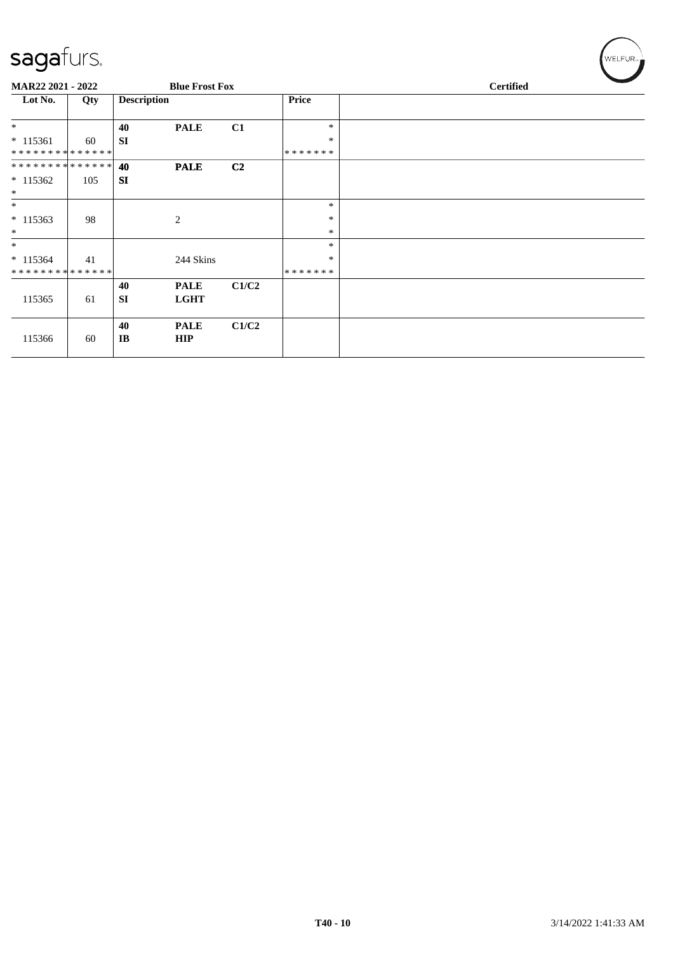| MAR22 2021 - 2022 |     |                    | <b>Blue Frost Fox</b> |                |               |  |  |  |
|-------------------|-----|--------------------|-----------------------|----------------|---------------|--|--|--|
| Lot No.           | Qty | <b>Description</b> |                       |                | <b>Price</b>  |  |  |  |
| $\ast$            |     | 40                 | <b>PALE</b>           | C1             | $\ast$        |  |  |  |
| $* 115361$        | 60  | <b>SI</b>          |                       |                | $\ast$        |  |  |  |
| **************    |     |                    |                       |                | * * * * * * * |  |  |  |
| **************    |     | 40                 | <b>PALE</b>           | C <sub>2</sub> |               |  |  |  |
| $*115362$         | 105 | <b>SI</b>          |                       |                |               |  |  |  |
| $*$               |     |                    |                       |                |               |  |  |  |
| $\ast$            |     |                    |                       |                | $\ast$        |  |  |  |
| $* 115363$        | 98  |                    | $\overline{c}$        |                | $\ast$        |  |  |  |
| $\ast$            |     |                    |                       |                | $\ast$        |  |  |  |
| $*$               |     |                    |                       |                | $\ast$        |  |  |  |
| $* 115364$        | 41  |                    | 244 Skins             |                | ∗             |  |  |  |
| **************    |     |                    |                       |                | *******       |  |  |  |
|                   |     | 40                 | <b>PALE</b>           | C1/C2          |               |  |  |  |
| 115365            | 61  | <b>SI</b>          | <b>LGHT</b>           |                |               |  |  |  |
|                   |     |                    |                       |                |               |  |  |  |
|                   |     | 40                 | <b>PALE</b>           | C1/C2          |               |  |  |  |
| 115366            | 60  | IB                 | <b>HIP</b>            |                |               |  |  |  |
|                   |     |                    |                       |                |               |  |  |  |

 $(w$ ELFUR<sub>™</sub>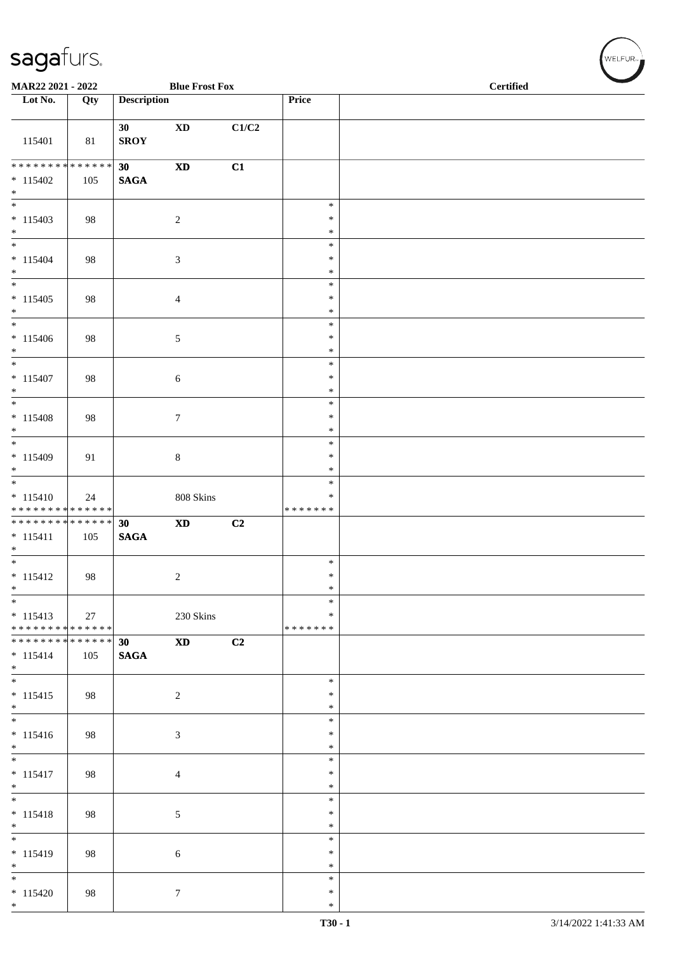| MAR22 2021 - 2022                                                          |     |                                | <b>Blue Frost Fox</b>                   |       |                                      | <b>Certified</b> |
|----------------------------------------------------------------------------|-----|--------------------------------|-----------------------------------------|-------|--------------------------------------|------------------|
| Lot No.                                                                    | Qty | <b>Description</b>             |                                         |       | Price                                |                  |
| 115401                                                                     | 81  | 30<br><b>SROY</b>              | $\mathbf{X}\mathbf{D}$                  | C1/C2 |                                      |                  |
| * * * * * * * * * * * * * *<br>$* 115402$<br>$*$                           | 105 | 30<br>$\mathbf{SAGA}$          | $\boldsymbol{\mathrm{XD}}$              | C1    |                                      |                  |
| $\overline{\ast}$<br>$* 115403$<br>$*$                                     | 98  |                                | $\sqrt{2}$                              |       | $\ast$<br>$\ast$<br>$\ast$           |                  |
| $\overline{\phantom{a}^*}$<br>$* 115404$<br>$\ast$                         | 98  |                                | $\mathfrak{Z}$                          |       | $\ast$<br>$\ast$<br>$\ast$           |                  |
| $\frac{1}{1}$<br>$* 115405$<br>$*$                                         | 98  |                                | $\overline{4}$                          |       | $\ast$<br>∗<br>$\ast$                |                  |
| $*$<br>$* 115406$<br>$*$<br>$\overline{\phantom{0}}$                       | 98  |                                | $5\phantom{.0}$                         |       | $\ast$<br>$\ast$<br>$\ast$           |                  |
| $* 115407$<br>$*$<br>$\overline{\phantom{0}}$                              | 98  |                                | $\sqrt{6}$                              |       | $\ast$<br>$\ast$<br>$\ast$<br>$\ast$ |                  |
| $* 115408$<br>$*$<br>$*$                                                   | 98  |                                | $\tau$                                  |       | $\ast$<br>$\ast$<br>$\ast$           |                  |
| $* 115409$<br>$*$<br>$\overline{\phantom{0}}$                              | 91  |                                | $\,8\,$                                 |       | $\ast$<br>$\ast$<br>$\ast$           |                  |
| $* 115410$<br>* * * * * * * * * * * * * *<br>* * * * * * * * * * * * * * * | 24  | 30                             | 808 Skins<br>$\boldsymbol{\mathrm{XD}}$ |       | $\ast$<br>* * * * * * *              |                  |
| $* 115411$<br>$*$                                                          | 105 | <b>SAGA</b>                    |                                         | C2    | $\ast$                               |                  |
| $* 115412$<br>$\ast$<br>$\overline{\phantom{1}}$                           | 98  |                                | $\boldsymbol{2}$                        |       | $\ast$<br>$\ast$<br>$\ast$           |                  |
| $* 115413$<br>* * * * * * * * * * * * * *<br>* * * * * * * * * * * * * * * | 27  |                                | 230 Skins                               |       | $\ast$<br>* * * * * * *              |                  |
| $* 115414$<br>$*$<br>$*$                                                   | 105 | 30 <sup>°</sup><br><b>SAGA</b> | $\boldsymbol{\mathrm{XD}}$              | C2    |                                      |                  |
| $* 115415$<br>$*$<br>$\overline{\phantom{0}}$                              | 98  |                                | $\overline{c}$                          |       | $\ast$<br>$\ast$<br>*<br>$\ast$      |                  |
| $* 115416$<br>$\ast$                                                       | 98  |                                | 3                                       |       | $\ast$<br>$\ast$                     |                  |
| $* 115417$<br>$*$<br>$\overline{\phantom{0}}$                              | 98  |                                | $\overline{4}$                          |       | $\ast$<br>∗<br>$\ast$                |                  |
| $* 115418$<br>$*$<br>$\overline{\phantom{a}^*}$                            | 98  |                                | $5\,$                                   |       | $\ast$<br>$\ast$<br>*                |                  |
| $* 115419$<br>$\ast$<br>$\overline{\ast}$                                  | 98  |                                | 6                                       |       | $\ast$<br>$\ast$<br>$\ast$           |                  |
| $* 115420$<br>$*$                                                          | 98  |                                | $\tau$                                  |       | $\ast$<br>$\ast$<br>$\ast$           |                  |

 $(w$ elfur $_{\approx}$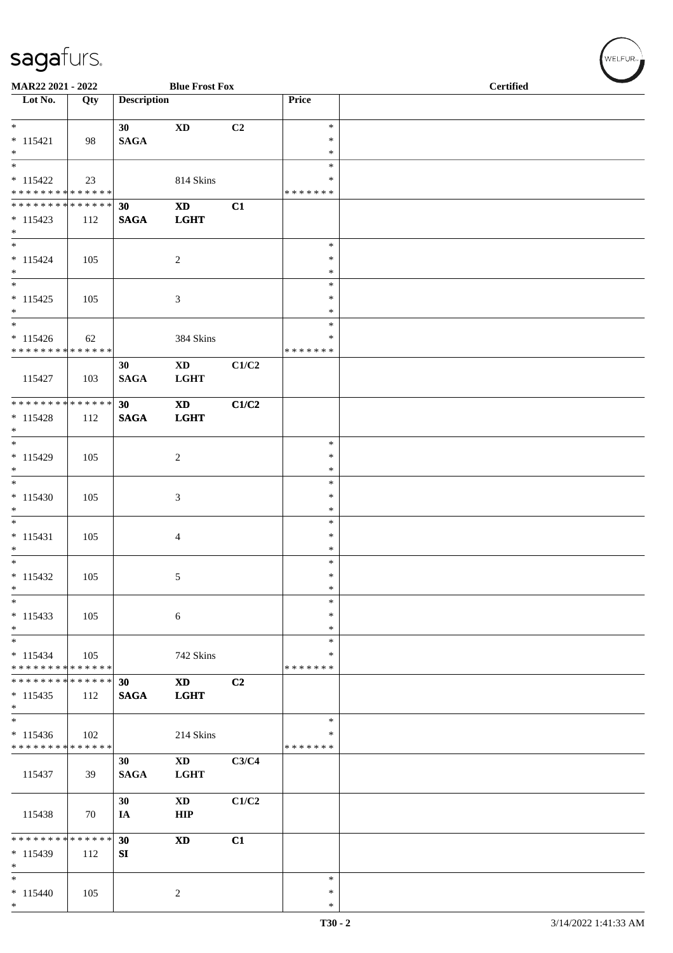| MAR22 2021 - 2022                                                                    |     |                        | <b>Blue Frost Fox</b>                     |       |                                      | <b>Certified</b> |  |
|--------------------------------------------------------------------------------------|-----|------------------------|-------------------------------------------|-------|--------------------------------------|------------------|--|
| $\overline{\text{Lot No.}}$                                                          | Qty | <b>Description</b>     |                                           |       | Price                                |                  |  |
| $*$<br>$* 115421$<br>$*$                                                             | 98  | 30<br><b>SAGA</b>      | $\mathbf{X}\mathbf{D}$                    | C2    | $\ast$<br>$\ast$<br>$\ast$           |                  |  |
| $\overline{\phantom{0}}$<br>$* 115422$<br>* * * * * * * * <mark>* * * * * * *</mark> | 23  |                        | 814 Skins                                 |       | $\ast$<br>$\ast$<br>* * * * * * *    |                  |  |
| ******** <mark>******</mark><br>$* 115423$<br>$*$                                    | 112 | 30<br><b>SAGA</b>      | $\mathbf{X}\mathbf{D}$<br><b>LGHT</b>     | C1    |                                      |                  |  |
| $*$<br>$* 115424$<br>$*$                                                             | 105 |                        | 2                                         |       | $\ast$<br>$\ast$<br>$\ast$           |                  |  |
| $* 115425$<br>$*$                                                                    | 105 |                        | 3                                         |       | $\ast$<br>$\ast$<br>$\ast$<br>*      |                  |  |
| $* 115426$<br>* * * * * * * * * * * * * *                                            | 62  |                        | 384 Skins                                 |       | *<br>* * * * * * *                   |                  |  |
| 115427                                                                               | 103 | 30<br><b>SAGA</b>      | $\mathbf{X}\mathbf{D}$<br><b>LGHT</b>     | C1/C2 |                                      |                  |  |
| * * * * * * * * * * * * * * *<br>$* 115428$<br>$*$                                   | 112 | 30<br><b>SAGA</b>      | $\boldsymbol{\mathrm{XD}}$<br><b>LGHT</b> | C1/C2 |                                      |                  |  |
| $* 115429$<br>$*$                                                                    | 105 |                        | 2                                         |       | $\ast$<br>∗<br>$\ast$                |                  |  |
| $*$<br>$* 115430$<br>$*$<br>$*$                                                      | 105 |                        | 3                                         |       | $\ast$<br>$\ast$<br>$\ast$<br>$\ast$ |                  |  |
| $* 115431$<br>$*$                                                                    | 105 |                        | 4                                         |       | $\ast$<br>$\ast$<br>$\ast$           |                  |  |
| $* 115432$<br>$\ast$<br>$\ast$                                                       | 105 |                        | $\mathfrak{S}$                            |       | $\ast$<br>$\ast$<br>$\ast$           |                  |  |
| $* 115433$<br>$*$<br>$*$                                                             | 105 |                        | $\sqrt{6}$                                |       | $\ast$<br>$\ast$<br>$\ast$           |                  |  |
| $* 115434$<br>* * * * * * * * * * * * * *<br>* * * * * * * * * * * * * * *           | 105 |                        | 742 Skins                                 |       | $\ast$<br>* * * * * * *              |                  |  |
| $* 115435$<br>$*$                                                                    | 112 | 30<br><b>SAGA</b>      | <b>XD</b><br><b>LGHT</b>                  | C2    |                                      |                  |  |
| $\ast$<br>$* 115436$<br>* * * * * * * * * * * * * *                                  | 102 |                        | 214 Skins                                 |       | $\ast$<br>$\ast$<br>* * * * * * *    |                  |  |
| 115437                                                                               | 39  | 30<br><b>SAGA</b>      | XD<br><b>LGHT</b>                         | C3/C4 |                                      |                  |  |
| 115438                                                                               | 70  | 30<br>IA               | <b>XD</b><br><b>HIP</b>                   | C1/C2 |                                      |                  |  |
| * * * * * * * * * * * * * * *<br>$* 115439$<br>$*$                                   | 112 | 30<br>${\bf S}{\bf I}$ | $\mathbf{X}\mathbf{D}$                    | C1    |                                      |                  |  |
| $*$<br>$* 115440$<br>$*$                                                             | 105 |                        | 2                                         |       | $\ast$<br>$\ast$<br>$\ast$           |                  |  |

 $(\forall ELFUR_{\approx})$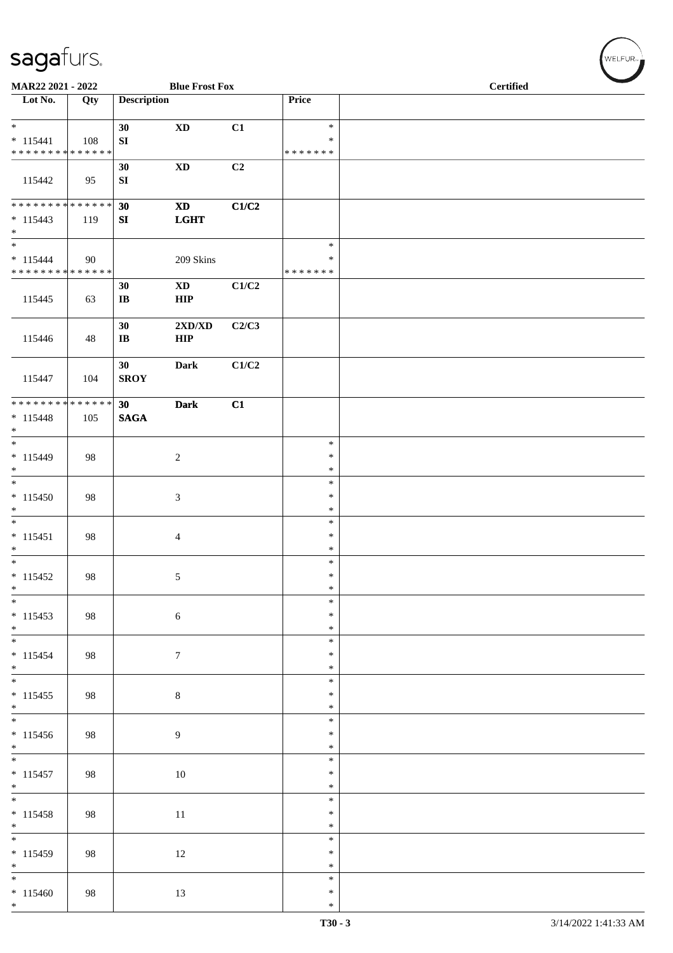| MAR22 2021 - 2022                                                     |     |                              | <b>Blue Frost Fox</b>                       |             |                                   | <b>Certified</b> |  |
|-----------------------------------------------------------------------|-----|------------------------------|---------------------------------------------|-------------|-----------------------------------|------------------|--|
| Lot No.                                                               | Qty | <b>Description</b>           |                                             |             | Price                             |                  |  |
| $\ast$<br>$* 115441$<br>******** <mark>******</mark>                  | 108 | 30<br>${\bf S}{\bf I}$       | $\mathbf{X}\mathbf{D}$                      | C1          | $\ast$<br>$\ast$<br>* * * * * * * |                  |  |
| 115442                                                                | 95  | 30<br>${\bf S}{\bf I}$       | $\mathbf{X}\mathbf{D}$                      | C2          |                                   |                  |  |
| **************<br>$* 115443$<br>$\ast$                                | 119 | 30<br>SI                     | $\mathbf{X}\mathbf{D}$<br>$_{\rm \bf LGHT}$ | C1/C2       |                                   |                  |  |
| $\overline{\phantom{a}}$<br>$* 115444$<br>* * * * * * * * * * * * * * | 90  |                              | 209 Skins                                   |             | $\ast$<br>$\ast$<br>* * * * * * * |                  |  |
| 115445                                                                | 63  | 30<br>$\mathbf{I}$ <b>B</b>  | $\mathbf{X}\mathbf{D}$<br>${\bf HIP}$       | $\rm C1/C2$ |                                   |                  |  |
| 115446                                                                | 48  | 30<br>$\mathbf{I}\mathbf{B}$ | 2XD/XD<br><b>HIP</b>                        | C2/C3       |                                   |                  |  |
| 115447                                                                | 104 | 30<br><b>SROY</b>            | <b>Dark</b>                                 | C1/C2       |                                   |                  |  |
| ******** <mark>******</mark><br>$* 115448$<br>$\ast$                  | 105 | 30<br>$\mathbf{SAGA}$        | <b>Dark</b>                                 | C1          |                                   |                  |  |
| $\frac{1}{*}$<br>$* 115449$<br>$\ast$                                 | 98  |                              | $\sqrt{2}$                                  |             | $\ast$<br>$\ast$<br>$\ast$        |                  |  |
| $\overline{\phantom{a}^*}$<br>$* 115450$<br>$\ast$                    | 98  |                              | $\boldsymbol{\mathfrak{Z}}$                 |             | $\ast$<br>$\ast$<br>$\ast$        |                  |  |
| $\ast$<br>$* 115451$<br>$\ast$                                        | 98  |                              | $\overline{4}$                              |             | $\ast$<br>$\ast$<br>$\ast$        |                  |  |
| $\overline{\phantom{0}}$<br>$* 115452$<br>$\ast$                      | 98  |                              | $\sqrt{5}$                                  |             | $\ast$<br>$\ast$<br>$\ast$        |                  |  |
| $\overline{\phantom{0}}$<br>$* 115453$<br>$*$                         | 98  |                              | $\sqrt{6}$                                  |             | $\ast$<br>$\ast$<br>$\ast$        |                  |  |
| $*$<br>$* 115454$<br>$*$ $*$                                          | 98  |                              | $\boldsymbol{7}$                            |             | $\ast$<br>$\ast$<br>$\ast$        |                  |  |
| $* 115455$<br>$*$                                                     | 98  |                              | $\,8\,$                                     |             | $\ast$<br>$\ast$<br>$\ast$        |                  |  |
| $\overline{\phantom{0}}$<br>$* 115456$<br>$\ast$                      | 98  |                              | $\overline{9}$                              |             | $\ast$<br>$\ast$<br>$\ast$        |                  |  |
| $* 115457$<br>$\ast$                                                  | 98  |                              | $10\,$                                      |             | $\ast$<br>$\ast$<br>$\ast$        |                  |  |
| $\overline{\phantom{0}}$<br>$* 115458$<br>$*$                         | 98  |                              | $11\,$                                      |             | $\ast$<br>$\ast$<br>$\ast$        |                  |  |
| $\overline{\phantom{a}^*}$<br>$* 115459$<br>$\ast$                    | 98  |                              | $12\,$                                      |             | $\ast$<br>$\ast$<br>$\ast$        |                  |  |
| $\overline{\phantom{0}}$<br>$*115460$<br>$*$                          | 98  |                              | 13                                          |             | $\ast$<br>$\ast$<br>$\ast$        |                  |  |

WELFUR<sub><sup>N</sub></sub></sub></sup>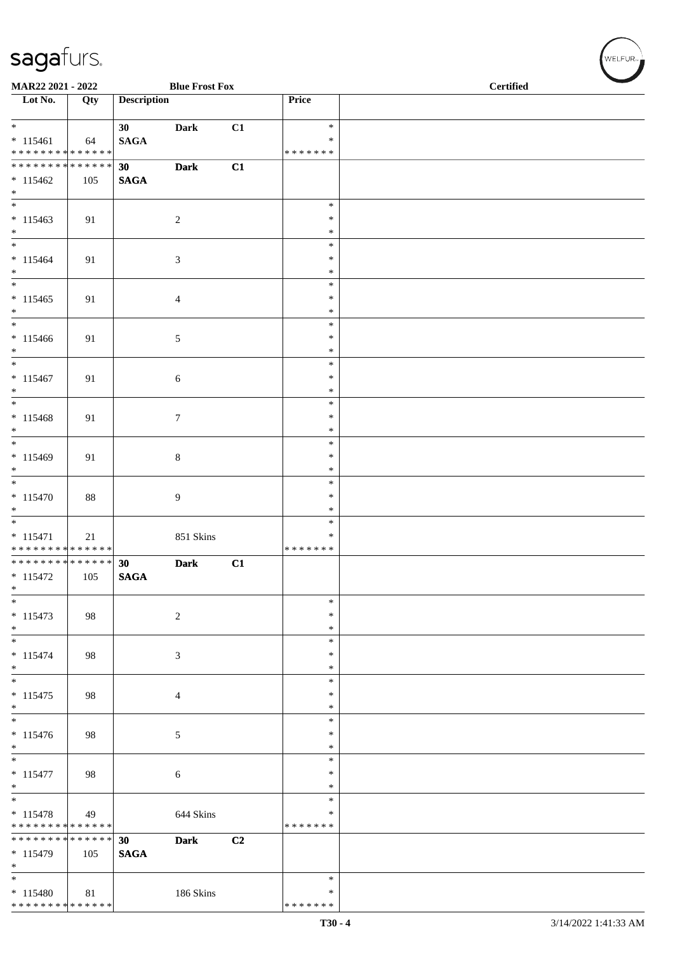| MAR22 2021 - 2022                                           |     |                    | <b>Blue Frost Fox</b> |    |                  | <b>Certified</b> |
|-------------------------------------------------------------|-----|--------------------|-----------------------|----|------------------|------------------|
| $\overline{\phantom{1}}$ Lot No.                            | Qty | <b>Description</b> |                       |    | Price            |                  |
| $*$                                                         |     | 30 <sup>1</sup>    | <b>Dark</b>           | C1 | $\ast$           |                  |
| $* 115461$                                                  | 64  | <b>SAGA</b>        |                       |    | *                |                  |
| * * * * * * * * * * * * * *<br>******** <mark>******</mark> |     |                    |                       |    | * * * * * * *    |                  |
|                                                             |     | 30 <sup>°</sup>    | <b>Dark</b>           | C1 |                  |                  |
| $* 115462$<br>$*$                                           | 105 | <b>SAGA</b>        |                       |    |                  |                  |
| $\overline{\phantom{0}}$                                    |     |                    |                       |    | $\ast$           |                  |
| $* 115463$                                                  | 91  |                    | $\overline{c}$        |    | $\ast$           |                  |
| $*$<br>$*$                                                  |     |                    |                       |    | $\ast$           |                  |
| $* 115464$                                                  | 91  |                    | $\sqrt{3}$            |    | $\ast$<br>$\ast$ |                  |
| $\ast$                                                      |     |                    |                       |    | $\ast$           |                  |
| $\ast$                                                      |     |                    |                       |    | $\ast$           |                  |
| $* 115465$                                                  | 91  |                    | $\overline{4}$        |    | $\ast$           |                  |
| $*$<br>$\overline{\phantom{0}}$                             |     |                    |                       |    | $\ast$<br>$\ast$ |                  |
| $* 115466$                                                  | 91  |                    | $\mathfrak{S}$        |    | ∗                |                  |
| $\ast$                                                      |     |                    |                       |    | $\ast$           |                  |
| $\overline{\phantom{0}}$                                    |     |                    |                       |    | $\ast$           |                  |
| $* 115467$                                                  | 91  |                    | $6\,$                 |    | $\ast$           |                  |
| $\ast$<br>$\overline{\phantom{0}}$                          |     |                    |                       |    | $\ast$<br>$\ast$ |                  |
| $* 115468$                                                  | 91  |                    | $\tau$                |    | $\ast$           |                  |
| $\ast$                                                      |     |                    |                       |    | $\ast$           |                  |
| $\overline{\phantom{0}}$                                    |     |                    |                       |    | $\ast$           |                  |
| $* 115469$<br>$\ast$                                        | 91  |                    | $\,8\,$               |    | $\ast$<br>$\ast$ |                  |
| $\overline{\ast}$                                           |     |                    |                       |    | $\ast$           |                  |
| $* 115470$                                                  | 88  |                    | 9                     |    | $\ast$           |                  |
| $*$                                                         |     |                    |                       |    | $\ast$           |                  |
| $*$                                                         |     |                    |                       |    | $\ast$<br>$\ast$ |                  |
| $* 115471$<br>******** <mark>******</mark>                  | 21  |                    | 851 Skins             |    | * * * * * * *    |                  |
| * * * * * * * * * * * * * * *                               |     | 30                 | <b>Dark</b>           | C1 |                  |                  |
| $* 115472$                                                  | 105 | <b>SAGA</b>        |                       |    |                  |                  |
| $\ast$<br>$\overline{\ast}$                                 |     |                    |                       |    | $\ast$           |                  |
| $* 115473$                                                  | 98  |                    | $\overline{2}$        |    | $\ast$           |                  |
| $\ast$                                                      |     |                    |                       |    | $\ast$           |                  |
| $\ast$                                                      |     |                    |                       |    | $\ast$           |                  |
| $* 115474$                                                  | 98  |                    | 3                     |    | $\ast$           |                  |
| $\ast$<br>$\frac{1}{*}$                                     |     |                    |                       |    | $\ast$<br>$\ast$ |                  |
| $* 115475$                                                  | 98  |                    | $\overline{4}$        |    | *                |                  |
| $\ast$                                                      |     |                    |                       |    | $\ast$           |                  |
| $\overline{\phantom{a}^*}$                                  |     |                    |                       |    | $\ast$           |                  |
| $* 115476$<br>$\ast$                                        | 98  |                    | $\sqrt{5}$            |    | $\ast$<br>$\ast$ |                  |
| $\ast$                                                      |     |                    |                       |    | $\ast$           |                  |
| $* 115477$                                                  | 98  |                    | 6                     |    | $\ast$           |                  |
| $\ast$<br>$_{\ast}$                                         |     |                    |                       |    | $\ast$           |                  |
| $* 115478$                                                  | 49  |                    | 644 Skins             |    | *<br>∗           |                  |
| * * * * * * * * * * * * * * *                               |     |                    |                       |    | * * * * * * *    |                  |
| * * * * * * * * * * * * * * *                               |     | 30                 | <b>Dark</b>           | C2 |                  |                  |
| $*115479$                                                   | 105 | <b>SAGA</b>        |                       |    |                  |                  |
| $\ast$<br>$\ast$                                            |     |                    |                       |    | $\ast$           |                  |
| $*115480$                                                   | 81  |                    | 186 Skins             |    | *                |                  |
| * * * * * * * * * * * * * *                                 |     |                    |                       |    | * * * * * * *    |                  |

WELFUR<sub><sup>N</sup></sub>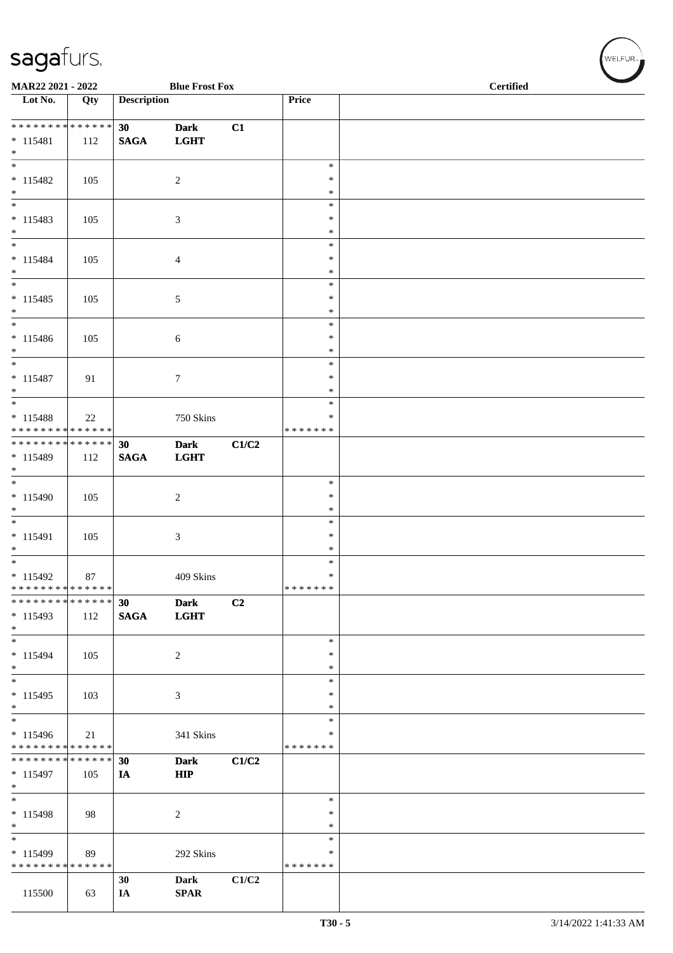| MAR22 2021 - 2022                                    |                      |                    | <b>Blue Frost Fox</b>      |                |                                   | <b>Certified</b> |  |
|------------------------------------------------------|----------------------|--------------------|----------------------------|----------------|-----------------------------------|------------------|--|
| Lot No.                                              | Qty                  | <b>Description</b> |                            |                | Price                             |                  |  |
| * * * * * * * * * * * * * * *<br>$* 115481$<br>$*$   | 112                  | 30<br><b>SAGA</b>  | <b>Dark</b><br><b>LGHT</b> | C1             |                                   |                  |  |
| $\overline{\phantom{0}}$<br>$* 115482$<br>$*$        | 105                  |                    | $\sqrt{2}$                 |                | $\ast$<br>$\ast$<br>$\ast$        |                  |  |
| $\overline{\phantom{0}}$<br>$* 115483$<br>$*$        | 105                  |                    | 3                          |                | $\ast$<br>$\ast$<br>$\ast$        |                  |  |
| $\overline{\phantom{0}}$<br>$* 115484$<br>$*$        | 105                  |                    | 4                          |                | $\ast$<br>∗<br>$\ast$             |                  |  |
| $\overline{\phantom{0}}$<br>$* 115485$<br>$*$        | 105                  |                    | 5                          |                | $\ast$<br>$\ast$<br>$\ast$        |                  |  |
| $*$<br>$* 115486$<br>$*$<br>$\overline{\phantom{0}}$ | 105                  |                    | 6                          |                | $\ast$<br>$\ast$<br>$\ast$        |                  |  |
| $* 115487$<br>$*$<br>$\overline{\ast}$               | 91                   |                    | 7                          |                | $\ast$<br>∗<br>$\ast$             |                  |  |
| $* 115488$<br>* * * * * * * * * * * * * *            | 22                   |                    | 750 Skins                  |                | $\ast$<br>∗<br>* * * * * * *      |                  |  |
| * * * * * * * * * * * * * * *<br>* 115489<br>$*$     | 112                  | 30<br><b>SAGA</b>  | <b>Dark</b><br><b>LGHT</b> | C1/C2          |                                   |                  |  |
| $*$<br>* 115490<br>$*$                               | 105                  |                    | $\overline{c}$             |                | $\ast$<br>$\ast$<br>$\ast$        |                  |  |
| $*$<br>* 115491<br>$\ast$                            | 105                  |                    | 3                          |                | $\ast$<br>$\ast$<br>$\ast$        |                  |  |
| $*$<br>$* 115492$<br>* * * * * * * * * * * * * *     | 87                   |                    | 409 Skins                  |                | $\ast$<br>$\ast$<br>*******       |                  |  |
| * * * * * * * *<br>* 115493<br>$*$                   | * * * * * *  <br>112 | 30<br><b>SAGA</b>  | <b>Dark</b><br><b>LGHT</b> | C <sub>2</sub> |                                   |                  |  |
| $\overline{\phantom{0}}$<br>$* 115494$<br>$*$        | 105                  |                    | $\boldsymbol{2}$           |                | $\ast$<br>$\ast$<br>$\ast$        |                  |  |
| $*$<br>$* 115495$<br>$*$<br>$\overline{\phantom{0}}$ | 103                  |                    | 3                          |                | $\ast$<br>$\ast$<br>$\ast$        |                  |  |
| $* 115496$<br>* * * * * * * * * * * * * *            | 21                   |                    | 341 Skins                  |                | $\ast$<br>$\ast$<br>* * * * * * * |                  |  |
| * * * * * * * * * * * * * * *<br>* 115497<br>$*$     | 105                  | 30<br>IA           | <b>Dark</b><br>HIP         | C1/C2          |                                   |                  |  |
| $*$<br>$* 115498$<br>$*$<br>$\overline{\phantom{0}}$ | 98                   |                    | $\overline{c}$             |                | ∗<br>$\ast$<br>$\ast$             |                  |  |
| * 115499<br>* * * * * * * * * * * * * *              | 89                   |                    | 292 Skins                  |                | $\ast$<br>$\ast$<br>* * * * * * * |                  |  |
| 115500                                               | 63                   | 30<br>IA           | <b>Dark</b><br><b>SPAR</b> | C1/C2          |                                   |                  |  |

 $(\forall ELFUR_{\text{max}})$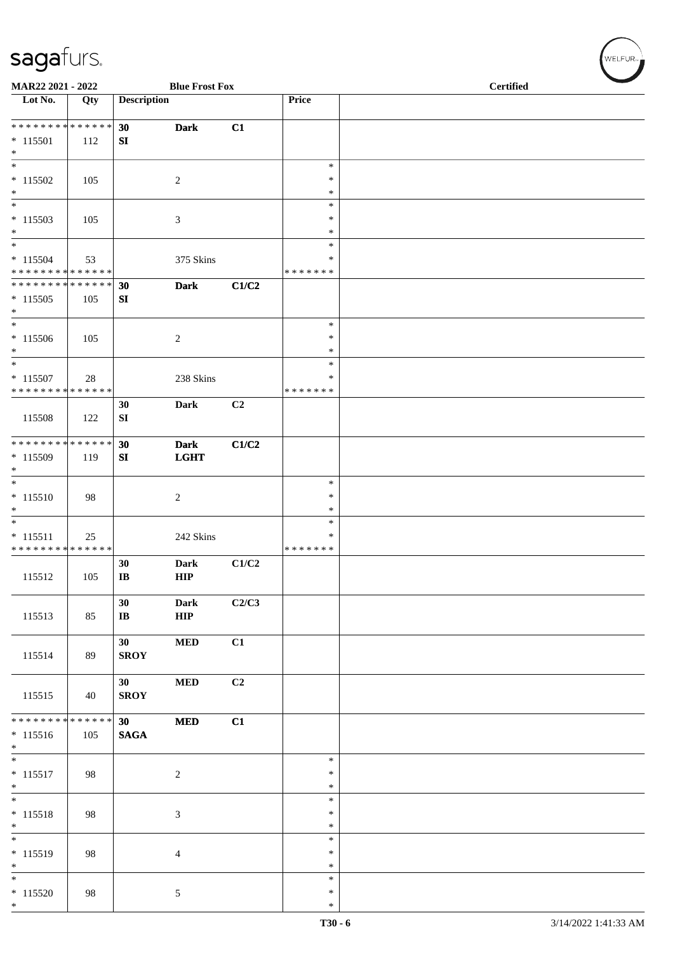| MAR22 2021 - 2022                                              |     |                                | <b>Blue Frost Fox</b>      |       |                                   | <b>Certified</b> |
|----------------------------------------------------------------|-----|--------------------------------|----------------------------|-------|-----------------------------------|------------------|
| Lot No.                                                        | Qty | <b>Description</b>             |                            |       | Price                             |                  |
| * * * * * * * * * * * * * *<br>$* 115501$<br>$\ast$            | 112 | 30<br>SI                       | <b>Dark</b>                | C1    |                                   |                  |
| $\overline{\phantom{0}}$<br>$* 115502$<br>$\ast$               | 105 |                                | $\overline{2}$             |       | $\ast$<br>$\ast$<br>$\ast$        |                  |
| $\overline{\phantom{0}}$<br>$* 115503$<br>$\ast$               | 105 |                                | $\mathfrak{Z}$             |       | $\ast$<br>$\ast$<br>$\ast$        |                  |
| $\overline{\ast}$<br>$* 115504$<br>* * * * * * * * * * * * * * | 53  |                                | 375 Skins                  |       | $\ast$<br>$\ast$<br>* * * * * * * |                  |
| **************<br>$*115505$<br>$\ast$                          | 105 | 30<br>SI                       | <b>Dark</b>                | C1/C2 |                                   |                  |
| $\overline{\phantom{0}}$<br>$*115506$<br>$\ast$                | 105 |                                | $\boldsymbol{2}$           |       | $\ast$<br>$\ast$<br>$\ast$        |                  |
| $_{\ast}$<br>$* 115507$<br>* * * * * * * * * * * * * *         | 28  |                                | 238 Skins                  |       | $\ast$<br>∗<br>* * * * * * *      |                  |
| 115508                                                         | 122 | 30<br>SI                       | <b>Dark</b>                | C2    |                                   |                  |
| **************<br>* 115509<br>$\ast$                           | 119 | 30<br>SI                       | <b>Dark</b><br><b>LGHT</b> | C1/C2 |                                   |                  |
| $\overline{\phantom{a}}$<br>$* 115510$<br>$\ast$               | 98  |                                | $\sqrt{2}$                 |       | $\ast$<br>$\ast$<br>$\ast$        |                  |
| $\ast$<br>$* 115511$<br>* * * * * * * * * * * * * *            | 25  |                                | 242 Skins                  |       | $\ast$<br>*<br>* * * * * * *      |                  |
| 115512                                                         | 105 | 30<br>$\, {\bf I} {\bf B}$     | <b>Dark</b><br>${\bf HIP}$ | C1/C2 |                                   |                  |
| 115513                                                         | 85  | 30<br>$\bf{IB}$                | <b>Dark</b><br>${\bf HIP}$ | C2/C3 |                                   |                  |
| 115514                                                         | 89  | 30 <sup>1</sup><br><b>SROY</b> | <b>MED</b>                 | C1    |                                   |                  |
| 115515                                                         | 40  | 30 <sup>1</sup><br><b>SROY</b> | <b>MED</b>                 | C2    |                                   |                  |
| ******** <mark>******</mark><br>$* 115516$<br>$*$              | 105 | 30<br><b>SAGA</b>              | <b>MED</b>                 | C1    |                                   |                  |
| $\overline{\phantom{a}^*}$<br>$* 115517$<br>$*$                | 98  |                                | $\overline{2}$             |       | $\ast$<br>$\ast$<br>$\ast$        |                  |
| $\overline{\ast}$<br>$* 115518$<br>$*$                         | 98  |                                | $\mathfrak{Z}$             |       | $\ast$<br>$\ast$<br>$\ast$        |                  |
| $\overline{\phantom{a}^*}$<br>$* 115519$<br>$\ast$             | 98  |                                | $\overline{4}$             |       | $\ast$<br>$\ast$<br>$\ast$        |                  |
| $\overline{\phantom{a}^*}$<br>$* 115520$<br>$*$                | 98  |                                | $\mathfrak{S}$             |       | $\ast$<br>$\ast$<br>$\ast$        |                  |

 $(w$ ELFUR<sub><sup>n</sub></sub></sub></sup>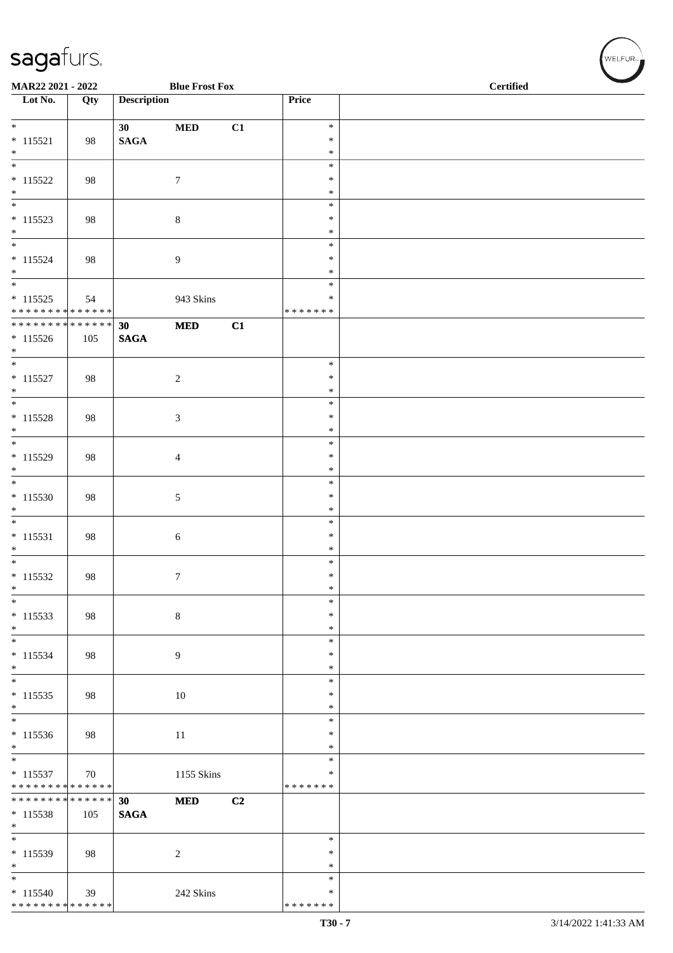| MAR22 2021 - 2022                          |     |                       | <b>Blue Frost Fox</b>       |    |                  | <b>Certified</b> |  |  |  |
|--------------------------------------------|-----|-----------------------|-----------------------------|----|------------------|------------------|--|--|--|
| $\overline{\phantom{1}}$ Lot No.           | Qty | <b>Description</b>    |                             |    | Price            |                  |  |  |  |
| $\ast$                                     |     | 30 <sup>°</sup>       | $\bf MED$                   | C1 | $\ast$           |                  |  |  |  |
| $* 115521$                                 | 98  | $\mathbf{SAGA}$       |                             |    | $\ast$           |                  |  |  |  |
| $\ast$<br>$\overline{\ast}$                |     |                       |                             |    | $\ast$<br>$\ast$ |                  |  |  |  |
| $* 115522$                                 | 98  |                       | $7\phantom{.0}$             |    | $\ast$           |                  |  |  |  |
| $\ast$                                     |     |                       |                             |    | $\ast$           |                  |  |  |  |
| $\overline{\phantom{0}}$                   |     |                       |                             |    | $\ast$           |                  |  |  |  |
| $* 115523$<br>$*$                          | 98  |                       | $\,8\,$                     |    | $\ast$<br>$\ast$ |                  |  |  |  |
| $\overline{\phantom{0}}$                   |     |                       |                             |    | $\ast$           |                  |  |  |  |
| $* 115524$                                 | 98  |                       | $\overline{9}$              |    | $\ast$           |                  |  |  |  |
| $*$<br>$\overline{\phantom{0}}$            |     |                       |                             |    | $\ast$<br>$\ast$ |                  |  |  |  |
| $* 115525$                                 | 54  |                       | 943 Skins                   |    | $\ast$           |                  |  |  |  |
| * * * * * * * * * * * * * *                |     |                       |                             |    | * * * * * * *    |                  |  |  |  |
| ******** <mark>******</mark>               |     | 30                    | $\bf MED$                   | C1 |                  |                  |  |  |  |
| $* 115526$<br>$*$                          | 105 | $\mathbf{SAGA}$       |                             |    |                  |                  |  |  |  |
| $\overline{\phantom{a}^*}$                 |     |                       |                             |    | $\ast$           |                  |  |  |  |
| $* 115527$                                 | 98  |                       | $\sqrt{2}$                  |    | $\ast$           |                  |  |  |  |
| $\ast$<br>$\overline{\phantom{0}}$         |     |                       |                             |    | $\ast$<br>$\ast$ |                  |  |  |  |
| $* 115528$                                 | 98  |                       | $\boldsymbol{\mathfrak{Z}}$ |    | $\ast$           |                  |  |  |  |
| $\ast$                                     |     |                       |                             |    | $\ast$           |                  |  |  |  |
| $\overline{\phantom{0}}$                   |     |                       |                             |    | $\ast$           |                  |  |  |  |
| $* 115529$<br>$\ast$                       | 98  |                       | $\overline{4}$              |    | $\ast$<br>$\ast$ |                  |  |  |  |
| $\overline{\phantom{a}^*}$                 |     |                       |                             |    | $\ast$           |                  |  |  |  |
| $* 115530$                                 | 98  |                       | $\sqrt{5}$                  |    | $\ast$           |                  |  |  |  |
| $\ast$<br>$\overline{\phantom{a}^*}$       |     |                       |                             |    | $\ast$<br>$\ast$ |                  |  |  |  |
| $* 115531$                                 | 98  |                       | $\sqrt{6}$                  |    | $\ast$           |                  |  |  |  |
| $\ast$                                     |     |                       |                             |    | $\ast$           |                  |  |  |  |
| $\overline{\phantom{0}}$                   |     |                       |                             |    | $\ast$<br>$\ast$ |                  |  |  |  |
| $* 115532$<br>$\ast$                       | 98  |                       | $\boldsymbol{7}$            |    | $\ast$           |                  |  |  |  |
| $\ast$                                     |     |                       |                             |    | $\ast$           |                  |  |  |  |
| $* 115533$                                 | 98  |                       | $\,8\,$                     |    | $\ast$           |                  |  |  |  |
| $\ast$<br>$\overline{\phantom{0}}$         |     |                       |                             |    | $\ast$<br>$\ast$ |                  |  |  |  |
| $* 115534$                                 | 98  |                       | 9                           |    | $\ast$           |                  |  |  |  |
| $\ast$<br>$\overline{\phantom{a}^*}$       |     |                       |                             |    | $\ast$           |                  |  |  |  |
| $* 115535$                                 | 98  |                       | 10                          |    | $\ast$<br>$\ast$ |                  |  |  |  |
| $\ast$                                     |     |                       |                             |    | $\ast$           |                  |  |  |  |
| $\overline{\phantom{a}^*}$                 |     |                       |                             |    | $\ast$           |                  |  |  |  |
| $* 115536$<br>$\ast$                       | 98  |                       | 11                          |    | $\ast$<br>$\ast$ |                  |  |  |  |
| $\overline{\phantom{a}^*}$                 |     |                       |                             |    | $\ast$           |                  |  |  |  |
| $* 115537$                                 | 70  |                       | 1155 Skins                  |    | $\ast$           |                  |  |  |  |
| * * * * * * * * * * * * * *                |     |                       |                             |    | * * * * * * *    |                  |  |  |  |
| ******** <mark>******</mark><br>$* 115538$ | 105 | 30<br>$\mathbf{SAGA}$ | <b>MED</b>                  | C2 |                  |                  |  |  |  |
| $\ast$                                     |     |                       |                             |    |                  |                  |  |  |  |
| $\overline{\phantom{a}^*}$                 |     |                       |                             |    | $\ast$           |                  |  |  |  |
| $* 115539$<br>$\ast$                       | 98  |                       | $\overline{c}$              |    | $\ast$<br>$\ast$ |                  |  |  |  |
| $\ast$                                     |     |                       |                             |    | $\ast$           |                  |  |  |  |
| $* 115540$                                 | 39  |                       | 242 Skins                   |    | $\ast$           |                  |  |  |  |
| * * * * * * * * * * * * * *                |     |                       |                             |    | * * * * * * *    |                  |  |  |  |

WELFUR<sub>"</sub>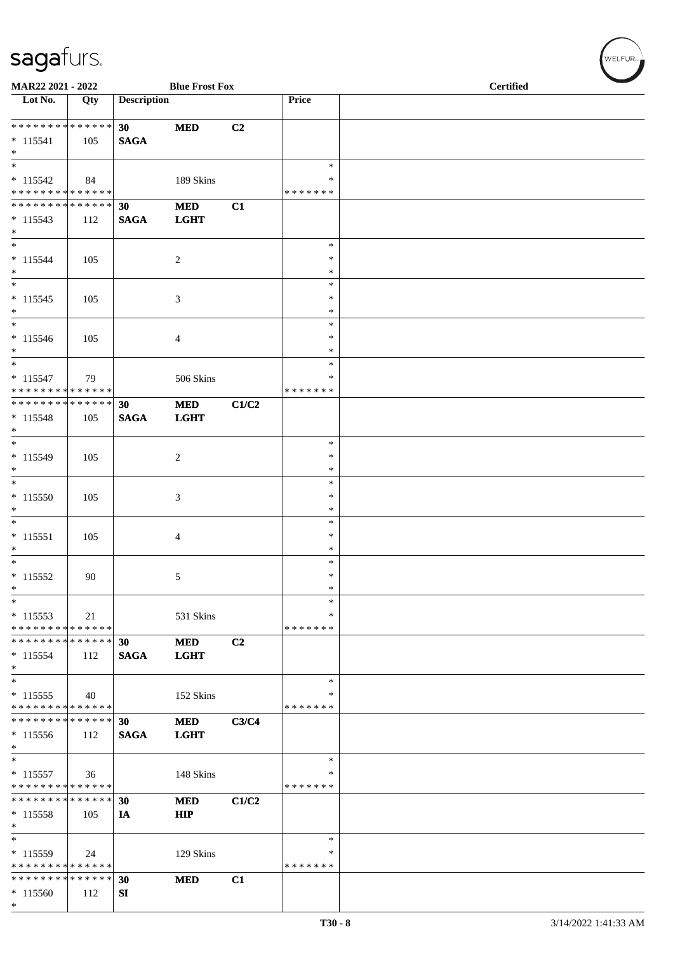| MAR22 2021 - 2022                             |     |                    | <b>Blue Frost Fox</b>    |       |                    | <b>Certified</b> |
|-----------------------------------------------|-----|--------------------|--------------------------|-------|--------------------|------------------|
| Lot No.                                       | Qty | <b>Description</b> |                          |       | Price              |                  |
| **************                                |     | 30 <sup>°</sup>    | <b>MED</b>               | C2    |                    |                  |
| $* 115541$<br>$\ast$                          | 105 | <b>SAGA</b>        |                          |       |                    |                  |
| $\overline{\phantom{a}^*}$                    |     |                    |                          |       | $\ast$             |                  |
| $* 115542$                                    | 84  |                    | 189 Skins                |       | ∗                  |                  |
| * * * * * * * * * * * * * *<br>************** |     | 30                 | $\bf MED$                | C1    | * * * * * * *      |                  |
| $* 115543$<br>$\ast$                          | 112 | <b>SAGA</b>        | <b>LGHT</b>              |       |                    |                  |
| $\ast$                                        |     |                    |                          |       | $\ast$<br>$\ast$   |                  |
| $* 115544$<br>$\ast$                          | 105 |                    | $\overline{c}$           |       | $\ast$             |                  |
| $\overline{\phantom{a}^*}$                    |     |                    |                          |       | $\ast$             |                  |
| $* 115545$<br>$\ast$                          | 105 |                    | 3                        |       | $\ast$<br>∗        |                  |
| $_{\ast}^{-}$                                 |     |                    |                          |       | $\ast$             |                  |
| $* 115546$<br>$\ast$                          | 105 |                    | $\overline{4}$           |       | $\ast$<br>$\ast$   |                  |
| $\ast$                                        |     |                    |                          |       | $\ast$             |                  |
| $* 115547$<br>* * * * * * * * * * * * * *     | 79  |                    | 506 Skins                |       | ∗<br>* * * * * * * |                  |
| **************                                |     | 30                 | <b>MED</b>               | C1/C2 |                    |                  |
| $* 115548$<br>$*$                             | 105 | <b>SAGA</b>        | <b>LGHT</b>              |       |                    |                  |
| $\overline{\phantom{a}^*}$                    |     |                    |                          |       | $\ast$             |                  |
| * 115549<br>$*$                               | 105 |                    | $\overline{c}$           |       | $\ast$<br>$\ast$   |                  |
| $\ast$                                        |     |                    |                          |       | $\ast$             |                  |
| $*115550$<br>$\ast$                           | 105 |                    | 3                        |       | $\ast$<br>$\ast$   |                  |
| $\ast$                                        |     |                    |                          |       | $\ast$             |                  |
| $* 115551$                                    | 105 |                    | $\overline{4}$           |       | $\ast$             |                  |
| $\ast$<br>$\overline{\phantom{a}^*}$          |     |                    |                          |       | $\ast$<br>$\ast$   |                  |
| $* 115552$                                    | 90  |                    | 5                        |       | $\ast$             |                  |
| $\ast$                                        |     |                    |                          |       | $\ast$             |                  |
| $\ast$<br>$* 115553$                          | 21  |                    | 531 Skins                |       | ∗<br>∗             |                  |
| * * * * * * * * * * * * * *                   |     |                    |                          |       | * * * * * * *      |                  |
| * * * * * * * * * * * * * *                   |     | 30                 | <b>MED</b>               | C2    |                    |                  |
| $* 115554$<br>$*$                             | 112 | <b>SAGA</b>        | <b>LGHT</b>              |       |                    |                  |
| $\ast$                                        |     |                    |                          |       | $\ast$             |                  |
| $* 115555$                                    | 40  |                    | 152 Skins                |       | ∗                  |                  |
| * * * * * * * * * * * * * *<br>************** |     | 30                 | <b>MED</b>               | C3/C4 | * * * * * * *      |                  |
| $* 115556$                                    | 112 | <b>SAGA</b>        | <b>LGHT</b>              |       |                    |                  |
| $*$<br>$*$                                    |     |                    |                          |       | $\ast$             |                  |
| $* 115557$                                    | 36  |                    | 148 Skins                |       | *                  |                  |
| * * * * * * * * * * * * * *                   |     |                    |                          |       | * * * * * * *      |                  |
| * * * * * * * * * * * * * *<br>$* 115558$     |     | 30                 | <b>MED</b><br><b>HIP</b> | C1/C2 |                    |                  |
| $\ast$                                        | 105 | IA                 |                          |       |                    |                  |
| $\ast$                                        |     |                    |                          |       | $\ast$             |                  |
| * 115559<br>* * * * * * * * * * * * * *       | 24  |                    | 129 Skins                |       | ∗<br>* * * * * * * |                  |
| * * * * * * * * * * * * * *                   |     | 30                 | <b>MED</b>               | C1    |                    |                  |
| $*115560$                                     | 112 | SI                 |                          |       |                    |                  |
| $\ast$                                        |     |                    |                          |       |                    |                  |

 $(w$ ELFUR<sub>m</sub>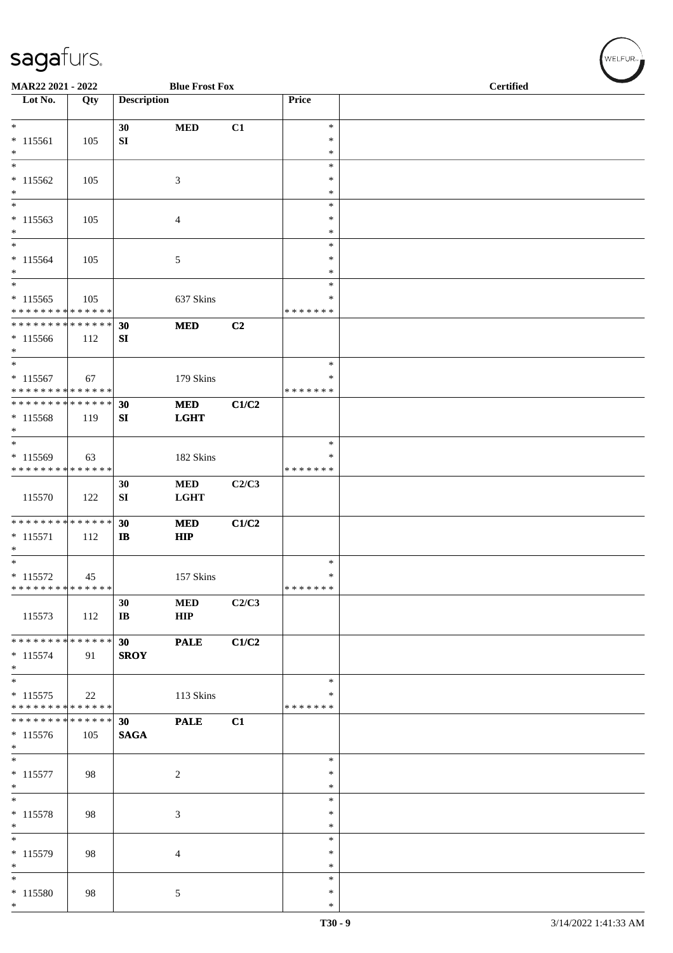| MAR22 2021 - 2022                                          |     |                              | <b>Blue Frost Fox</b>     |                |                  | <b>Certified</b> |  |
|------------------------------------------------------------|-----|------------------------------|---------------------------|----------------|------------------|------------------|--|
| Lot No.                                                    | Qty | <b>Description</b>           |                           |                | Price            |                  |  |
| $*$                                                        |     | 30                           | <b>MED</b>                | C1             | $\ast$           |                  |  |
| $* 115561$<br>$\ast$                                       | 105 | SI                           |                           |                | $\ast$<br>$\ast$ |                  |  |
| $\ast$                                                     |     |                              |                           |                | $\ast$           |                  |  |
| $* 115562$<br>$\ast$                                       | 105 |                              | 3                         |                | $\ast$<br>$\ast$ |                  |  |
| $\ast$                                                     |     |                              |                           |                | $\ast$<br>$\ast$ |                  |  |
| $*115563$<br>$\ast$                                        | 105 |                              | $\overline{4}$            |                | $\ast$           |                  |  |
| $\ast$<br>$* 115564$                                       | 105 |                              | 5                         |                | $\ast$<br>∗      |                  |  |
| $\ast$                                                     |     |                              |                           |                | $\ast$           |                  |  |
| $\ast$<br>$* 115565$                                       | 105 |                              | 637 Skins                 |                | $\ast$<br>∗      |                  |  |
| * * * * * * * * * * * * * *<br>* * * * * * * * * * * * * * |     | 30                           | <b>MED</b>                | C <sub>2</sub> | * * * * * * *    |                  |  |
| $*115566$<br>$*$                                           | 112 | ${\bf SI}$                   |                           |                |                  |                  |  |
| $*$<br>$* 115567$                                          | 67  |                              |                           |                | $\ast$<br>∗      |                  |  |
| * * * * * * * * * * * * * *                                |     |                              | 179 Skins                 |                | * * * * * * *    |                  |  |
| * * * * * * * * * * * * * *<br>* 115568                    | 119 | 30<br>SI                     | <b>MED</b><br><b>LGHT</b> | C1/C2          |                  |                  |  |
| $*$                                                        |     |                              |                           |                |                  |                  |  |
| $\ast$<br>* 115569                                         | 63  |                              | 182 Skins                 |                | ∗<br>∗           |                  |  |
| * * * * * * * * * * * * * *                                |     |                              |                           | C2/C3          | * * * * * * *    |                  |  |
| 115570                                                     | 122 | 30<br>SI                     | $\bf MED$<br><b>LGHT</b>  |                |                  |                  |  |
| * * * * * * * * * * * * * *                                |     | 30                           | <b>MED</b>                | C1/C2          |                  |                  |  |
| $* 115571$<br>$\ast$                                       | 112 | $\mathbf{I}$                 | <b>HIP</b>                |                |                  |                  |  |
| $*$<br>$* 115572$                                          | 45  |                              | 157 Skins                 |                | $\ast$<br>$\ast$ |                  |  |
| * * * * * * * * * * * * * *                                |     |                              |                           |                | * * * * * * *    |                  |  |
| 115573                                                     | 112 | 30<br>$\mathbf{I}\mathbf{B}$ | <b>MED</b><br>HIP         | C2/C3          |                  |                  |  |
| * * * * * * * * * * * * * *                                |     | 30 <sup>°</sup>              | <b>PALE</b>               | C1/C2          |                  |                  |  |
| $* 115574$<br>$*$                                          | 91  | <b>SROY</b>                  |                           |                |                  |                  |  |
| $\ast$<br>$* 115575$                                       | 22  |                              | 113 Skins                 |                | ∗<br>∗           |                  |  |
| * * * * * * * * * * * * * *                                |     |                              |                           |                | * * * * * * *    |                  |  |
| * * * * * * * * * * * * * * *<br>* 115576                  | 105 | 30<br><b>SAGA</b>            | <b>PALE</b>               | C1             |                  |                  |  |
| $\ast$                                                     |     |                              |                           |                |                  |                  |  |
| $\ast$<br>$* 115577$                                       | 98  |                              | $\overline{2}$            |                | $\ast$<br>$\ast$ |                  |  |
| $*$<br>$\overline{\phantom{a}^*}$                          |     |                              |                           |                | *<br>$\ast$      |                  |  |
| $* 115578$                                                 | 98  |                              | $\mathfrak{Z}$            |                | $\ast$           |                  |  |
| $\ast$<br>$*$                                              |     |                              |                           |                | $\ast$<br>$\ast$ |                  |  |
| $* 115579$                                                 | 98  |                              | $\overline{4}$            |                | $\ast$           |                  |  |
| $*$<br>$\ast$                                              |     |                              |                           |                | $\ast$<br>$\ast$ |                  |  |
| * 115580<br>$*$                                            | 98  |                              | 5                         |                | $\ast$<br>$\ast$ |                  |  |

WELFUR<sub>"</sub>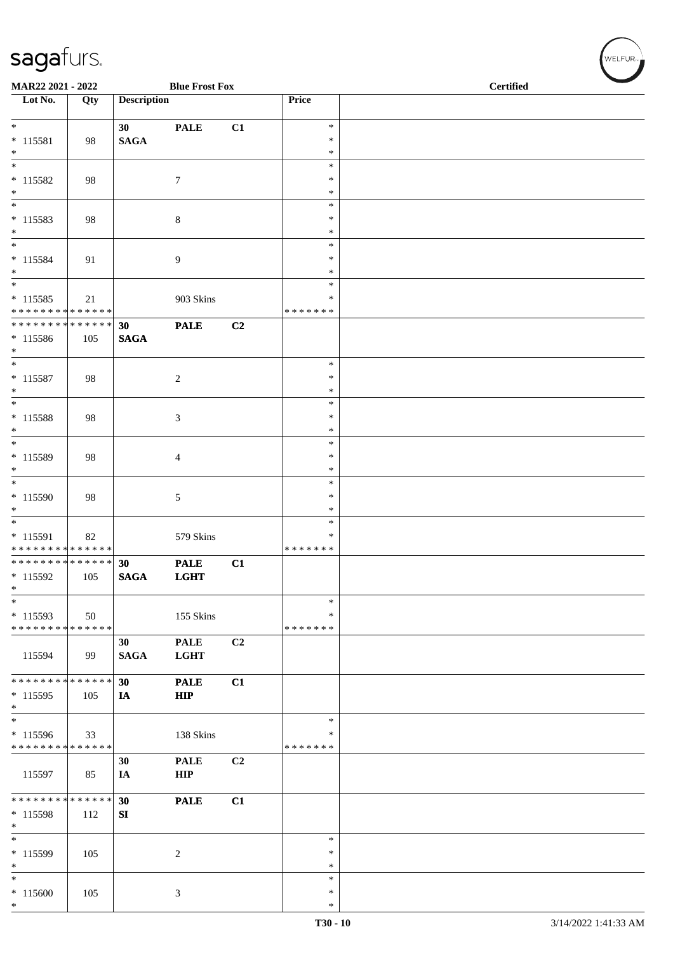| MAR22 2021 - 2022                         |     |                    | <b>Blue Frost Fox</b> |                |                    | <b>Certified</b> |  |
|-------------------------------------------|-----|--------------------|-----------------------|----------------|--------------------|------------------|--|
| $\overline{\phantom{1}}$ Lot No.          | Qty | <b>Description</b> |                       |                | Price              |                  |  |
|                                           |     |                    |                       |                |                    |                  |  |
| $*$                                       |     |                    |                       |                | $\ast$             |                  |  |
|                                           |     | 30                 | <b>PALE</b>           | C1             | $\ast$             |                  |  |
| $* 115581$<br>$*$                         | 98  | <b>SAGA</b>        |                       |                | $\ast$             |                  |  |
| $\overline{\ast}$                         |     |                    |                       |                | $\ast$             |                  |  |
|                                           |     |                    |                       |                |                    |                  |  |
| $* 115582$                                | 98  |                    | $\tau$                |                | $\ast$             |                  |  |
| $*$                                       |     |                    |                       |                | $\ast$             |                  |  |
| $*$                                       |     |                    |                       |                | $\ast$             |                  |  |
| $* 115583$                                | 98  |                    | 8                     |                | $\ast$             |                  |  |
| $\ast$<br>$\overline{\ast}$               |     |                    |                       |                | $\ast$             |                  |  |
|                                           |     |                    |                       |                | $\ast$             |                  |  |
| * 115584<br>$*$                           | 91  |                    | 9                     |                | $\ast$<br>$\ast$   |                  |  |
| $\overline{\ast}$                         |     |                    |                       |                | $\ast$             |                  |  |
|                                           |     |                    |                       |                |                    |                  |  |
| $* 115585$<br>* * * * * * * * * * * * * * | 21  |                    | 903 Skins             |                | ∗<br>* * * * * * * |                  |  |
| * * * * * * * * * * * * * * *             |     |                    |                       |                |                    |                  |  |
|                                           |     | 30                 | <b>PALE</b>           | C <sub>2</sub> |                    |                  |  |
| * 115586<br>$*$                           | 105 | <b>SAGA</b>        |                       |                |                    |                  |  |
| $*$                                       |     |                    |                       |                | $\ast$             |                  |  |
| $* 115587$                                |     |                    |                       |                | $\ast$             |                  |  |
| $*$                                       | 98  |                    | $\overline{c}$        |                | $\ast$             |                  |  |
| $\overline{\ast}$                         |     |                    |                       |                | $\ast$             |                  |  |
| $* 115588$                                |     |                    |                       |                | $\ast$             |                  |  |
| $*$                                       | 98  |                    | 3                     |                | $\ast$             |                  |  |
| $\overline{\ast}$                         |     |                    |                       |                | $\ast$             |                  |  |
| * 115589                                  |     |                    |                       |                | $\ast$             |                  |  |
| $\ast$                                    | 98  |                    | 4                     |                | $\ast$             |                  |  |
| $*$                                       |     |                    |                       |                | $\ast$             |                  |  |
| * 115590                                  | 98  |                    | 5                     |                | $\ast$             |                  |  |
| $\ast$                                    |     |                    |                       |                | $\ast$             |                  |  |
| $\overline{\phantom{0}}$                  |     |                    |                       |                | $\ast$             |                  |  |
| * 115591                                  |     |                    | 579 Skins             |                | ∗                  |                  |  |
| * * * * * * * * * * * * * *               | 82  |                    |                       |                | * * * * * * *      |                  |  |
| * * * * * * * * * * * * * *               |     | 30                 | <b>PALE</b>           | C1             |                    |                  |  |
| * 115592                                  | 105 | <b>SAGA</b>        | <b>LGHT</b>           |                |                    |                  |  |
| $\ast$                                    |     |                    |                       |                |                    |                  |  |
| $*$                                       |     |                    |                       |                | $\ast$             |                  |  |
| $*115593$                                 | 50  |                    | 155 Skins             |                | $\ast$             |                  |  |
| * * * * * * * * * * * * * *               |     |                    |                       |                | * * * * * * *      |                  |  |
|                                           |     | 30                 | <b>PALE</b>           | C2             |                    |                  |  |
|                                           | 99  |                    |                       |                |                    |                  |  |
| 115594                                    |     | <b>SAGA</b>        | <b>LGHT</b>           |                |                    |                  |  |
| * * * * * * * * * * * * * * *             |     | 30                 | <b>PALE</b>           | C1             |                    |                  |  |
| $* 115595$                                |     |                    | <b>HIP</b>            |                |                    |                  |  |
| $\ast$                                    | 105 | IA                 |                       |                |                    |                  |  |
| $*$                                       |     |                    |                       |                | $\ast$             |                  |  |
| * 115596                                  | 33  |                    | 138 Skins             |                | ∗                  |                  |  |
| * * * * * * * * * * * * * *               |     |                    |                       |                | * * * * * * *      |                  |  |
|                                           |     | 30                 | <b>PALE</b>           | C <sub>2</sub> |                    |                  |  |
| 115597                                    | 85  | IA                 | HIP                   |                |                    |                  |  |
|                                           |     |                    |                       |                |                    |                  |  |
| * * * * * * * * * * * * * * *             |     | 30                 | <b>PALE</b>           | C1             |                    |                  |  |
| * 115598                                  | 112 | SI                 |                       |                |                    |                  |  |
| $*$                                       |     |                    |                       |                |                    |                  |  |
| $*$                                       |     |                    |                       |                | $\ast$             |                  |  |
| $* 115599$                                | 105 |                    | $\overline{c}$        |                | $\ast$             |                  |  |
| $\ast$                                    |     |                    |                       |                | $\ast$             |                  |  |
| $*$                                       |     |                    |                       |                | $\ast$             |                  |  |
| $*115600$                                 | 105 |                    | 3                     |                | $\ast$             |                  |  |
| $*$                                       |     |                    |                       |                | $\ast$             |                  |  |

WELFUR<sub>"</sub>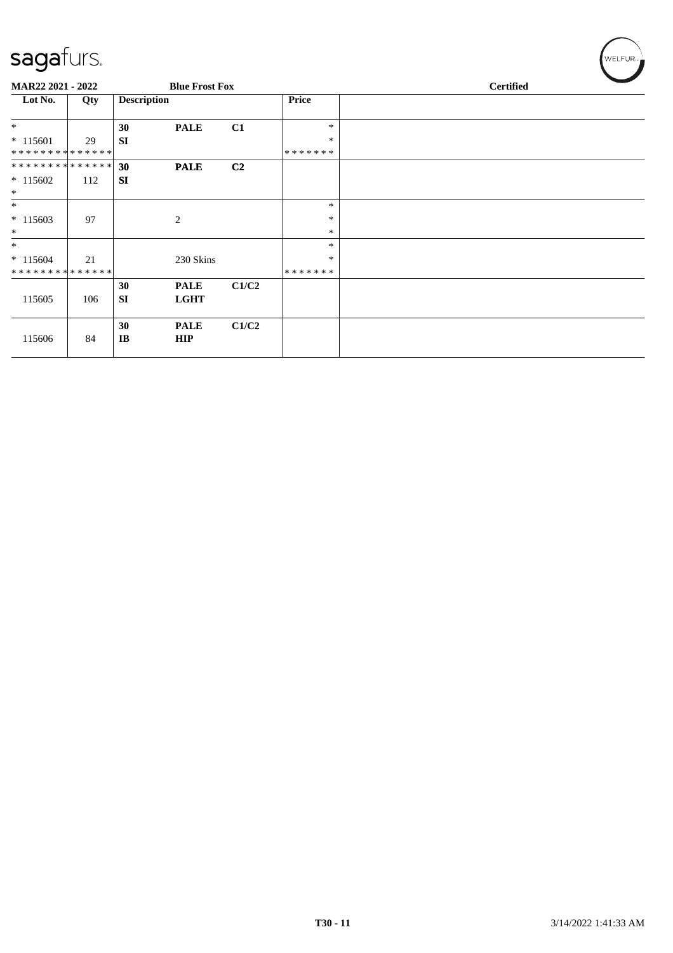| $\overline{\phantom{0}}$ |     |                    |                       |                |         |                  |  |
|--------------------------|-----|--------------------|-----------------------|----------------|---------|------------------|--|
| MAR22 2021 - 2022        |     |                    | <b>Blue Frost Fox</b> |                |         | <b>Certified</b> |  |
| Lot No.                  | Qty | <b>Description</b> |                       |                | Price   |                  |  |
| $\ast$                   |     | 30                 | <b>PALE</b>           | C1             | $\ast$  |                  |  |
| $*115601$                | 29  | <b>SI</b>          |                       |                | $\ast$  |                  |  |
| **************           |     |                    |                       |                | ******* |                  |  |
| **************           |     | 30                 | <b>PALE</b>           | C <sub>2</sub> |         |                  |  |
| $* 115602$               | 112 | <b>SI</b>          |                       |                |         |                  |  |
| $\ast$                   |     |                    |                       |                |         |                  |  |
| $\ast$                   |     |                    |                       |                | $\ast$  |                  |  |
| $*115603$                | 97  |                    | 2                     |                | $\ast$  |                  |  |
| $\ast$                   |     |                    |                       |                | $\ast$  |                  |  |
| $*$                      |     |                    |                       |                | $\ast$  |                  |  |
| $* 115604$               | 21  |                    | 230 Skins             |                | $\ast$  |                  |  |
| **************           |     |                    |                       |                | ******* |                  |  |
|                          |     | 30                 | <b>PALE</b>           | C1/C2          |         |                  |  |
| 115605                   | 106 | <b>SI</b>          | <b>LGHT</b>           |                |         |                  |  |
|                          |     |                    |                       |                |         |                  |  |
|                          |     | 30                 | <b>PALE</b>           | C1/C2          |         |                  |  |
| 115606                   | 84  | IB                 | <b>HIP</b>            |                |         |                  |  |
|                          |     |                    |                       |                |         |                  |  |

 $(w$ elfur<sub>n</sub>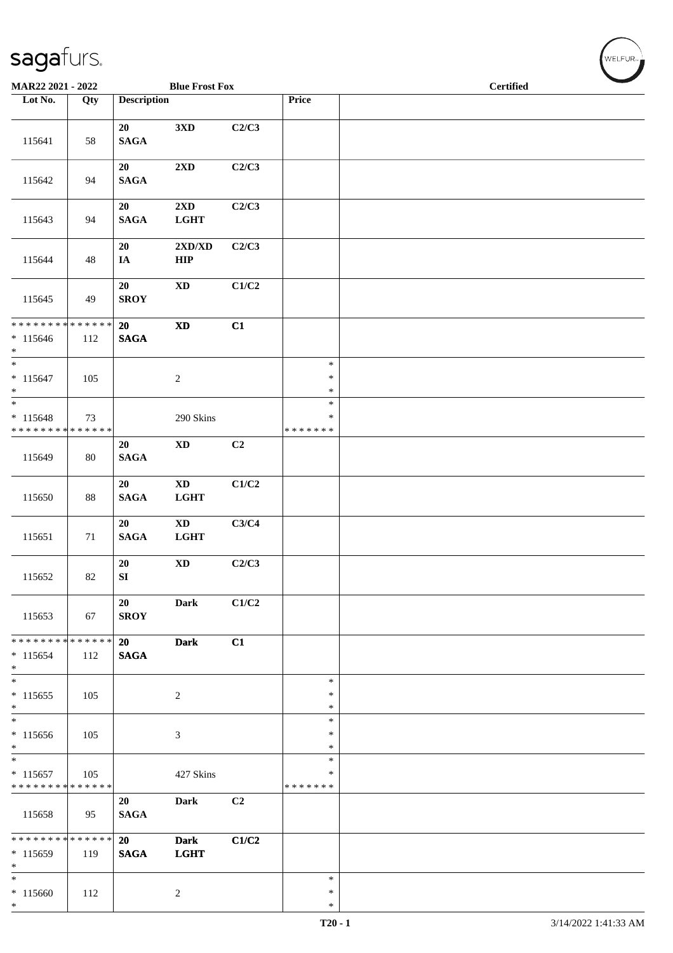| MAR22 2021 - 2022                                                     |               |                        | <b>Blue Frost Fox</b>                 |       |                                   |  | <b>Certified</b> |  |
|-----------------------------------------------------------------------|---------------|------------------------|---------------------------------------|-------|-----------------------------------|--|------------------|--|
| Lot No.                                                               | Qty           | <b>Description</b>     |                                       |       | Price                             |  |                  |  |
| 115641                                                                | 58            | 20<br>$\mathbf{SAGA}$  | 3 <sub>xD</sub>                       | C2/C3 |                                   |  |                  |  |
| 115642                                                                | 94            | 20<br><b>SAGA</b>      | $2{\bf X}{\bf D}$                     | C2/C3 |                                   |  |                  |  |
| 115643                                                                | 94            | 20<br><b>SAGA</b>      | 2XD<br><b>LGHT</b>                    | C2/C3 |                                   |  |                  |  |
| 115644                                                                | 48            | 20<br>$I\!\!A$         | 2XD/XD<br>HIP                         | C2/C3 |                                   |  |                  |  |
| 115645                                                                | 49            | 20<br><b>SROY</b>      | $\mathbf{X}\mathbf{D}$                | C1/C2 |                                   |  |                  |  |
| * * * * * * * * * * * * * * *<br>$* 115646$<br>$*$                    | 112           | 20<br>$\mathbf{SAGA}$  | $\boldsymbol{\mathrm{XD}}$            | C1    |                                   |  |                  |  |
| $\overline{\phantom{0}}$<br>$* 115647$<br>$*$                         | 105           |                        | $\boldsymbol{2}$                      |       | $\ast$<br>$\ast$<br>$\ast$        |  |                  |  |
| $\overline{\ast}$<br>$* 115648$<br>* * * * * * * * * * * * * *        | 73            |                        | 290 Skins                             |       | $\ast$<br>$\ast$<br>* * * * * * * |  |                  |  |
| 115649                                                                | 80            | 20<br>$\mathbf{SAGA}$  | $\mathbf{X}\mathbf{D}$                | C2    |                                   |  |                  |  |
| 115650                                                                | 88            | 20<br>$\mathbf{SAGA}$  | $\mathbf{X}\mathbf{D}$<br>LGHT        | C1/C2 |                                   |  |                  |  |
| 115651                                                                | 71            | 20<br>$\mathbf{SAGA}$  | $\mathbf{X}\mathbf{D}$<br><b>LGHT</b> | C3/C4 |                                   |  |                  |  |
| 115652                                                                | 82            | 20<br>${\bf S}{\bf I}$ | $\mathbf{X}\mathbf{D}$                | C2/C3 |                                   |  |                  |  |
| 115653                                                                | 67            | 20<br><b>SROY</b>      | Dark                                  | C1/C2 |                                   |  |                  |  |
| * * * * * * * *<br>$* 115654$<br>$*$                                  | ******<br>112 | 20<br><b>SAGA</b>      | <b>Dark</b>                           | C1    |                                   |  |                  |  |
| $*$<br>$* 115655$<br>$*$                                              | 105           |                        | $\boldsymbol{2}$                      |       | $\ast$<br>$\ast$<br>$\ast$        |  |                  |  |
| $*$<br>$*115656$<br>$*$                                               | 105           |                        | 3                                     |       | $\ast$<br>$\ast$<br>∗             |  |                  |  |
| $\overline{\phantom{0}}$<br>$* 115657$<br>* * * * * * * * * * * * * * | 105           |                        | 427 Skins                             |       | $\ast$<br>∗<br>* * * * * * *      |  |                  |  |
| 115658                                                                | 95            | 20<br><b>SAGA</b>      | <b>Dark</b>                           | C2    |                                   |  |                  |  |
| ******** <mark>******</mark><br>* 115659<br>$*$                       | 119           | 20<br><b>SAGA</b>      | <b>Dark</b><br><b>LGHT</b>            | C1/C2 |                                   |  |                  |  |
| $\ast$<br>$*115660$<br>$*$                                            | 112           |                        | $\overline{c}$                        |       | $\ast$<br>$\ast$<br>$\ast$        |  |                  |  |

 $(\forall ELFUR_{\approx})$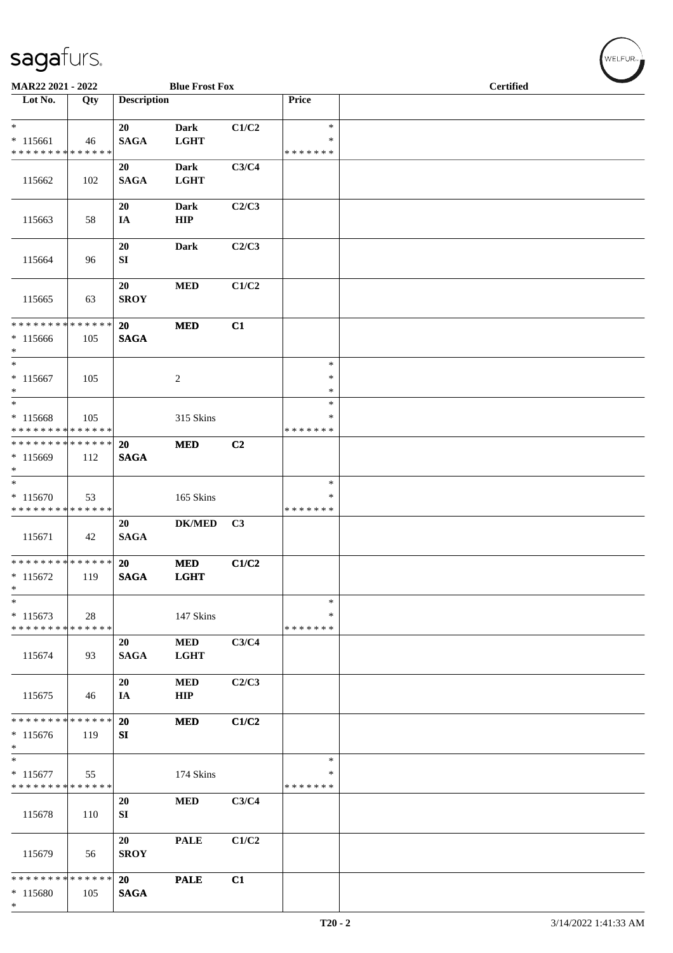| MAR22 2021 - 2022                                              |     |                    | <b>Blue Frost Fox</b>      |                |                                   |  | <b>Certified</b> | $\overline{\phantom{a}}$ |
|----------------------------------------------------------------|-----|--------------------|----------------------------|----------------|-----------------------------------|--|------------------|--------------------------|
| Lot No.                                                        | Qty | <b>Description</b> |                            |                | Price                             |  |                  |                          |
| $*$<br>$* 115661$<br>* * * * * * * * * * * * * *               | 46  | 20<br><b>SAGA</b>  | <b>Dark</b><br><b>LGHT</b> | C1/C2          | $\ast$<br>$\ast$<br>* * * * * * * |  |                  |                          |
| 115662                                                         | 102 | 20<br><b>SAGA</b>  | <b>Dark</b><br><b>LGHT</b> | C3/C4          |                                   |  |                  |                          |
| 115663                                                         | 58  | 20<br>IA           | Dark<br>${\bf HIP}$        | C2/C3          |                                   |  |                  |                          |
| 115664                                                         | 96  | 20<br>SI           | <b>Dark</b>                | C2/C3          |                                   |  |                  |                          |
| 115665                                                         | 63  | 20<br><b>SROY</b>  | <b>MED</b>                 | C1/C2          |                                   |  |                  |                          |
| * * * * * * * * * * * * * *<br>$*115666$<br>$*$                | 105 | 20<br><b>SAGA</b>  | $\bf MED$                  | C1             |                                   |  |                  |                          |
| $\ast$<br>$* 115667$<br>$*$                                    | 105 |                    | $\overline{c}$             |                | $\ast$<br>$\ast$<br>$\ast$        |  |                  |                          |
| $*$<br>$* 115668$<br>* * * * * * * * * * * * * *               | 105 |                    | 315 Skins                  |                | $\ast$<br>$\ast$<br>* * * * * * * |  |                  |                          |
| * * * * * * * * * * * * * *<br>$*115669$<br>$\ast$             | 112 | 20<br><b>SAGA</b>  | <b>MED</b>                 | C2             |                                   |  |                  |                          |
| $\overline{\ast}$<br>$* 115670$<br>* * * * * * * * * * * * * * | 53  |                    | 165 Skins                  |                | $\ast$<br>∗<br>* * * * * * *      |  |                  |                          |
| 115671                                                         | 42  | 20<br><b>SAGA</b>  | <b>DK/MED</b>              | C <sub>3</sub> |                                   |  |                  |                          |
| ******** <mark>******</mark><br>$* 115672$<br>$\ast$           | 119 | 20<br><b>SAGA</b>  | <b>MED</b><br><b>LGHT</b>  | C1/C2          |                                   |  |                  |                          |
| $\ast$<br>$* 115673$<br>* * * * * * * * * * * * * *            | 28  |                    | 147 Skins                  |                | $\ast$<br>∗<br>* * * * * * *      |  |                  |                          |
| 115674                                                         | 93  | 20<br><b>SAGA</b>  | <b>MED</b><br><b>LGHT</b>  | C3/C4          |                                   |  |                  |                          |
| 115675                                                         | 46  | 20<br>IA           | <b>MED</b><br>HIP          | C2/C3          |                                   |  |                  |                          |
| * * * * * * * * * * * * * *<br>$*115676$<br>$\ast$             | 119 | 20<br>SI           | <b>MED</b>                 | C1/C2          |                                   |  |                  |                          |
| $\ast$<br>$* 115677$<br>* * * * * * * * * * * * * *            | 55  |                    | 174 Skins                  |                | ∗<br>∗<br>* * * * * * *           |  |                  |                          |
| 115678                                                         | 110 | 20<br>SI           | $\bf MED$                  | C3/C4          |                                   |  |                  |                          |
| 115679                                                         | 56  | 20<br><b>SROY</b>  | <b>PALE</b>                | C1/C2          |                                   |  |                  |                          |
| * * * * * * * * * * * * * *<br>$*115680$<br>$\ast$             | 105 | 20<br><b>SAGA</b>  | <b>PALE</b>                | C1             |                                   |  |                  |                          |

WELFUR<sub>\*</sub>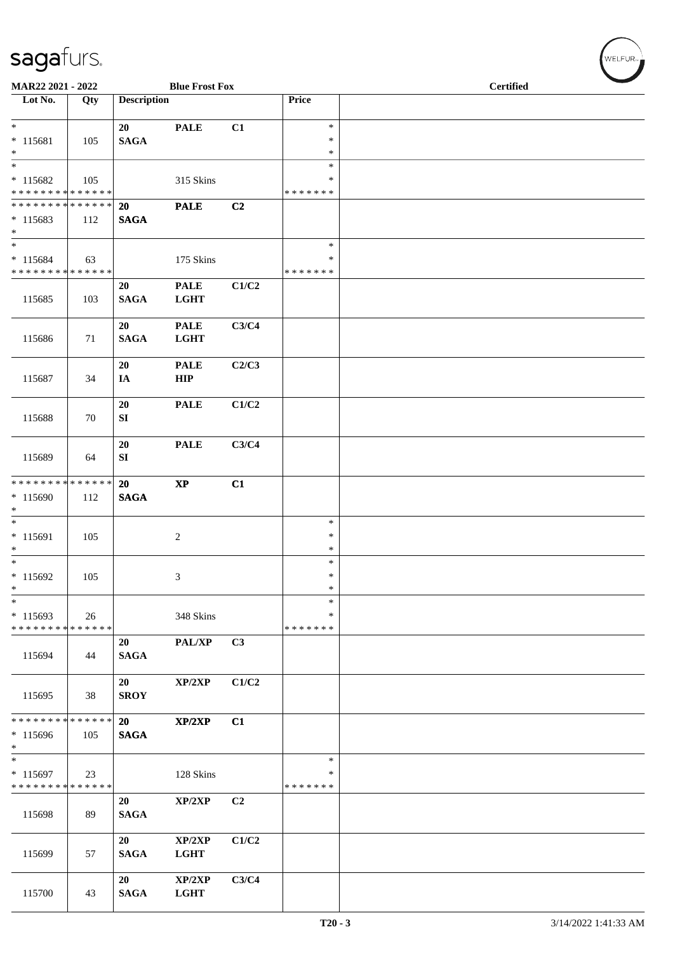| MAR22 2021 - 2022                                                               |     |                          | <b>Blue Frost Fox</b>      |                |                              | <b>Certified</b> |  |
|---------------------------------------------------------------------------------|-----|--------------------------|----------------------------|----------------|------------------------------|------------------|--|
| Lot No.                                                                         | Qty | <b>Description</b>       |                            |                | Price                        |                  |  |
| $* 115681$                                                                      | 105 | 20<br>$\mathbf{SAGA}$    | <b>PALE</b>                | C1             | $\ast$<br>$\ast$             |                  |  |
| $*$<br>$\overline{\phantom{0}}$<br>$* 115682$                                   | 105 |                          | 315 Skins                  |                | $\ast$<br>$\ast$<br>$\ast$   |                  |  |
| * * * * * * * * * * * * * *<br>* * * * * * * * * * * * * *<br>$* 115683$<br>$*$ | 112 | 20<br><b>SAGA</b>        | <b>PALE</b>                | C2             | * * * * * * *                |                  |  |
| $*$<br>$* 115684$<br>* * * * * * * * * * * * * *                                | 63  |                          | 175 Skins                  |                | $\ast$<br>∗<br>* * * * * * * |                  |  |
| 115685                                                                          | 103 | 20<br><b>SAGA</b>        | <b>PALE</b><br><b>LGHT</b> | C1/C2          |                              |                  |  |
| 115686                                                                          | 71  | 20<br><b>SAGA</b>        | <b>PALE</b><br><b>LGHT</b> | C3/C4          |                              |                  |  |
| 115687                                                                          | 34  | 20<br>IA                 | <b>PALE</b><br>HIP         | C2/C3          |                              |                  |  |
| 115688                                                                          | 70  | 20<br>SI                 | <b>PALE</b>                | C1/C2          |                              |                  |  |
| 115689                                                                          | 64  | 20<br>${\bf SI}$         | <b>PALE</b>                | C3/C4          |                              |                  |  |
| * * * * * * * * * * * * * * *<br>$* 115690$<br>$\ast$                           | 112 | 20<br><b>SAGA</b>        | $\bold{XP}$                | C1             |                              |                  |  |
| $\overline{\phantom{0}}$<br>* 115691<br>$\ast$                                  | 105 |                          | $\overline{c}$             |                | $\ast$<br>∗<br>$\ast$        |                  |  |
| $*$<br>$* 115692$<br>$\ast$                                                     | 105 |                          | 3                          |                | $\ast$<br>$\ast$<br>$\ast$   |                  |  |
| $\ast$<br>$*115693$<br>* * * * * * * * * * * * * *                              | 26  |                          | 348 Skins                  |                | $\ast$<br>∗<br>* * * * * * * |                  |  |
| 115694                                                                          | 44  | 20<br><b>SAGA</b>        | PAL/XP                     | C3             |                              |                  |  |
| 115695                                                                          | 38  | 20<br><b>SROY</b>        | XP/2XP                     | C1/C2          |                              |                  |  |
| * * * * * * * * * * * * * * *<br>$*115696$<br>$\ast$                            | 105 | <b>20</b><br><b>SAGA</b> | XP/2XP                     | C1             |                              |                  |  |
| $*$<br>* 115697<br>* * * * * * * * * * * * * *                                  | 23  |                          | 128 Skins                  |                | $\ast$<br>∗<br>* * * * * * * |                  |  |
| 115698                                                                          | 89  | 20<br><b>SAGA</b>        | XP/2XP                     | C <sub>2</sub> |                              |                  |  |
| 115699                                                                          | 57  | 20<br><b>SAGA</b>        | XP/2XP<br><b>LGHT</b>      | C1/C2          |                              |                  |  |
| 115700                                                                          | 43  | 20<br><b>SAGA</b>        | XP/2XP<br><b>LGHT</b>      | C3/C4          |                              |                  |  |

 $(\forall ELFUR_{\approx})$